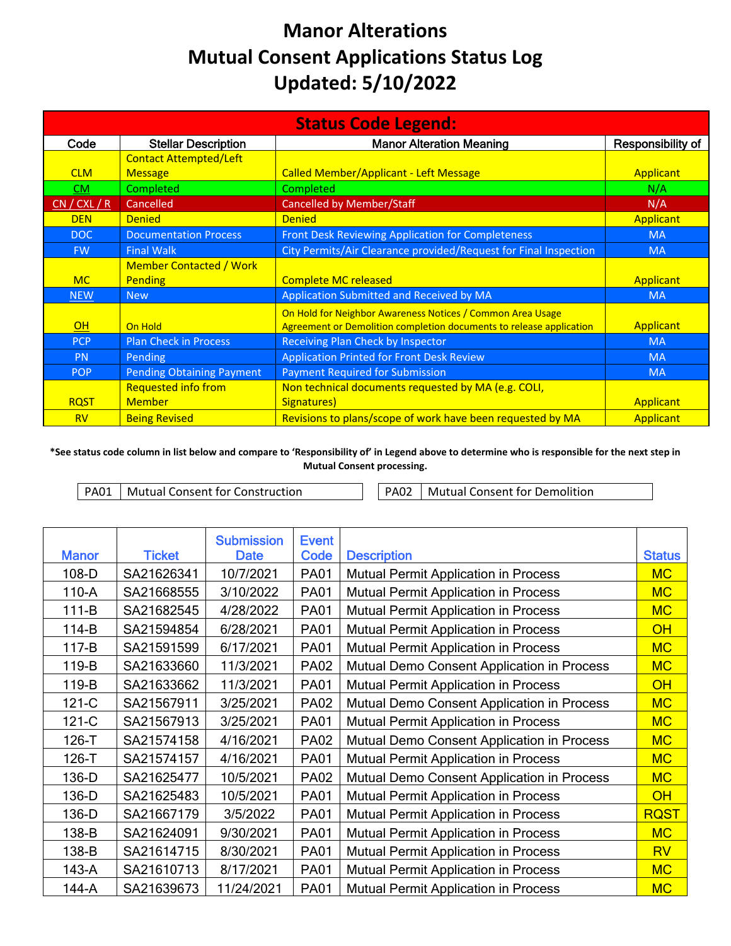## **Manor Alterations Mutual Consent Applications Status Log Updated: 5/10/2022**

| <b>Status Code Legend:</b> |                                  |                                                                     |                   |  |  |  |
|----------------------------|----------------------------------|---------------------------------------------------------------------|-------------------|--|--|--|
| Code                       | <b>Stellar Description</b>       | <b>Manor Alteration Meaning</b>                                     | Responsibility of |  |  |  |
|                            | <b>Contact Attempted/Left</b>    |                                                                     |                   |  |  |  |
| <b>CLM</b>                 | <b>Message</b>                   | <b>Called Member/Applicant - Left Message</b>                       | <b>Applicant</b>  |  |  |  |
| CM.                        | Completed                        | Completed                                                           | N/A               |  |  |  |
| CN / CXL / R               | Cancelled                        | <b>Cancelled by Member/Staff</b>                                    | N/A               |  |  |  |
| <b>DEN</b>                 | <b>Denied</b>                    | <b>Denied</b>                                                       | <b>Applicant</b>  |  |  |  |
| <b>DOC</b>                 | <b>Documentation Process</b>     | Front Desk Reviewing Application for Completeness                   | <b>MA</b>         |  |  |  |
| <b>FW</b>                  | <b>Final Walk</b>                | City Permits/Air Clearance provided/Request for Final Inspection    | <b>MA</b>         |  |  |  |
|                            | <b>Member Contacted / Work</b>   |                                                                     |                   |  |  |  |
| <b>MC</b>                  | <b>Pending</b>                   | <b>Complete MC released</b>                                         | <b>Applicant</b>  |  |  |  |
| <b>NEW</b>                 | <b>New</b>                       | Application Submitted and Received by MA                            | <b>MA</b>         |  |  |  |
| <b>OH</b>                  | On Hold                          | On Hold for Neighbor Awareness Notices / Common Area Usage          |                   |  |  |  |
|                            |                                  | Agreement or Demolition completion documents to release application | <b>Applicant</b>  |  |  |  |
| <b>PCP</b>                 | <b>Plan Check in Process</b>     | <b>Receiving Plan Check by Inspector</b>                            | <b>MA</b>         |  |  |  |
| <b>PN</b>                  | Pending                          | <b>Application Printed for Front Desk Review</b>                    | <b>MA</b>         |  |  |  |
| <b>POP</b>                 | <b>Pending Obtaining Payment</b> | <b>Payment Required for Submission</b>                              | <b>MA</b>         |  |  |  |
|                            | <b>Requested info from</b>       | Non technical documents requested by MA (e.g. COLI,                 |                   |  |  |  |
| <b>RQST</b>                | <b>Member</b>                    | Signatures)                                                         | <b>Applicant</b>  |  |  |  |
| <b>RV</b>                  | <b>Being Revised</b>             | Revisions to plans/scope of work have been requested by MA          | <b>Applicant</b>  |  |  |  |

## \*See status code column in list below and compare to 'Responsibility of' in Legend above to determine who is responsible for the next step in **Mutual Consent processing.**

PA01 | Mutual Consent for Construction | | PA02 | Mutual Consent for Demolition

| <b>Manor</b> | <b>Ticket</b> | <b>Submission</b><br><b>Date</b> | <b>Event</b><br>Code | <b>Description</b>                          | <b>Status</b> |
|--------------|---------------|----------------------------------|----------------------|---------------------------------------------|---------------|
| $108-D$      | SA21626341    | 10/7/2021                        | <b>PA01</b>          | <b>Mutual Permit Application in Process</b> | <b>MC</b>     |
| $110-A$      | SA21668555    | 3/10/2022                        | <b>PA01</b>          | <b>Mutual Permit Application in Process</b> | <b>MC</b>     |
| $111 - B$    | SA21682545    | 4/28/2022                        | <b>PA01</b>          | <b>Mutual Permit Application in Process</b> | <b>MC</b>     |
| $114-B$      | SA21594854    | 6/28/2021                        | <b>PA01</b>          | Mutual Permit Application in Process        | OH            |
| $117 - B$    | SA21591599    | 6/17/2021                        | <b>PA01</b>          | Mutual Permit Application in Process        | <b>MC</b>     |
| 119-B        | SA21633660    | 11/3/2021                        | <b>PA02</b>          | Mutual Demo Consent Application in Process  | <b>MC</b>     |
| 119-B        | SA21633662    | 11/3/2021                        | <b>PA01</b>          | Mutual Permit Application in Process        | OH            |
| $121-C$      | SA21567911    | 3/25/2021                        | <b>PA02</b>          | Mutual Demo Consent Application in Process  | <b>MC</b>     |
| $121-C$      | SA21567913    | 3/25/2021                        | <b>PA01</b>          | Mutual Permit Application in Process        | <b>MC</b>     |
| $126 - T$    | SA21574158    | 4/16/2021                        | <b>PA02</b>          | Mutual Demo Consent Application in Process  | <b>MC</b>     |
| $126-T$      | SA21574157    | 4/16/2021                        | <b>PA01</b>          | Mutual Permit Application in Process        | <b>MC</b>     |
| 136-D        | SA21625477    | 10/5/2021                        | <b>PA02</b>          | Mutual Demo Consent Application in Process  | <b>MC</b>     |
| 136-D        | SA21625483    | 10/5/2021                        | <b>PA01</b>          | Mutual Permit Application in Process        | OH            |
| 136-D        | SA21667179    | 3/5/2022                         | <b>PA01</b>          | Mutual Permit Application in Process        | <b>RQST</b>   |
| 138-B        | SA21624091    | 9/30/2021                        | <b>PA01</b>          | Mutual Permit Application in Process        | <b>MC</b>     |
| 138-B        | SA21614715    | 8/30/2021                        | <b>PA01</b>          | Mutual Permit Application in Process        | <b>RV</b>     |
| 143-A        | SA21610713    | 8/17/2021                        | <b>PA01</b>          | Mutual Permit Application in Process        | <b>MC</b>     |
| 144-A        | SA21639673    | 11/24/2021                       | <b>PA01</b>          | Mutual Permit Application in Process        | <b>MC</b>     |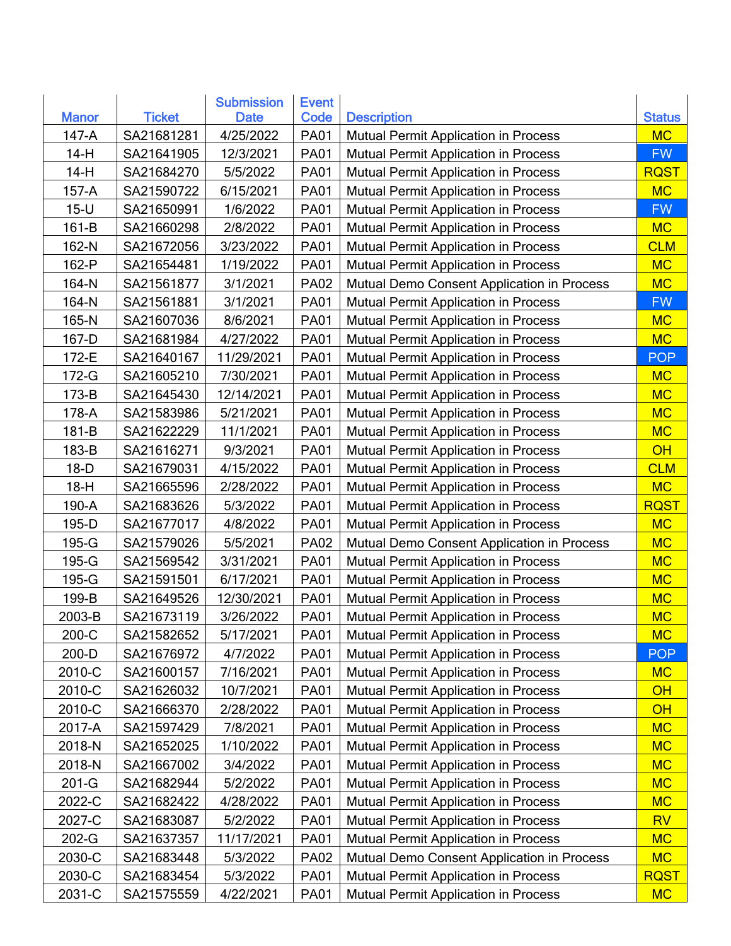|              |               | <b>Submission</b> | <b>Event</b> |                                             |               |
|--------------|---------------|-------------------|--------------|---------------------------------------------|---------------|
| <b>Manor</b> | <b>Ticket</b> | <b>Date</b>       | Code         | <b>Description</b>                          | <b>Status</b> |
| 147-A        | SA21681281    | 4/25/2022         | <b>PA01</b>  | Mutual Permit Application in Process        | <b>MC</b>     |
| $14-H$       | SA21641905    | 12/3/2021         | <b>PA01</b>  | <b>Mutual Permit Application in Process</b> | <b>FW</b>     |
| $14-H$       | SA21684270    | 5/5/2022          | <b>PA01</b>  | Mutual Permit Application in Process        | <b>RQST</b>   |
| 157-A        | SA21590722    | 6/15/2021         | <b>PA01</b>  | Mutual Permit Application in Process        | <b>MC</b>     |
| $15-U$       | SA21650991    | 1/6/2022          | <b>PA01</b>  | Mutual Permit Application in Process        | <b>FW</b>     |
| $161-B$      | SA21660298    | 2/8/2022          | <b>PA01</b>  | Mutual Permit Application in Process        | <b>MC</b>     |
| 162-N        | SA21672056    | 3/23/2022         | <b>PA01</b>  | Mutual Permit Application in Process        | <b>CLM</b>    |
| 162-P        | SA21654481    | 1/19/2022         | <b>PA01</b>  | Mutual Permit Application in Process        | <b>MC</b>     |
| 164-N        | SA21561877    | 3/1/2021          | <b>PA02</b>  | Mutual Demo Consent Application in Process  | <b>MC</b>     |
| 164-N        | SA21561881    | 3/1/2021          | <b>PA01</b>  | Mutual Permit Application in Process        | <b>FW</b>     |
| 165-N        | SA21607036    | 8/6/2021          | <b>PA01</b>  | Mutual Permit Application in Process        | <b>MC</b>     |
| 167-D        | SA21681984    | 4/27/2022         | <b>PA01</b>  | Mutual Permit Application in Process        | <b>MC</b>     |
| 172-E        | SA21640167    | 11/29/2021        | <b>PA01</b>  | Mutual Permit Application in Process        | <b>POP</b>    |
| 172-G        | SA21605210    | 7/30/2021         | <b>PA01</b>  | <b>Mutual Permit Application in Process</b> | <b>MC</b>     |
| $173-B$      | SA21645430    | 12/14/2021        | <b>PA01</b>  | <b>Mutual Permit Application in Process</b> | <b>MC</b>     |
| 178-A        | SA21583986    | 5/21/2021         | <b>PA01</b>  | Mutual Permit Application in Process        | <b>MC</b>     |
| 181-B        | SA21622229    | 11/1/2021         | <b>PA01</b>  | Mutual Permit Application in Process        | <b>MC</b>     |
| 183-B        | SA21616271    | 9/3/2021          | <b>PA01</b>  | Mutual Permit Application in Process        | OH            |
| $18-D$       | SA21679031    | 4/15/2022         | <b>PA01</b>  | <b>Mutual Permit Application in Process</b> | <b>CLM</b>    |
| $18-H$       | SA21665596    | 2/28/2022         | <b>PA01</b>  | Mutual Permit Application in Process        | <b>MC</b>     |
| 190-A        | SA21683626    | 5/3/2022          | <b>PA01</b>  | Mutual Permit Application in Process        | <b>RQST</b>   |
| 195-D        | SA21677017    | 4/8/2022          | <b>PA01</b>  | <b>Mutual Permit Application in Process</b> | <b>MC</b>     |
| 195-G        | SA21579026    | 5/5/2021          | <b>PA02</b>  | Mutual Demo Consent Application in Process  | <b>MC</b>     |
| 195-G        | SA21569542    | 3/31/2021         | <b>PA01</b>  | Mutual Permit Application in Process        | <b>MC</b>     |
| 195-G        | SA21591501    | 6/17/2021         | <b>PA01</b>  | Mutual Permit Application in Process        | <b>MC</b>     |
| 199-B        | SA21649526    | 12/30/2021        | <b>PA01</b>  | <b>Mutual Permit Application in Process</b> | <b>MC</b>     |
| 2003-B       | SA21673119    | 3/26/2022         | <b>PA01</b>  | <b>Mutual Permit Application in Process</b> | <b>MC</b>     |
| 200-C        | SA21582652    | 5/17/2021         | <b>PA01</b>  | Mutual Permit Application in Process        | <b>MC</b>     |
| 200-D        | SA21676972    | 4/7/2022          | <b>PA01</b>  | Mutual Permit Application in Process        | <b>POP</b>    |
| 2010-C       | SA21600157    | 7/16/2021         | <b>PA01</b>  | Mutual Permit Application in Process        | <b>MC</b>     |
| 2010-C       | SA21626032    | 10/7/2021         | <b>PA01</b>  | Mutual Permit Application in Process        | OH            |
| 2010-C       | SA21666370    | 2/28/2022         | <b>PA01</b>  | Mutual Permit Application in Process        | OH            |
| 2017-A       | SA21597429    | 7/8/2021          | <b>PA01</b>  | Mutual Permit Application in Process        | <b>MC</b>     |
| 2018-N       | SA21652025    | 1/10/2022         | <b>PA01</b>  | Mutual Permit Application in Process        | <b>MC</b>     |
| 2018-N       | SA21667002    | 3/4/2022          | <b>PA01</b>  | Mutual Permit Application in Process        | <b>MC</b>     |
| $201-G$      | SA21682944    | 5/2/2022          | <b>PA01</b>  | Mutual Permit Application in Process        | <b>MC</b>     |
| 2022-C       | SA21682422    | 4/28/2022         | <b>PA01</b>  | Mutual Permit Application in Process        | <b>MC</b>     |
| 2027-C       | SA21683087    | 5/2/2022          | <b>PA01</b>  | Mutual Permit Application in Process        | <b>RV</b>     |
| 202-G        | SA21637357    | 11/17/2021        | <b>PA01</b>  | Mutual Permit Application in Process        | <b>MC</b>     |
| 2030-C       | SA21683448    | 5/3/2022          | <b>PA02</b>  | Mutual Demo Consent Application in Process  | <b>MC</b>     |
| 2030-C       | SA21683454    | 5/3/2022          | <b>PA01</b>  | Mutual Permit Application in Process        | <b>RQST</b>   |
| 2031-C       | SA21575559    | 4/22/2021         | <b>PA01</b>  | Mutual Permit Application in Process        | <b>MC</b>     |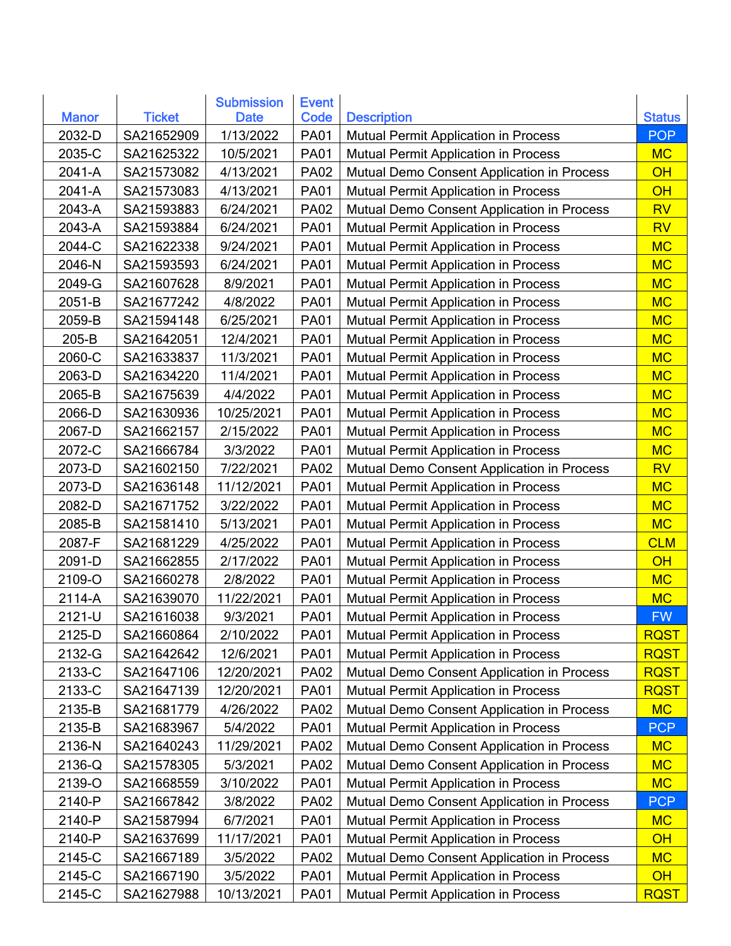| <b>Event</b><br><b>Submission</b>                                                                |               |
|--------------------------------------------------------------------------------------------------|---------------|
| <b>Ticket</b><br><b>Manor</b><br>Code<br><b>Description</b><br><b>Date</b>                       | <b>Status</b> |
| 2032-D<br>SA21652909<br>1/13/2022<br><b>PA01</b><br>Mutual Permit Application in Process         | <b>POP</b>    |
| 2035-C<br>SA21625322<br>10/5/2021<br><b>PA01</b><br>Mutual Permit Application in Process         | <b>MC</b>     |
| 2041-A<br>SA21573082<br>4/13/2021<br><b>PA02</b><br>Mutual Demo Consent Application in Process   | OH            |
| 2041-A<br>SA21573083<br>4/13/2021<br><b>PA01</b><br>Mutual Permit Application in Process         | OH            |
| 2043-A<br>SA21593883<br>6/24/2021<br><b>PA02</b><br>Mutual Demo Consent Application in Process   | <b>RV</b>     |
| 2043-A<br>SA21593884<br>6/24/2021<br><b>PA01</b><br>Mutual Permit Application in Process         | <b>RV</b>     |
| 2044-C<br>SA21622338<br>9/24/2021<br><b>PA01</b><br>Mutual Permit Application in Process         | <b>MC</b>     |
| 2046-N<br>SA21593593<br>6/24/2021<br><b>PA01</b><br>Mutual Permit Application in Process         | <b>MC</b>     |
| 2049-G<br>SA21607628<br>8/9/2021<br><b>PA01</b><br>Mutual Permit Application in Process          | <b>MC</b>     |
| 2051-B<br>SA21677242<br>4/8/2022<br><b>PA01</b><br><b>Mutual Permit Application in Process</b>   | <b>MC</b>     |
| 2059-B<br>SA21594148<br>6/25/2021<br><b>PA01</b><br>Mutual Permit Application in Process         | <b>MC</b>     |
| 205-B<br>SA21642051<br>12/4/2021<br><b>PA01</b><br>Mutual Permit Application in Process          | <b>MC</b>     |
| 2060-C<br>11/3/2021<br>SA21633837<br><b>PA01</b><br><b>Mutual Permit Application in Process</b>  | <b>MC</b>     |
| 2063-D<br>SA21634220<br>11/4/2021<br><b>PA01</b><br>Mutual Permit Application in Process         | <b>MC</b>     |
| 2065-B<br>SA21675639<br>4/4/2022<br><b>PA01</b><br><b>Mutual Permit Application in Process</b>   | <b>MC</b>     |
| SA21630936<br>2066-D<br>10/25/2021<br><b>PA01</b><br>Mutual Permit Application in Process        | <b>MC</b>     |
| 2067-D<br>SA21662157<br>2/15/2022<br><b>PA01</b><br>Mutual Permit Application in Process         | <b>MC</b>     |
| 2072-C<br>3/3/2022<br>SA21666784<br><b>PA01</b><br>Mutual Permit Application in Process          | <b>MC</b>     |
| 2073-D<br>SA21602150<br>7/22/2021<br><b>PA02</b><br>Mutual Demo Consent Application in Process   | <b>RV</b>     |
| 2073-D<br>SA21636148<br>11/12/2021<br><b>PA01</b><br><b>Mutual Permit Application in Process</b> | <b>MC</b>     |
| 2082-D<br>SA21671752<br>3/22/2022<br><b>PA01</b><br><b>Mutual Permit Application in Process</b>  | <b>MC</b>     |
| 2085-B<br>SA21581410<br>5/13/2021<br><b>PA01</b><br><b>Mutual Permit Application in Process</b>  | <b>MC</b>     |
| 2087-F<br>SA21681229<br>4/25/2022<br><b>PA01</b><br>Mutual Permit Application in Process         | <b>CLM</b>    |
| 2091-D<br>SA21662855<br>2/17/2022<br><b>PA01</b><br>Mutual Permit Application in Process         | OH            |
| 2109-O<br>SA21660278<br>2/8/2022<br><b>PA01</b><br>Mutual Permit Application in Process          | <b>MC</b>     |
| 2114-A<br>SA21639070<br>11/22/2021<br><b>PA01</b><br>Mutual Permit Application in Process        | <b>MC</b>     |
| 2121-U<br>SA21616038<br>9/3/2021<br><b>PA01</b><br><b>Mutual Permit Application in Process</b>   | <b>FW</b>     |
| 2125-D<br>SA21660864<br>2/10/2022<br><b>PA01</b><br>Mutual Permit Application in Process         | <b>RQST</b>   |
| SA21642642<br>2132-G<br>12/6/2021<br><b>PA01</b><br>Mutual Permit Application in Process         | <b>RQST</b>   |
| 2133-C<br>SA21647106<br>12/20/2021<br><b>PA02</b><br>Mutual Demo Consent Application in Process  | <b>RQST</b>   |
| 2133-C<br>SA21647139<br>12/20/2021<br><b>PA01</b><br>Mutual Permit Application in Process        | <u>RQST</u>   |
| 2135-B<br>SA21681779<br>4/26/2022<br><b>PA02</b><br>Mutual Demo Consent Application in Process   | <b>MC</b>     |
| 2135-B<br>SA21683967<br>5/4/2022<br><b>PA01</b><br>Mutual Permit Application in Process          | <b>PCP</b>    |
| SA21640243<br>2136-N<br>11/29/2021<br>Mutual Demo Consent Application in Process<br><b>PA02</b>  | <b>MC</b>     |
| 2136-Q<br>SA21578305<br>5/3/2021<br>Mutual Demo Consent Application in Process<br><b>PA02</b>    | <b>MC</b>     |
| 2139-O<br>SA21668559<br>3/10/2022<br><b>PA01</b><br>Mutual Permit Application in Process         | <b>MC</b>     |
| 2140-P<br>SA21667842<br>3/8/2022<br><b>PA02</b><br>Mutual Demo Consent Application in Process    | <b>PCP</b>    |
| 2140-P<br>SA21587994<br>6/7/2021<br><b>PA01</b><br>Mutual Permit Application in Process          | <b>MC</b>     |
| 2140-P<br>SA21637699<br>11/17/2021<br><b>PA01</b><br>Mutual Permit Application in Process        | OH            |
| 2145-C<br>SA21667189<br>Mutual Demo Consent Application in Process<br>3/5/2022<br><b>PA02</b>    | <b>MC</b>     |
| 2145-C<br>SA21667190<br>3/5/2022<br><b>PA01</b><br>Mutual Permit Application in Process          | OH            |
| 2145-C<br>SA21627988<br>10/13/2021<br><b>PA01</b><br>Mutual Permit Application in Process        | <b>RQST</b>   |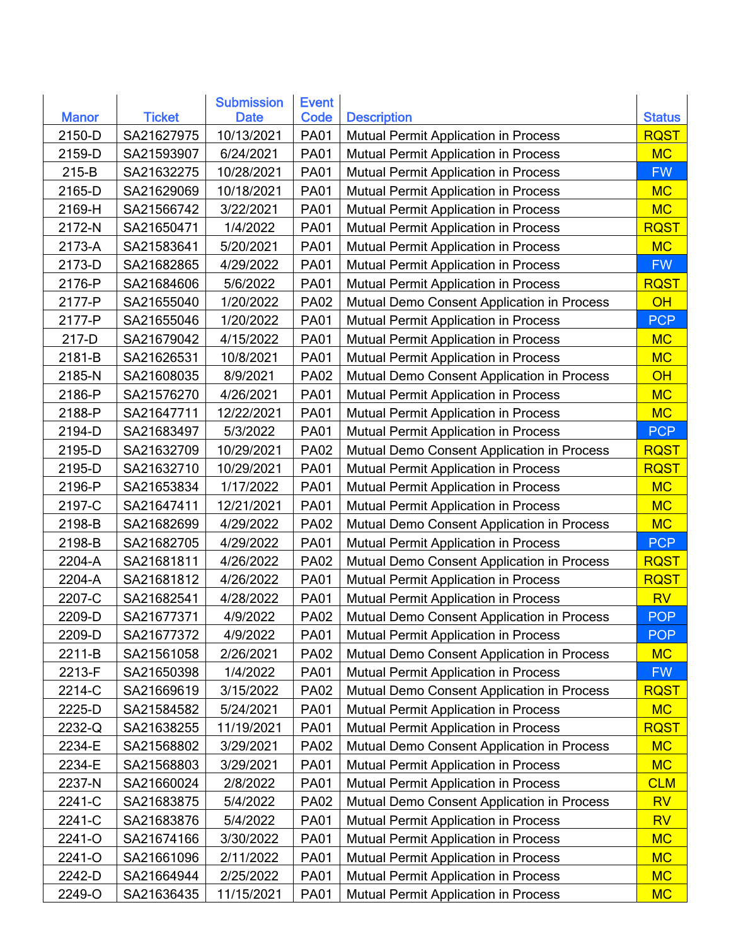|              |               | <b>Submission</b> | <b>Event</b> |                                             |               |
|--------------|---------------|-------------------|--------------|---------------------------------------------|---------------|
| <b>Manor</b> | <b>Ticket</b> | <b>Date</b>       | Code         | <b>Description</b>                          | <b>Status</b> |
| 2150-D       | SA21627975    | 10/13/2021        | <b>PA01</b>  | Mutual Permit Application in Process        | <b>RQST</b>   |
| 2159-D       | SA21593907    | 6/24/2021         | <b>PA01</b>  | Mutual Permit Application in Process        | <b>MC</b>     |
| $215-B$      | SA21632275    | 10/28/2021        | <b>PA01</b>  | Mutual Permit Application in Process        | <b>FW</b>     |
| 2165-D       | SA21629069    | 10/18/2021        | <b>PA01</b>  | Mutual Permit Application in Process        | <b>MC</b>     |
| 2169-H       | SA21566742    | 3/22/2021         | <b>PA01</b>  | Mutual Permit Application in Process        | <b>MC</b>     |
| 2172-N       | SA21650471    | 1/4/2022          | <b>PA01</b>  | Mutual Permit Application in Process        | <b>RQST</b>   |
| 2173-A       | SA21583641    | 5/20/2021         | <b>PA01</b>  | Mutual Permit Application in Process        | <b>MC</b>     |
| 2173-D       | SA21682865    | 4/29/2022         | <b>PA01</b>  | <b>Mutual Permit Application in Process</b> | <b>FW</b>     |
| 2176-P       | SA21684606    | 5/6/2022          | <b>PA01</b>  | Mutual Permit Application in Process        | <b>RQST</b>   |
| 2177-P       | SA21655040    | 1/20/2022         | <b>PA02</b>  | Mutual Demo Consent Application in Process  | OH            |
| 2177-P       | SA21655046    | 1/20/2022         | <b>PA01</b>  | Mutual Permit Application in Process        | <b>PCP</b>    |
| 217-D        | SA21679042    | 4/15/2022         | <b>PA01</b>  | Mutual Permit Application in Process        | <b>MC</b>     |
| 2181-B       | SA21626531    | 10/8/2021         | <b>PA01</b>  | Mutual Permit Application in Process        | <b>MC</b>     |
| 2185-N       | SA21608035    | 8/9/2021          | <b>PA02</b>  | Mutual Demo Consent Application in Process  | OH            |
| 2186-P       | SA21576270    | 4/26/2021         | <b>PA01</b>  | <b>Mutual Permit Application in Process</b> | <b>MC</b>     |
| 2188-P       | SA21647711    | 12/22/2021        | <b>PA01</b>  | Mutual Permit Application in Process        | <b>MC</b>     |
| 2194-D       | SA21683497    | 5/3/2022          | <b>PA01</b>  | Mutual Permit Application in Process        | <b>PCP</b>    |
| 2195-D       | SA21632709    | 10/29/2021        | <b>PA02</b>  | Mutual Demo Consent Application in Process  | <b>RQST</b>   |
| 2195-D       | SA21632710    | 10/29/2021        | <b>PA01</b>  | <b>Mutual Permit Application in Process</b> | <b>RQST</b>   |
| 2196-P       | SA21653834    | 1/17/2022         | <b>PA01</b>  | Mutual Permit Application in Process        | <b>MC</b>     |
| 2197-C       | SA21647411    | 12/21/2021        | <b>PA01</b>  | Mutual Permit Application in Process        | <b>MC</b>     |
| 2198-B       | SA21682699    | 4/29/2022         | <b>PA02</b>  | Mutual Demo Consent Application in Process  | <b>MC</b>     |
| 2198-B       | SA21682705    | 4/29/2022         | <b>PA01</b>  | Mutual Permit Application in Process        | <b>PCP</b>    |
| 2204-A       | SA21681811    | 4/26/2022         | <b>PA02</b>  | Mutual Demo Consent Application in Process  | <b>RQST</b>   |
| 2204-A       | SA21681812    | 4/26/2022         | <b>PA01</b>  | Mutual Permit Application in Process        | <b>RQST</b>   |
| 2207-C       | SA21682541    | 4/28/2022         | <b>PA01</b>  | Mutual Permit Application in Process        | <b>RV</b>     |
| 2209-D       | SA21677371    | 4/9/2022          | <b>PA02</b>  | Mutual Demo Consent Application in Process  | <b>POP</b>    |
| 2209-D       | SA21677372    | 4/9/2022          | <b>PA01</b>  | Mutual Permit Application in Process        | <b>POP</b>    |
| 2211-B       | SA21561058    | 2/26/2021         | <b>PA02</b>  | Mutual Demo Consent Application in Process  | <b>MC</b>     |
| 2213-F       | SA21650398    | 1/4/2022          | <b>PA01</b>  | Mutual Permit Application in Process        | <b>FW</b>     |
| 2214-C       | SA21669619    | 3/15/2022         | <b>PA02</b>  | Mutual Demo Consent Application in Process  | <b>RQST</b>   |
| 2225-D       | SA21584582    | 5/24/2021         | <b>PA01</b>  | Mutual Permit Application in Process        | <b>MC</b>     |
| 2232-Q       | SA21638255    | 11/19/2021        | <b>PA01</b>  | Mutual Permit Application in Process        | <b>RQST</b>   |
| 2234-E       | SA21568802    | 3/29/2021         | <b>PA02</b>  | Mutual Demo Consent Application in Process  | <b>MC</b>     |
| 2234-E       | SA21568803    | 3/29/2021         | <b>PA01</b>  | Mutual Permit Application in Process        | <b>MC</b>     |
| 2237-N       | SA21660024    | 2/8/2022          | <b>PA01</b>  | Mutual Permit Application in Process        | <b>CLM</b>    |
| 2241-C       | SA21683875    | 5/4/2022          | <b>PA02</b>  | Mutual Demo Consent Application in Process  | <b>RV</b>     |
| 2241-C       | SA21683876    | 5/4/2022          | <b>PA01</b>  | Mutual Permit Application in Process        | <b>RV</b>     |
| 2241-O       | SA21674166    | 3/30/2022         | <b>PA01</b>  | Mutual Permit Application in Process        | <b>MC</b>     |
| 2241-O       | SA21661096    | 2/11/2022         | <b>PA01</b>  | Mutual Permit Application in Process        | <b>MC</b>     |
| 2242-D       | SA21664944    | 2/25/2022         | <b>PA01</b>  | Mutual Permit Application in Process        | <b>MC</b>     |
| 2249-O       | SA21636435    | 11/15/2021        | <b>PA01</b>  | Mutual Permit Application in Process        | <b>MC</b>     |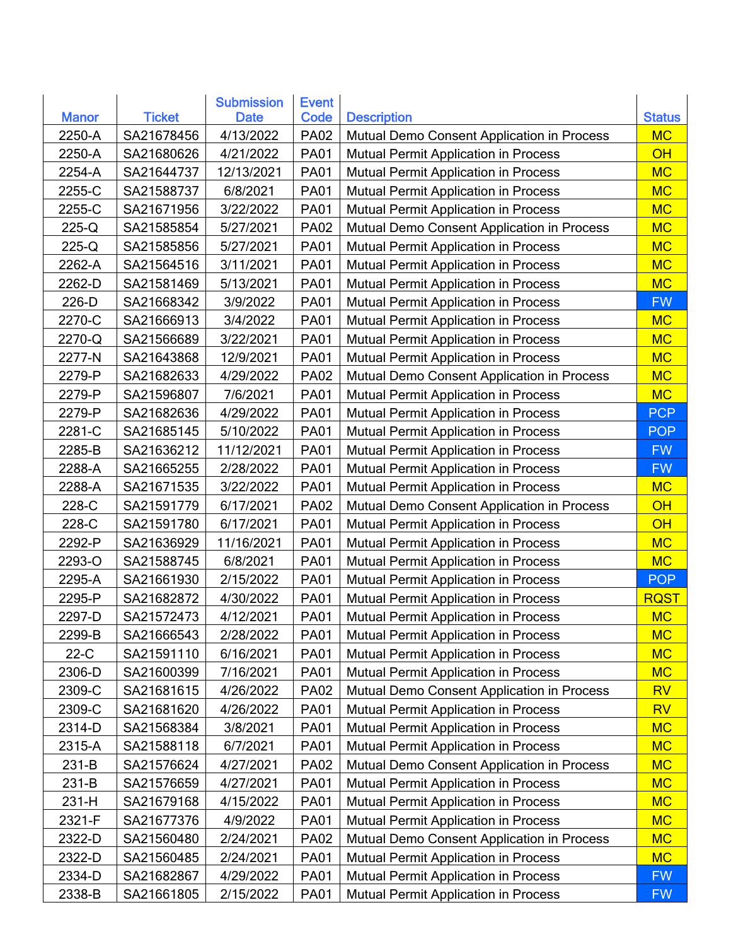|              |               | <b>Submission</b> | <b>Event</b> |                                             |               |
|--------------|---------------|-------------------|--------------|---------------------------------------------|---------------|
| <b>Manor</b> | <b>Ticket</b> | <b>Date</b>       | Code         | <b>Description</b>                          | <b>Status</b> |
| 2250-A       | SA21678456    | 4/13/2022         | <b>PA02</b>  | Mutual Demo Consent Application in Process  | <b>MC</b>     |
| 2250-A       | SA21680626    | 4/21/2022         | <b>PA01</b>  | Mutual Permit Application in Process        | OH            |
| 2254-A       | SA21644737    | 12/13/2021        | <b>PA01</b>  | <b>Mutual Permit Application in Process</b> | <b>MC</b>     |
| 2255-C       | SA21588737    | 6/8/2021          | <b>PA01</b>  | Mutual Permit Application in Process        | <b>MC</b>     |
| 2255-C       | SA21671956    | 3/22/2022         | <b>PA01</b>  | <b>Mutual Permit Application in Process</b> | <b>MC</b>     |
| $225-Q$      | SA21585854    | 5/27/2021         | <b>PA02</b>  | Mutual Demo Consent Application in Process  | <b>MC</b>     |
| $225-Q$      | SA21585856    | 5/27/2021         | <b>PA01</b>  | <b>Mutual Permit Application in Process</b> | <b>MC</b>     |
| 2262-A       | SA21564516    | 3/11/2021         | <b>PA01</b>  | <b>Mutual Permit Application in Process</b> | <b>MC</b>     |
| 2262-D       | SA21581469    | 5/13/2021         | <b>PA01</b>  | <b>Mutual Permit Application in Process</b> | <b>MC</b>     |
| 226-D        | SA21668342    | 3/9/2022          | <b>PA01</b>  | <b>Mutual Permit Application in Process</b> | <b>FW</b>     |
| 2270-C       | SA21666913    | 3/4/2022          | <b>PA01</b>  | Mutual Permit Application in Process        | <b>MC</b>     |
| 2270-Q       | SA21566689    | 3/22/2021         | <b>PA01</b>  | Mutual Permit Application in Process        | <b>MC</b>     |
| 2277-N       | SA21643868    | 12/9/2021         | <b>PA01</b>  | Mutual Permit Application in Process        | <b>MC</b>     |
| 2279-P       | SA21682633    | 4/29/2022         | <b>PA02</b>  | Mutual Demo Consent Application in Process  | <b>MC</b>     |
| 2279-P       | SA21596807    | 7/6/2021          | <b>PA01</b>  | <b>Mutual Permit Application in Process</b> | <b>MC</b>     |
| 2279-P       | SA21682636    | 4/29/2022         | <b>PA01</b>  | Mutual Permit Application in Process        | <b>PCP</b>    |
| 2281-C       | SA21685145    | 5/10/2022         | <b>PA01</b>  | <b>Mutual Permit Application in Process</b> | <b>POP</b>    |
| 2285-B       | SA21636212    | 11/12/2021        | <b>PA01</b>  | Mutual Permit Application in Process        | <b>FW</b>     |
| 2288-A       | SA21665255    | 2/28/2022         | <b>PA01</b>  | Mutual Permit Application in Process        | <b>FW</b>     |
| 2288-A       | SA21671535    | 3/22/2022         | <b>PA01</b>  | <b>Mutual Permit Application in Process</b> | <b>MC</b>     |
| 228-C        | SA21591779    | 6/17/2021         | <b>PA02</b>  | Mutual Demo Consent Application in Process  | OH            |
| 228-C        | SA21591780    | 6/17/2021         | <b>PA01</b>  | <b>Mutual Permit Application in Process</b> | OH            |
| 2292-P       | SA21636929    | 11/16/2021        | <b>PA01</b>  | Mutual Permit Application in Process        | <b>MC</b>     |
| 2293-O       | SA21588745    | 6/8/2021          | <b>PA01</b>  | <b>Mutual Permit Application in Process</b> | <b>MC</b>     |
| 2295-A       | SA21661930    | 2/15/2022         | <b>PA01</b>  | Mutual Permit Application in Process        | <b>POP</b>    |
| 2295-P       | SA21682872    | 4/30/2022         | <b>PA01</b>  | Mutual Permit Application in Process        | <b>RQST</b>   |
| 2297-D       | SA21572473    | 4/12/2021         | <b>PA01</b>  | <b>Mutual Permit Application in Process</b> | <b>MC</b>     |
| 2299-B       | SA21666543    | 2/28/2022         | <b>PA01</b>  | Mutual Permit Application in Process        | <b>MC</b>     |
| $22-C$       | SA21591110    | 6/16/2021         | <b>PA01</b>  | Mutual Permit Application in Process        | <b>MC</b>     |
| 2306-D       | SA21600399    | 7/16/2021         | <b>PA01</b>  | Mutual Permit Application in Process        | <b>MC</b>     |
| 2309-C       | SA21681615    | 4/26/2022         | <b>PA02</b>  | Mutual Demo Consent Application in Process  | <b>RV</b>     |
| 2309-C       | SA21681620    | 4/26/2022         | <b>PA01</b>  | <b>Mutual Permit Application in Process</b> | <b>RV</b>     |
| 2314-D       | SA21568384    | 3/8/2021          | <b>PA01</b>  | <b>Mutual Permit Application in Process</b> | <b>MC</b>     |
| 2315-A       | SA21588118    | 6/7/2021          | <b>PA01</b>  | <b>Mutual Permit Application in Process</b> | <b>MC</b>     |
| $231 - B$    | SA21576624    | 4/27/2021         | <b>PA02</b>  | Mutual Demo Consent Application in Process  | <b>MC</b>     |
| $231 - B$    | SA21576659    | 4/27/2021         | <b>PA01</b>  | Mutual Permit Application in Process        | <b>MC</b>     |
| 231-H        | SA21679168    | 4/15/2022         | <b>PA01</b>  | Mutual Permit Application in Process        | <b>MC</b>     |
| 2321-F       | SA21677376    | 4/9/2022          | <b>PA01</b>  | Mutual Permit Application in Process        | <b>MC</b>     |
| 2322-D       | SA21560480    | 2/24/2021         | <b>PA02</b>  | Mutual Demo Consent Application in Process  | <b>MC</b>     |
| 2322-D       | SA21560485    | 2/24/2021         | <b>PA01</b>  | <b>Mutual Permit Application in Process</b> | <b>MC</b>     |
| 2334-D       | SA21682867    | 4/29/2022         | <b>PA01</b>  | Mutual Permit Application in Process        | <b>FW</b>     |
| 2338-B       | SA21661805    | 2/15/2022         | <b>PA01</b>  | Mutual Permit Application in Process        | <b>FW</b>     |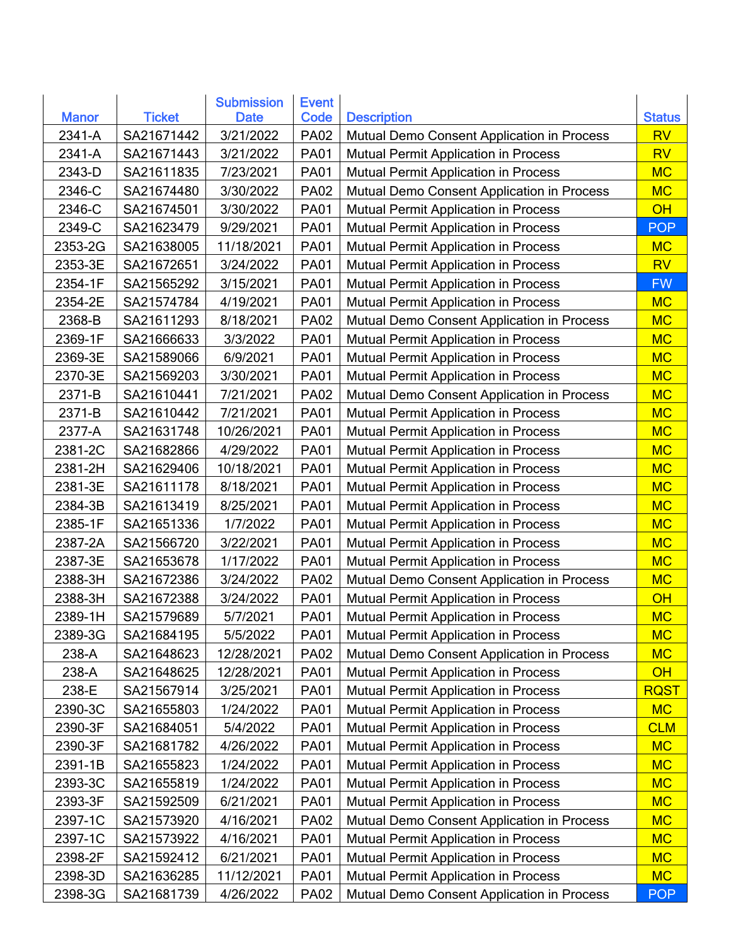|              |               | <b>Submission</b> | <b>Event</b> |                                             |               |
|--------------|---------------|-------------------|--------------|---------------------------------------------|---------------|
| <b>Manor</b> | <b>Ticket</b> | <b>Date</b>       | Code         | <b>Description</b>                          | <b>Status</b> |
| 2341-A       | SA21671442    | 3/21/2022         | <b>PA02</b>  | Mutual Demo Consent Application in Process  | <b>RV</b>     |
| 2341-A       | SA21671443    | 3/21/2022         | <b>PA01</b>  | Mutual Permit Application in Process        | <b>RV</b>     |
| 2343-D       | SA21611835    | 7/23/2021         | <b>PA01</b>  | <b>Mutual Permit Application in Process</b> | <b>MC</b>     |
| 2346-C       | SA21674480    | 3/30/2022         | <b>PA02</b>  | Mutual Demo Consent Application in Process  | <b>MC</b>     |
| 2346-C       | SA21674501    | 3/30/2022         | <b>PA01</b>  | <b>Mutual Permit Application in Process</b> | OH            |
| 2349-C       | SA21623479    | 9/29/2021         | <b>PA01</b>  | Mutual Permit Application in Process        | <b>POP</b>    |
| 2353-2G      | SA21638005    | 11/18/2021        | <b>PA01</b>  | Mutual Permit Application in Process        | <b>MC</b>     |
| 2353-3E      | SA21672651    | 3/24/2022         | <b>PA01</b>  | Mutual Permit Application in Process        | <b>RV</b>     |
| 2354-1F      | SA21565292    | 3/15/2021         | <b>PA01</b>  | Mutual Permit Application in Process        | <b>FW</b>     |
| 2354-2E      | SA21574784    | 4/19/2021         | <b>PA01</b>  | Mutual Permit Application in Process        | <b>MC</b>     |
| 2368-B       | SA21611293    | 8/18/2021         | <b>PA02</b>  | Mutual Demo Consent Application in Process  | <b>MC</b>     |
| 2369-1F      | SA21666633    | 3/3/2022          | <b>PA01</b>  | Mutual Permit Application in Process        | <b>MC</b>     |
| 2369-3E      | SA21589066    | 6/9/2021          | <b>PA01</b>  | <b>Mutual Permit Application in Process</b> | <b>MC</b>     |
| 2370-3E      | SA21569203    | 3/30/2021         | <b>PA01</b>  | Mutual Permit Application in Process        | <b>MC</b>     |
| 2371-B       | SA21610441    | 7/21/2021         | <b>PA02</b>  | Mutual Demo Consent Application in Process  | <b>MC</b>     |
| 2371-B       | SA21610442    | 7/21/2021         | <b>PA01</b>  | Mutual Permit Application in Process        | <b>MC</b>     |
| 2377-A       | SA21631748    | 10/26/2021        | <b>PA01</b>  | Mutual Permit Application in Process        | <b>MC</b>     |
| 2381-2C      | SA21682866    | 4/29/2022         | <b>PA01</b>  | Mutual Permit Application in Process        | <b>MC</b>     |
| 2381-2H      | SA21629406    | 10/18/2021        | <b>PA01</b>  | Mutual Permit Application in Process        | <b>MC</b>     |
| 2381-3E      | SA21611178    | 8/18/2021         | <b>PA01</b>  | Mutual Permit Application in Process        | <b>MC</b>     |
| 2384-3B      | SA21613419    | 8/25/2021         | <b>PA01</b>  | Mutual Permit Application in Process        | <b>MC</b>     |
| 2385-1F      | SA21651336    | 1/7/2022          | <b>PA01</b>  | Mutual Permit Application in Process        | <b>MC</b>     |
| 2387-2A      | SA21566720    | 3/22/2021         | <b>PA01</b>  | Mutual Permit Application in Process        | <b>MC</b>     |
| 2387-3E      | SA21653678    | 1/17/2022         | <b>PA01</b>  | Mutual Permit Application in Process        | <b>MC</b>     |
| 2388-3H      | SA21672386    | 3/24/2022         | <b>PA02</b>  | Mutual Demo Consent Application in Process  | <b>MC</b>     |
| 2388-3H      | SA21672388    | 3/24/2022         | <b>PA01</b>  | <b>Mutual Permit Application in Process</b> | OH            |
| 2389-1H      | SA21579689    | 5/7/2021          | <b>PA01</b>  | <b>Mutual Permit Application in Process</b> | <b>MC</b>     |
| 2389-3G      | SA21684195    | 5/5/2022          | <b>PA01</b>  | Mutual Permit Application in Process        | <b>MC</b>     |
| 238-A        | SA21648623    | 12/28/2021        | <b>PA02</b>  | Mutual Demo Consent Application in Process  | <b>MC</b>     |
| 238-A        | SA21648625    | 12/28/2021        | <b>PA01</b>  | <b>Mutual Permit Application in Process</b> | OH            |
| 238-E        | SA21567914    | 3/25/2021         | <b>PA01</b>  | <b>Mutual Permit Application in Process</b> | <b>RQST</b>   |
| 2390-3C      | SA21655803    | 1/24/2022         | <b>PA01</b>  | <b>Mutual Permit Application in Process</b> | <b>MC</b>     |
| 2390-3F      | SA21684051    | 5/4/2022          | <b>PA01</b>  | <b>Mutual Permit Application in Process</b> | <b>CLM</b>    |
| 2390-3F      | SA21681782    | 4/26/2022         | <b>PA01</b>  | Mutual Permit Application in Process        | <b>MC</b>     |
| 2391-1B      | SA21655823    | 1/24/2022         | <b>PA01</b>  | Mutual Permit Application in Process        | MC            |
| 2393-3C      | SA21655819    | 1/24/2022         | <b>PA01</b>  | <b>Mutual Permit Application in Process</b> | <b>MC</b>     |
| 2393-3F      | SA21592509    | 6/21/2021         | <b>PA01</b>  | Mutual Permit Application in Process        | <b>MC</b>     |
| 2397-1C      | SA21573920    | 4/16/2021         | <b>PA02</b>  | Mutual Demo Consent Application in Process  | <b>MC</b>     |
| 2397-1C      | SA21573922    | 4/16/2021         | <b>PA01</b>  | <b>Mutual Permit Application in Process</b> | <b>MC</b>     |
| 2398-2F      | SA21592412    | 6/21/2021         | <b>PA01</b>  | Mutual Permit Application in Process        | <b>MC</b>     |
| 2398-3D      | SA21636285    | 11/12/2021        | <b>PA01</b>  | Mutual Permit Application in Process        | <b>MC</b>     |
| 2398-3G      | SA21681739    | 4/26/2022         | <b>PA02</b>  | Mutual Demo Consent Application in Process  | <b>POP</b>    |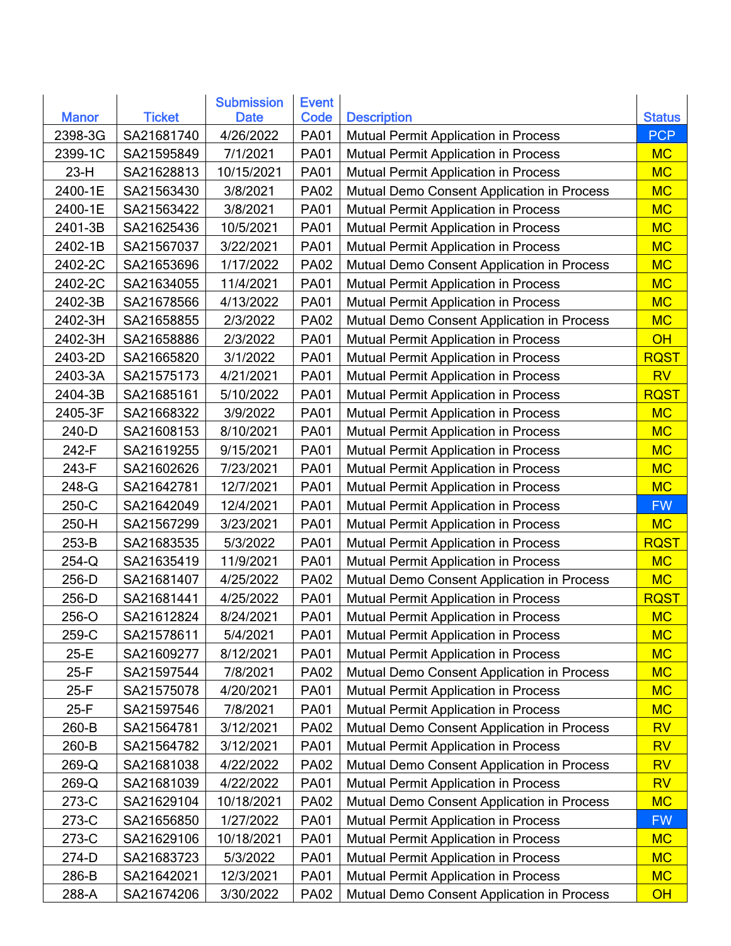|              |               | <b>Submission</b> | <b>Event</b> |                                             |               |
|--------------|---------------|-------------------|--------------|---------------------------------------------|---------------|
| <b>Manor</b> | <b>Ticket</b> | <b>Date</b>       | Code         | <b>Description</b>                          | <b>Status</b> |
| 2398-3G      | SA21681740    | 4/26/2022         | <b>PA01</b>  | Mutual Permit Application in Process        | <b>PCP</b>    |
| 2399-1C      | SA21595849    | 7/1/2021          | <b>PA01</b>  | Mutual Permit Application in Process        | <b>MC</b>     |
| $23-H$       | SA21628813    | 10/15/2021        | <b>PA01</b>  | <b>Mutual Permit Application in Process</b> | <b>MC</b>     |
| 2400-1E      | SA21563430    | 3/8/2021          | <b>PA02</b>  | Mutual Demo Consent Application in Process  | <b>MC</b>     |
| 2400-1E      | SA21563422    | 3/8/2021          | <b>PA01</b>  | Mutual Permit Application in Process        | <b>MC</b>     |
| 2401-3B      | SA21625436    | 10/5/2021         | <b>PA01</b>  | <b>Mutual Permit Application in Process</b> | <b>MC</b>     |
| 2402-1B      | SA21567037    | 3/22/2021         | <b>PA01</b>  | <b>Mutual Permit Application in Process</b> | <b>MC</b>     |
| 2402-2C      | SA21653696    | 1/17/2022         | <b>PA02</b>  | Mutual Demo Consent Application in Process  | <b>MC</b>     |
| 2402-2C      | SA21634055    | 11/4/2021         | <b>PA01</b>  | Mutual Permit Application in Process        | <b>MC</b>     |
| 2402-3B      | SA21678566    | 4/13/2022         | <b>PA01</b>  | Mutual Permit Application in Process        | <b>MC</b>     |
| 2402-3H      | SA21658855    | 2/3/2022          | <b>PA02</b>  | Mutual Demo Consent Application in Process  | <b>MC</b>     |
| 2402-3H      | SA21658886    | 2/3/2022          | <b>PA01</b>  | Mutual Permit Application in Process        | OH            |
| 2403-2D      | SA21665820    | 3/1/2022          | <b>PA01</b>  | <b>Mutual Permit Application in Process</b> | <b>RQST</b>   |
| 2403-3A      | SA21575173    | 4/21/2021         | <b>PA01</b>  | <b>Mutual Permit Application in Process</b> | <b>RV</b>     |
| 2404-3B      | SA21685161    | 5/10/2022         | <b>PA01</b>  | <b>Mutual Permit Application in Process</b> | <b>RQST</b>   |
| 2405-3F      | SA21668322    | 3/9/2022          | <b>PA01</b>  | Mutual Permit Application in Process        | <b>MC</b>     |
| 240-D        | SA21608153    | 8/10/2021         | <b>PA01</b>  | Mutual Permit Application in Process        | <b>MC</b>     |
| 242-F        | SA21619255    | 9/15/2021         | <b>PA01</b>  | Mutual Permit Application in Process        | <b>MC</b>     |
| 243-F        | SA21602626    | 7/23/2021         | <b>PA01</b>  | <b>Mutual Permit Application in Process</b> | <b>MC</b>     |
| 248-G        | SA21642781    | 12/7/2021         | <b>PA01</b>  | <b>Mutual Permit Application in Process</b> | <b>MC</b>     |
| 250-C        | SA21642049    | 12/4/2021         | <b>PA01</b>  | <b>Mutual Permit Application in Process</b> | <b>FW</b>     |
| 250-H        | SA21567299    | 3/23/2021         | <b>PA01</b>  | <b>Mutual Permit Application in Process</b> | <b>MC</b>     |
| 253-B        | SA21683535    | 5/3/2022          | <b>PA01</b>  | Mutual Permit Application in Process        | <b>RQST</b>   |
| 254-Q        | SA21635419    | 11/9/2021         | <b>PA01</b>  | <b>Mutual Permit Application in Process</b> | <b>MC</b>     |
| 256-D        | SA21681407    | 4/25/2022         | <b>PA02</b>  | Mutual Demo Consent Application in Process  | <b>MC</b>     |
| 256-D        | SA21681441    | 4/25/2022         | <b>PA01</b>  | <b>Mutual Permit Application in Process</b> | <b>RQST</b>   |
| 256-O        | SA21612824    | 8/24/2021         | <b>PA01</b>  | <b>Mutual Permit Application in Process</b> | <b>MC</b>     |
| 259-C        | SA21578611    | 5/4/2021          | <b>PA01</b>  | Mutual Permit Application in Process        | <b>MC</b>     |
| 25-E         | SA21609277    | 8/12/2021         | <b>PA01</b>  | Mutual Permit Application in Process        | <b>MC</b>     |
| $25-F$       | SA21597544    | 7/8/2021          | <b>PA02</b>  | Mutual Demo Consent Application in Process  | <b>MC</b>     |
| $25-F$       | SA21575078    | 4/20/2021         | <b>PA01</b>  | Mutual Permit Application in Process        | <b>MC</b>     |
| $25-F$       | SA21597546    | 7/8/2021          | <b>PA01</b>  | Mutual Permit Application in Process        | <b>MC</b>     |
| 260-B        | SA21564781    | 3/12/2021         | <b>PA02</b>  | Mutual Demo Consent Application in Process  | <b>RV</b>     |
| 260-B        | SA21564782    | 3/12/2021         | <b>PA01</b>  | <b>Mutual Permit Application in Process</b> | <b>RV</b>     |
| 269-Q        | SA21681038    | 4/22/2022         | <b>PA02</b>  | Mutual Demo Consent Application in Process  | <b>RV</b>     |
| 269-Q        | SA21681039    | 4/22/2022         | <b>PA01</b>  | Mutual Permit Application in Process        | <b>RV</b>     |
| 273-C        | SA21629104    | 10/18/2021        | <b>PA02</b>  | Mutual Demo Consent Application in Process  | <b>MC</b>     |
| 273-C        | SA21656850    | 1/27/2022         | <b>PA01</b>  | Mutual Permit Application in Process        | <b>FW</b>     |
| 273-C        | SA21629106    | 10/18/2021        | <b>PA01</b>  | <b>Mutual Permit Application in Process</b> | <b>MC</b>     |
| 274-D        | SA21683723    | 5/3/2022          | <b>PA01</b>  | Mutual Permit Application in Process        | <b>MC</b>     |
| 286-B        | SA21642021    | 12/3/2021         | <b>PA01</b>  | Mutual Permit Application in Process        | <b>MC</b>     |
| 288-A        | SA21674206    | 3/30/2022         | <b>PA02</b>  | Mutual Demo Consent Application in Process  | OH            |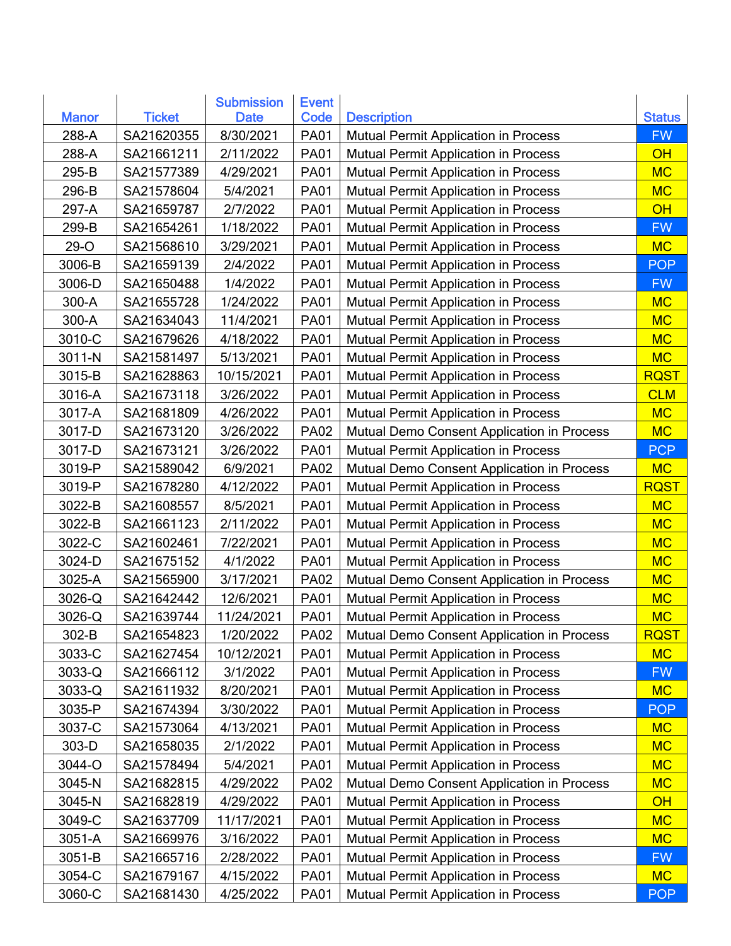|              |               | <b>Submission</b> | <b>Event</b> |                                             |               |
|--------------|---------------|-------------------|--------------|---------------------------------------------|---------------|
| <b>Manor</b> | <b>Ticket</b> | <b>Date</b>       | Code         | <b>Description</b>                          | <b>Status</b> |
| 288-A        | SA21620355    | 8/30/2021         | <b>PA01</b>  | Mutual Permit Application in Process        | <b>FW</b>     |
| 288-A        | SA21661211    | 2/11/2022         | <b>PA01</b>  | Mutual Permit Application in Process        | OH            |
| 295-B        | SA21577389    | 4/29/2021         | <b>PA01</b>  | <b>Mutual Permit Application in Process</b> | <b>MC</b>     |
| 296-B        | SA21578604    | 5/4/2021          | <b>PA01</b>  | Mutual Permit Application in Process        | <b>MC</b>     |
| 297-A        | SA21659787    | 2/7/2022          | <b>PA01</b>  | Mutual Permit Application in Process        | OH            |
| 299-B        | SA21654261    | 1/18/2022         | <b>PA01</b>  | <b>Mutual Permit Application in Process</b> | <b>FW</b>     |
| $29-0$       | SA21568610    | 3/29/2021         | <b>PA01</b>  | <b>Mutual Permit Application in Process</b> | <b>MC</b>     |
| 3006-B       | SA21659139    | 2/4/2022          | <b>PA01</b>  | <b>Mutual Permit Application in Process</b> | <b>POP</b>    |
| 3006-D       | SA21650488    | 1/4/2022          | <b>PA01</b>  | Mutual Permit Application in Process        | <b>FW</b>     |
| 300-A        | SA21655728    | 1/24/2022         | <b>PA01</b>  | <b>Mutual Permit Application in Process</b> | <b>MC</b>     |
| 300-A        | SA21634043    | 11/4/2021         | <b>PA01</b>  | Mutual Permit Application in Process        | <b>MC</b>     |
| 3010-C       | SA21679626    | 4/18/2022         | <b>PA01</b>  | Mutual Permit Application in Process        | <b>MC</b>     |
| 3011-N       | SA21581497    | 5/13/2021         | <b>PA01</b>  | <b>Mutual Permit Application in Process</b> | <b>MC</b>     |
| 3015-B       | SA21628863    | 10/15/2021        | <b>PA01</b>  | Mutual Permit Application in Process        | <b>RQST</b>   |
| 3016-A       | SA21673118    | 3/26/2022         | <b>PA01</b>  | <b>Mutual Permit Application in Process</b> | <b>CLM</b>    |
| 3017-A       | SA21681809    | 4/26/2022         | <b>PA01</b>  | Mutual Permit Application in Process        | <b>MC</b>     |
| 3017-D       | SA21673120    | 3/26/2022         | <b>PA02</b>  | Mutual Demo Consent Application in Process  | <b>MC</b>     |
| 3017-D       | SA21673121    | 3/26/2022         | <b>PA01</b>  | Mutual Permit Application in Process        | <b>PCP</b>    |
| 3019-P       | SA21589042    | 6/9/2021          | <b>PA02</b>  | Mutual Demo Consent Application in Process  | <b>MC</b>     |
| 3019-P       | SA21678280    | 4/12/2022         | <b>PA01</b>  | <b>Mutual Permit Application in Process</b> | <b>RQST</b>   |
| 3022-B       | SA21608557    | 8/5/2021          | <b>PA01</b>  | <b>Mutual Permit Application in Process</b> | <b>MC</b>     |
| 3022-B       | SA21661123    | 2/11/2022         | <b>PA01</b>  | <b>Mutual Permit Application in Process</b> | <b>MC</b>     |
| 3022-C       | SA21602461    | 7/22/2021         | <b>PA01</b>  | Mutual Permit Application in Process        | <b>MC</b>     |
| 3024-D       | SA21675152    | 4/1/2022          | <b>PA01</b>  | <b>Mutual Permit Application in Process</b> | <b>MC</b>     |
| 3025-A       | SA21565900    | 3/17/2021         | <b>PA02</b>  | Mutual Demo Consent Application in Process  | <b>MC</b>     |
| 3026-Q       | SA21642442    | 12/6/2021         | <b>PA01</b>  | <b>Mutual Permit Application in Process</b> | <b>MC</b>     |
| 3026-Q       | SA21639744    | 11/24/2021        | <b>PA01</b>  | <b>Mutual Permit Application in Process</b> | <b>MC</b>     |
| 302-B        | SA21654823    | 1/20/2022         | <b>PA02</b>  | Mutual Demo Consent Application in Process  | <b>RQST</b>   |
| 3033-C       | SA21627454    | 10/12/2021        | <b>PA01</b>  | Mutual Permit Application in Process        | <b>MC</b>     |
| 3033-Q       | SA21666112    | 3/1/2022          | <b>PA01</b>  | Mutual Permit Application in Process        | <b>FW</b>     |
| 3033-Q       | SA21611932    | 8/20/2021         | <b>PA01</b>  | Mutual Permit Application in Process        | <b>MC</b>     |
| 3035-P       | SA21674394    | 3/30/2022         | <b>PA01</b>  | Mutual Permit Application in Process        | <b>POP</b>    |
| 3037-C       | SA21573064    | 4/13/2021         | <b>PA01</b>  | Mutual Permit Application in Process        | <b>MC</b>     |
| 303-D        | SA21658035    | 2/1/2022          | <b>PA01</b>  | Mutual Permit Application in Process        | <b>MC</b>     |
| 3044-O       | SA21578494    | 5/4/2021          | <b>PA01</b>  | Mutual Permit Application in Process        | <b>MC</b>     |
| 3045-N       | SA21682815    | 4/29/2022         | <b>PA02</b>  | Mutual Demo Consent Application in Process  | <b>MC</b>     |
| 3045-N       | SA21682819    | 4/29/2022         | <b>PA01</b>  | Mutual Permit Application in Process        | OH            |
| 3049-C       | SA21637709    | 11/17/2021        | <b>PA01</b>  | Mutual Permit Application in Process        | <b>MC</b>     |
| 3051-A       | SA21669976    | 3/16/2022         | <b>PA01</b>  | <b>Mutual Permit Application in Process</b> | <b>MC</b>     |
| 3051-B       | SA21665716    | 2/28/2022         | <b>PA01</b>  | Mutual Permit Application in Process        | <b>FW</b>     |
| 3054-C       | SA21679167    | 4/15/2022         | <b>PA01</b>  | Mutual Permit Application in Process        | <b>MC</b>     |
| 3060-C       | SA21681430    | 4/25/2022         | <b>PA01</b>  | Mutual Permit Application in Process        | <b>POP</b>    |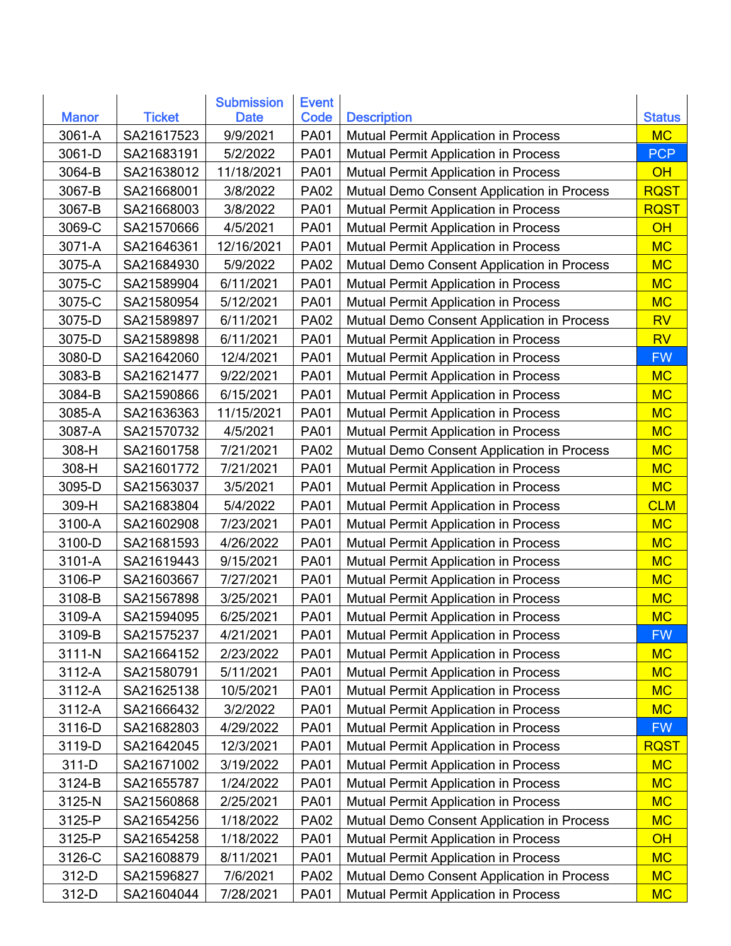|              |               | <b>Submission</b> | <b>Event</b> |                                             |               |
|--------------|---------------|-------------------|--------------|---------------------------------------------|---------------|
| <b>Manor</b> | <b>Ticket</b> | <b>Date</b>       | Code         | <b>Description</b>                          | <b>Status</b> |
| 3061-A       | SA21617523    | 9/9/2021          | <b>PA01</b>  | Mutual Permit Application in Process        | <b>MC</b>     |
| 3061-D       | SA21683191    | 5/2/2022          | <b>PA01</b>  | <b>Mutual Permit Application in Process</b> | <b>PCP</b>    |
| 3064-B       | SA21638012    | 11/18/2021        | <b>PA01</b>  | <b>Mutual Permit Application in Process</b> | OH            |
| 3067-B       | SA21668001    | 3/8/2022          | <b>PA02</b>  | Mutual Demo Consent Application in Process  | <b>RQST</b>   |
| 3067-B       | SA21668003    | 3/8/2022          | <b>PA01</b>  | <b>Mutual Permit Application in Process</b> | <b>RQST</b>   |
| 3069-C       | SA21570666    | 4/5/2021          | <b>PA01</b>  | Mutual Permit Application in Process        | OH            |
| 3071-A       | SA21646361    | 12/16/2021        | <b>PA01</b>  | Mutual Permit Application in Process        | <b>MC</b>     |
| 3075-A       | SA21684930    | 5/9/2022          | <b>PA02</b>  | Mutual Demo Consent Application in Process  | <b>MC</b>     |
| 3075-C       | SA21589904    | 6/11/2021         | <b>PA01</b>  | Mutual Permit Application in Process        | <b>MC</b>     |
| 3075-C       | SA21580954    | 5/12/2021         | <b>PA01</b>  | Mutual Permit Application in Process        | <b>MC</b>     |
| 3075-D       | SA21589897    | 6/11/2021         | <b>PA02</b>  | Mutual Demo Consent Application in Process  | <b>RV</b>     |
| 3075-D       | SA21589898    | 6/11/2021         | <b>PA01</b>  | Mutual Permit Application in Process        | <b>RV</b>     |
| 3080-D       | SA21642060    | 12/4/2021         | <b>PA01</b>  | <b>Mutual Permit Application in Process</b> | <b>FW</b>     |
| 3083-B       | SA21621477    | 9/22/2021         | <b>PA01</b>  | Mutual Permit Application in Process        | <b>MC</b>     |
| 3084-B       | SA21590866    | 6/15/2021         | <b>PA01</b>  | <b>Mutual Permit Application in Process</b> | <b>MC</b>     |
| 3085-A       | SA21636363    | 11/15/2021        | <b>PA01</b>  | Mutual Permit Application in Process        | <b>MC</b>     |
| 3087-A       | SA21570732    | 4/5/2021          | <b>PA01</b>  | Mutual Permit Application in Process        | <b>MC</b>     |
| 308-H        | SA21601758    | 7/21/2021         | <b>PA02</b>  | Mutual Demo Consent Application in Process  | <b>MC</b>     |
| 308-H        | SA21601772    | 7/21/2021         | <b>PA01</b>  | Mutual Permit Application in Process        | <b>MC</b>     |
| 3095-D       | SA21563037    | 3/5/2021          | <b>PA01</b>  | <b>Mutual Permit Application in Process</b> | <b>MC</b>     |
| 309-H        | SA21683804    | 5/4/2022          | <b>PA01</b>  | Mutual Permit Application in Process        | <b>CLM</b>    |
| 3100-A       | SA21602908    | 7/23/2021         | <b>PA01</b>  | <b>Mutual Permit Application in Process</b> | <b>MC</b>     |
| 3100-D       | SA21681593    | 4/26/2022         | <b>PA01</b>  | Mutual Permit Application in Process        | <b>MC</b>     |
| 3101-A       | SA21619443    | 9/15/2021         | <b>PA01</b>  | <b>Mutual Permit Application in Process</b> | <b>MC</b>     |
| 3106-P       | SA21603667    | 7/27/2021         | <b>PA01</b>  | Mutual Permit Application in Process        | <b>MC</b>     |
| 3108-B       | SA21567898    | 3/25/2021         | <b>PA01</b>  | Mutual Permit Application in Process        | <b>MC</b>     |
| 3109-A       | SA21594095    | 6/25/2021         | <b>PA01</b>  | <b>Mutual Permit Application in Process</b> | <b>MC</b>     |
| 3109-B       | SA21575237    | 4/21/2021         | <b>PA01</b>  | Mutual Permit Application in Process        | <b>FW</b>     |
| 3111-N       | SA21664152    | 2/23/2022         | <b>PA01</b>  | Mutual Permit Application in Process        | <b>MC</b>     |
| 3112-A       | SA21580791    | 5/11/2021         | <b>PA01</b>  | Mutual Permit Application in Process        | <b>MC</b>     |
| 3112-A       | SA21625138    | 10/5/2021         | <b>PA01</b>  | <b>Mutual Permit Application in Process</b> | <b>MC</b>     |
| 3112-A       | SA21666432    | 3/2/2022          | <b>PA01</b>  | <b>Mutual Permit Application in Process</b> | <b>MC</b>     |
| 3116-D       | SA21682803    | 4/29/2022         | <b>PA01</b>  | <b>Mutual Permit Application in Process</b> | <b>FW</b>     |
| 3119-D       | SA21642045    | 12/3/2021         | <b>PA01</b>  | Mutual Permit Application in Process        | <b>RQST</b>   |
| 311-D        | SA21671002    | 3/19/2022         | <b>PA01</b>  | Mutual Permit Application in Process        | <b>MC</b>     |
| 3124-B       | SA21655787    | 1/24/2022         | <b>PA01</b>  | <b>Mutual Permit Application in Process</b> | <b>MC</b>     |
| 3125-N       | SA21560868    | 2/25/2021         | <b>PA01</b>  | Mutual Permit Application in Process        | <b>MC</b>     |
| 3125-P       | SA21654256    | 1/18/2022         | <b>PA02</b>  | Mutual Demo Consent Application in Process  | <b>MC</b>     |
| 3125-P       | SA21654258    | 1/18/2022         | <b>PA01</b>  | <b>Mutual Permit Application in Process</b> | OH            |
| 3126-C       | SA21608879    | 8/11/2021         | <b>PA01</b>  | Mutual Permit Application in Process        | <b>MC</b>     |
| 312-D        | SA21596827    | 7/6/2021          | <b>PA02</b>  | Mutual Demo Consent Application in Process  | <b>MC</b>     |
| 312-D        | SA21604044    | 7/28/2021         | <b>PA01</b>  | Mutual Permit Application in Process        | <b>MC</b>     |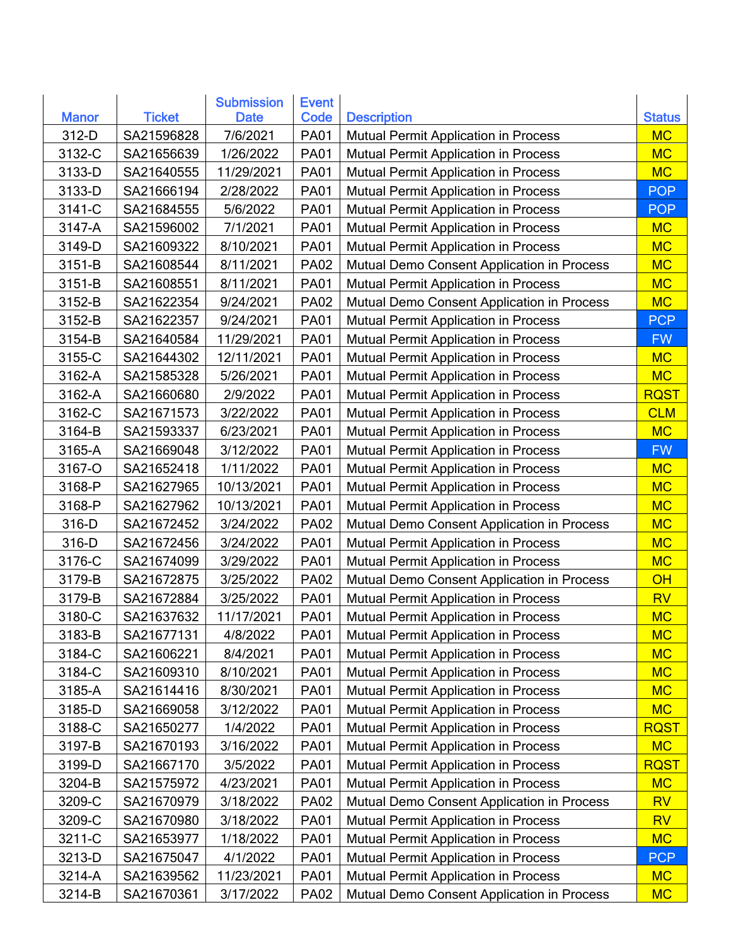|              |               | <b>Submission</b> | <b>Event</b> |                                             |               |
|--------------|---------------|-------------------|--------------|---------------------------------------------|---------------|
| <b>Manor</b> | <b>Ticket</b> | <b>Date</b>       | Code         | <b>Description</b>                          | <b>Status</b> |
| 312-D        | SA21596828    | 7/6/2021          | <b>PA01</b>  | Mutual Permit Application in Process        | <b>MC</b>     |
| 3132-C       | SA21656639    | 1/26/2022         | <b>PA01</b>  | Mutual Permit Application in Process        | <b>MC</b>     |
| 3133-D       | SA21640555    | 11/29/2021        | <b>PA01</b>  | <b>Mutual Permit Application in Process</b> | <b>MC</b>     |
| 3133-D       | SA21666194    | 2/28/2022         | <b>PA01</b>  | Mutual Permit Application in Process        | <b>POP</b>    |
| 3141-C       | SA21684555    | 5/6/2022          | <b>PA01</b>  | Mutual Permit Application in Process        | <b>POP</b>    |
| 3147-A       | SA21596002    | 7/1/2021          | <b>PA01</b>  | <b>Mutual Permit Application in Process</b> | <b>MC</b>     |
| 3149-D       | SA21609322    | 8/10/2021         | <b>PA01</b>  | <b>Mutual Permit Application in Process</b> | <b>MC</b>     |
| 3151-B       | SA21608544    | 8/11/2021         | <b>PA02</b>  | Mutual Demo Consent Application in Process  | <b>MC</b>     |
| 3151-B       | SA21608551    | 8/11/2021         | <b>PA01</b>  | Mutual Permit Application in Process        | <b>MC</b>     |
| 3152-B       | SA21622354    | 9/24/2021         | <b>PA02</b>  | Mutual Demo Consent Application in Process  | <b>MC</b>     |
| 3152-B       | SA21622357    | 9/24/2021         | <b>PA01</b>  | Mutual Permit Application in Process        | <b>PCP</b>    |
| 3154-B       | SA21640584    | 11/29/2021        | <b>PA01</b>  | <b>Mutual Permit Application in Process</b> | <b>FW</b>     |
| 3155-C       | SA21644302    | 12/11/2021        | <b>PA01</b>  | Mutual Permit Application in Process        | <b>MC</b>     |
| 3162-A       | SA21585328    | 5/26/2021         | <b>PA01</b>  | Mutual Permit Application in Process        | <b>MC</b>     |
| 3162-A       | SA21660680    | 2/9/2022          | <b>PA01</b>  | <b>Mutual Permit Application in Process</b> | <b>RQST</b>   |
| 3162-C       | SA21671573    | 3/22/2022         | <b>PA01</b>  | Mutual Permit Application in Process        | <b>CLM</b>    |
| 3164-B       | SA21593337    | 6/23/2021         | <b>PA01</b>  | Mutual Permit Application in Process        | <b>MC</b>     |
| 3165-A       | SA21669048    | 3/12/2022         | <b>PA01</b>  | Mutual Permit Application in Process        | <b>FW</b>     |
| 3167-O       | SA21652418    | 1/11/2022         | <b>PA01</b>  | <b>Mutual Permit Application in Process</b> | <b>MC</b>     |
| 3168-P       | SA21627965    | 10/13/2021        | <b>PA01</b>  | <b>Mutual Permit Application in Process</b> | <b>MC</b>     |
| 3168-P       | SA21627962    | 10/13/2021        | <b>PA01</b>  | <b>Mutual Permit Application in Process</b> | <b>MC</b>     |
| 316-D        | SA21672452    | 3/24/2022         | <b>PA02</b>  | Mutual Demo Consent Application in Process  | <b>MC</b>     |
| 316-D        | SA21672456    | 3/24/2022         | <b>PA01</b>  | Mutual Permit Application in Process        | <b>MC</b>     |
| 3176-C       | SA21674099    | 3/29/2022         | <b>PA01</b>  | Mutual Permit Application in Process        | <b>MC</b>     |
| 3179-B       | SA21672875    | 3/25/2022         | <b>PA02</b>  | Mutual Demo Consent Application in Process  | OH            |
| 3179-B       | SA21672884    | 3/25/2022         | <b>PA01</b>  | <b>Mutual Permit Application in Process</b> | <b>RV</b>     |
| 3180-C       | SA21637632    | 11/17/2021        | <b>PA01</b>  | <b>Mutual Permit Application in Process</b> | <b>MC</b>     |
| 3183-B       | SA21677131    | 4/8/2022          | <b>PA01</b>  | Mutual Permit Application in Process        | <b>MC</b>     |
| 3184-C       | SA21606221    | 8/4/2021          | <b>PA01</b>  | Mutual Permit Application in Process        | <b>MC</b>     |
| 3184-C       | SA21609310    | 8/10/2021         | <b>PA01</b>  | Mutual Permit Application in Process        | <b>MC</b>     |
| 3185-A       | SA21614416    | 8/30/2021         | <b>PA01</b>  | Mutual Permit Application in Process        | <b>MC</b>     |
| 3185-D       | SA21669058    | 3/12/2022         | <b>PA01</b>  | Mutual Permit Application in Process        | <b>MC</b>     |
| 3188-C       | SA21650277    | 1/4/2022          | <b>PA01</b>  | Mutual Permit Application in Process        | <b>RQST</b>   |
| 3197-B       | SA21670193    | 3/16/2022         | <b>PA01</b>  | Mutual Permit Application in Process        | <b>MC</b>     |
| 3199-D       | SA21667170    | 3/5/2022          | <b>PA01</b>  | Mutual Permit Application in Process        | <b>RQST</b>   |
| 3204-B       | SA21575972    | 4/23/2021         | <b>PA01</b>  | Mutual Permit Application in Process        | <b>MC</b>     |
| 3209-C       | SA21670979    | 3/18/2022         | <b>PA02</b>  | Mutual Demo Consent Application in Process  | <b>RV</b>     |
| 3209-C       | SA21670980    | 3/18/2022         | <b>PA01</b>  | Mutual Permit Application in Process        | <b>RV</b>     |
| 3211-C       | SA21653977    | 1/18/2022         | <b>PA01</b>  | <b>Mutual Permit Application in Process</b> | <b>MC</b>     |
| 3213-D       | SA21675047    | 4/1/2022          | <b>PA01</b>  | Mutual Permit Application in Process        | <b>PCP</b>    |
| 3214-A       | SA21639562    | 11/23/2021        | <b>PA01</b>  | Mutual Permit Application in Process        | <b>MC</b>     |
| 3214-B       | SA21670361    | 3/17/2022         | <b>PA02</b>  | Mutual Demo Consent Application in Process  | <b>MC</b>     |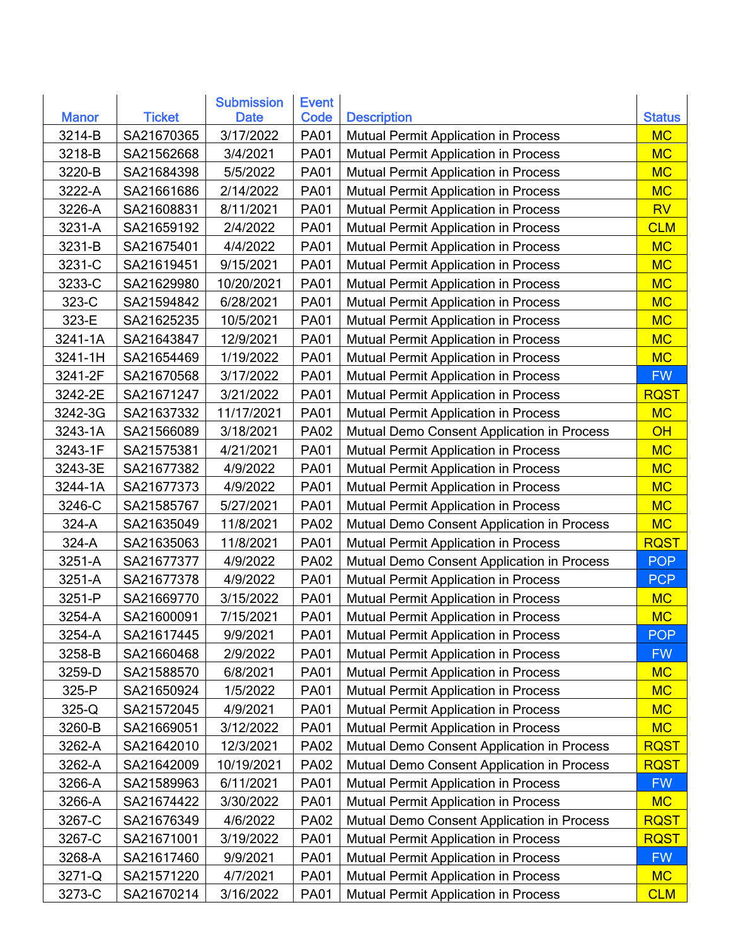| <b>Event</b><br><b>Submission</b>                                                                |               |
|--------------------------------------------------------------------------------------------------|---------------|
| <b>Ticket</b><br><b>Code</b><br><b>Manor</b><br><b>Description</b><br><b>Date</b>                | <b>Status</b> |
| 3214-B<br>SA21670365<br>3/17/2022<br><b>PA01</b><br>Mutual Permit Application in Process         | <b>MC</b>     |
| 3218-B<br>SA21562668<br>3/4/2021<br><b>PA01</b><br>Mutual Permit Application in Process          | <b>MC</b>     |
| 3220-B<br>SA21684398<br>5/5/2022<br><b>PA01</b><br><b>Mutual Permit Application in Process</b>   | <b>MC</b>     |
| 3222-A<br>SA21661686<br>2/14/2022<br><b>PA01</b><br>Mutual Permit Application in Process         | <b>MC</b>     |
| 8/11/2021<br>3226-A<br>SA21608831<br><b>PA01</b><br>Mutual Permit Application in Process         | <b>RV</b>     |
| <b>PA01</b><br>3231-A<br>SA21659192<br>2/4/2022<br><b>Mutual Permit Application in Process</b>   | <b>CLM</b>    |
| 3231-B<br>SA21675401<br>4/4/2022<br><b>PA01</b><br><b>Mutual Permit Application in Process</b>   | <b>MC</b>     |
| 3231-C<br>SA21619451<br>9/15/2021<br><b>PA01</b><br>Mutual Permit Application in Process         | <b>MC</b>     |
| 3233-C<br>SA21629980<br>10/20/2021<br><b>PA01</b><br>Mutual Permit Application in Process        | <b>MC</b>     |
| 323-C<br>SA21594842<br>6/28/2021<br><b>PA01</b><br><b>Mutual Permit Application in Process</b>   | <b>MC</b>     |
| 323-E<br>SA21625235<br>10/5/2021<br><b>PA01</b><br>Mutual Permit Application in Process          | <b>MC</b>     |
| 3241-1A<br>SA21643847<br>12/9/2021<br><b>PA01</b><br><b>Mutual Permit Application in Process</b> | <b>MC</b>     |
| 3241-1H<br>SA21654469<br>1/19/2022<br><b>PA01</b><br><b>Mutual Permit Application in Process</b> | <b>MC</b>     |
| SA21670568<br>3/17/2022<br><b>PA01</b><br>3241-2F<br>Mutual Permit Application in Process        | <b>FW</b>     |
| 3242-2E<br>SA21671247<br>3/21/2022<br><b>PA01</b><br><b>Mutual Permit Application in Process</b> | <b>RQST</b>   |
| 3242-3G<br>SA21637332<br>11/17/2021<br><b>PA01</b><br>Mutual Permit Application in Process       | <b>MC</b>     |
| 3243-1A<br>SA21566089<br>3/18/2021<br><b>PA02</b><br>Mutual Demo Consent Application in Process  | OH            |
| 3243-1F<br><b>PA01</b><br>SA21575381<br>4/21/2021<br>Mutual Permit Application in Process        | <b>MC</b>     |
| 3243-3E<br>SA21677382<br>4/9/2022<br><b>PA01</b><br><b>Mutual Permit Application in Process</b>  | <b>MC</b>     |
| 3244-1A<br>SA21677373<br>4/9/2022<br><b>PA01</b><br><b>Mutual Permit Application in Process</b>  | <b>MC</b>     |
| 3246-C<br>SA21585767<br>5/27/2021<br><b>PA01</b><br>Mutual Permit Application in Process         | <b>MC</b>     |
| SA21635049<br>11/8/2021<br>324-A<br><b>PA02</b><br>Mutual Demo Consent Application in Process    | <b>MC</b>     |
| 324-A<br>SA21635063<br>11/8/2021<br><b>PA01</b><br>Mutual Permit Application in Process          | <b>RQST</b>   |
| 3251-A<br>SA21677377<br>4/9/2022<br><b>PA02</b><br>Mutual Demo Consent Application in Process    | <b>POP</b>    |
| <b>PA01</b><br>3251-A<br>SA21677378<br>4/9/2022<br>Mutual Permit Application in Process          | <b>PCP</b>    |
| 3/15/2022<br>3251-P<br>SA21669770<br><b>PA01</b><br>Mutual Permit Application in Process         | <b>MC</b>     |
| 7/15/2021<br>3254-A<br>SA21600091<br><b>PA01</b><br><b>Mutual Permit Application in Process</b>  | <b>MC</b>     |
| 3254-A<br>SA21617445<br>9/9/2021<br><b>PA01</b><br>Mutual Permit Application in Process          | <b>POP</b>    |
| 3258-B<br>SA21660468<br>2/9/2022<br><b>PA01</b><br>Mutual Permit Application in Process          | <b>FW</b>     |
| 3259-D<br>SA21588570<br>6/8/2021<br><b>PA01</b><br>Mutual Permit Application in Process          | <b>MC</b>     |
| 1/5/2022<br>325-P<br>SA21650924<br><b>PA01</b><br><b>Mutual Permit Application in Process</b>    | <b>MC</b>     |
| $325-Q$<br>SA21572045<br>4/9/2021<br><b>PA01</b><br><b>Mutual Permit Application in Process</b>  | <b>MC</b>     |
| 3260-B<br>SA21669051<br>3/12/2022<br><b>PA01</b><br><b>Mutual Permit Application in Process</b>  | <b>MC</b>     |
| SA21642010<br>3262-A<br>12/3/2021<br><b>PA02</b><br>Mutual Demo Consent Application in Process   | <b>RQST</b>   |
| 3262-A<br>SA21642009<br>10/19/2021<br><b>PA02</b><br>Mutual Demo Consent Application in Process  | <b>RQST</b>   |
| SA21589963<br>6/11/2021<br>3266-A<br><b>PA01</b><br>Mutual Permit Application in Process         | <b>FW</b>     |
| 3266-A<br>SA21674422<br><b>PA01</b><br>3/30/2022<br>Mutual Permit Application in Process         | <b>MC</b>     |
| 3267-C<br>SA21676349<br>4/6/2022<br>Mutual Demo Consent Application in Process<br><b>PA02</b>    | <b>RQST</b>   |
| SA21671001<br>3267-C<br>3/19/2022<br><b>PA01</b><br>Mutual Permit Application in Process         | <b>RQST</b>   |
| SA21617460<br>9/9/2021<br>3268-A<br><b>PA01</b><br>Mutual Permit Application in Process          | <b>FW</b>     |
| SA21571220<br>Mutual Permit Application in Process<br>3271-Q<br>4/7/2021<br><b>PA01</b>          | <b>MC</b>     |
| 3273-C<br>SA21670214<br>3/16/2022<br><b>PA01</b><br>Mutual Permit Application in Process         | <b>CLM</b>    |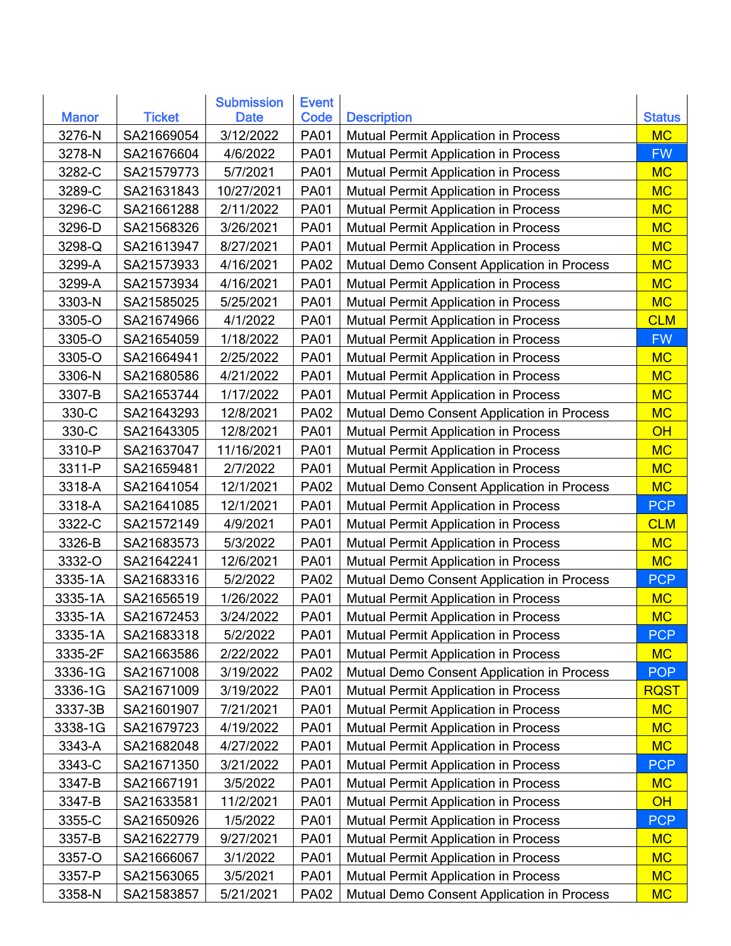|              |               | <b>Submission</b> | <b>Event</b> |                                             |               |
|--------------|---------------|-------------------|--------------|---------------------------------------------|---------------|
| <b>Manor</b> | <b>Ticket</b> | <b>Date</b>       | Code         | <b>Description</b>                          | <b>Status</b> |
| 3276-N       | SA21669054    | 3/12/2022         | <b>PA01</b>  | Mutual Permit Application in Process        | <b>MC</b>     |
| 3278-N       | SA21676604    | 4/6/2022          | <b>PA01</b>  | Mutual Permit Application in Process        | <b>FW</b>     |
| 3282-C       | SA21579773    | 5/7/2021          | <b>PA01</b>  | Mutual Permit Application in Process        | <b>MC</b>     |
| 3289-C       | SA21631843    | 10/27/2021        | <b>PA01</b>  | Mutual Permit Application in Process        | <b>MC</b>     |
| 3296-C       | SA21661288    | 2/11/2022         | <b>PA01</b>  | Mutual Permit Application in Process        | <b>MC</b>     |
| 3296-D       | SA21568326    | 3/26/2021         | <b>PA01</b>  | Mutual Permit Application in Process        | <b>MC</b>     |
| 3298-Q       | SA21613947    | 8/27/2021         | <b>PA01</b>  | Mutual Permit Application in Process        | <b>MC</b>     |
| 3299-A       | SA21573933    | 4/16/2021         | <b>PA02</b>  | Mutual Demo Consent Application in Process  | <b>MC</b>     |
| 3299-A       | SA21573934    | 4/16/2021         | <b>PA01</b>  | Mutual Permit Application in Process        | <b>MC</b>     |
| 3303-N       | SA21585025    | 5/25/2021         | <b>PA01</b>  | <b>Mutual Permit Application in Process</b> | <b>MC</b>     |
| 3305-O       | SA21674966    | 4/1/2022          | <b>PA01</b>  | Mutual Permit Application in Process        | <b>CLM</b>    |
| 3305-O       | SA21654059    | 1/18/2022         | <b>PA01</b>  | Mutual Permit Application in Process        | <b>FW</b>     |
| 3305-O       | SA21664941    | 2/25/2022         | <b>PA01</b>  | Mutual Permit Application in Process        | <b>MC</b>     |
| 3306-N       | SA21680586    | 4/21/2022         | <b>PA01</b>  | Mutual Permit Application in Process        | <b>MC</b>     |
| 3307-B       | SA21653744    | 1/17/2022         | <b>PA01</b>  | <b>Mutual Permit Application in Process</b> | <b>MC</b>     |
| 330-C        | SA21643293    | 12/8/2021         | <b>PA02</b>  | Mutual Demo Consent Application in Process  | <b>MC</b>     |
| 330-C        | SA21643305    | 12/8/2021         | <b>PA01</b>  | Mutual Permit Application in Process        | OH            |
| 3310-P       | SA21637047    | 11/16/2021        | <b>PA01</b>  | Mutual Permit Application in Process        | <b>MC</b>     |
| 3311-P       | SA21659481    | 2/7/2022          | <b>PA01</b>  | Mutual Permit Application in Process        | <b>MC</b>     |
| 3318-A       | SA21641054    | 12/1/2021         | <b>PA02</b>  | Mutual Demo Consent Application in Process  | <b>MC</b>     |
| 3318-A       | SA21641085    | 12/1/2021         | <b>PA01</b>  | Mutual Permit Application in Process        | <b>PCP</b>    |
| 3322-C       | SA21572149    | 4/9/2021          | <b>PA01</b>  | <b>Mutual Permit Application in Process</b> | <b>CLM</b>    |
| 3326-B       | SA21683573    | 5/3/2022          | <b>PA01</b>  | Mutual Permit Application in Process        | <b>MC</b>     |
| 3332-O       | SA21642241    | 12/6/2021         | <b>PA01</b>  | Mutual Permit Application in Process        | <b>MC</b>     |
| 3335-1A      | SA21683316    | 5/2/2022          | <b>PA02</b>  | Mutual Demo Consent Application in Process  | <b>PCP</b>    |
| 3335-1A      | SA21656519    | 1/26/2022         | <b>PA01</b>  | Mutual Permit Application in Process        | <b>MC</b>     |
| 3335-1A      | SA21672453    | 3/24/2022         | <b>PA01</b>  | <b>Mutual Permit Application in Process</b> | <b>MC</b>     |
| 3335-1A      | SA21683318    | 5/2/2022          | <b>PA01</b>  | Mutual Permit Application in Process        | <b>PCP</b>    |
| 3335-2F      | SA21663586    | 2/22/2022         | <b>PA01</b>  | Mutual Permit Application in Process        | <b>MC</b>     |
| 3336-1G      | SA21671008    | 3/19/2022         | <b>PA02</b>  | Mutual Demo Consent Application in Process  | <b>POP</b>    |
| 3336-1G      | SA21671009    | 3/19/2022         | <b>PA01</b>  | Mutual Permit Application in Process        | <b>RQST</b>   |
| 3337-3B      | SA21601907    | 7/21/2021         | <b>PA01</b>  | Mutual Permit Application in Process        | <b>MC</b>     |
| 3338-1G      | SA21679723    | 4/19/2022         | <b>PA01</b>  | Mutual Permit Application in Process        | <b>MC</b>     |
| 3343-A       | SA21682048    | 4/27/2022         | <b>PA01</b>  | Mutual Permit Application in Process        | <b>MC</b>     |
| 3343-C       | SA21671350    | 3/21/2022         | <b>PA01</b>  | Mutual Permit Application in Process        | <b>PCP</b>    |
| 3347-B       | SA21667191    | 3/5/2022          | <b>PA01</b>  | Mutual Permit Application in Process        | <b>MC</b>     |
| 3347-B       | SA21633581    | 11/2/2021         | <b>PA01</b>  | Mutual Permit Application in Process        | OH            |
| 3355-C       | SA21650926    | 1/5/2022          | <b>PA01</b>  | Mutual Permit Application in Process        | <b>PCP</b>    |
| 3357-B       | SA21622779    | 9/27/2021         | <b>PA01</b>  | Mutual Permit Application in Process        | <b>MC</b>     |
| 3357-O       | SA21666067    | 3/1/2022          | <b>PA01</b>  | Mutual Permit Application in Process        | <b>MC</b>     |
| 3357-P       | SA21563065    | 3/5/2021          | <b>PA01</b>  | Mutual Permit Application in Process        | <b>MC</b>     |
| 3358-N       | SA21583857    | 5/21/2021         | <b>PA02</b>  | Mutual Demo Consent Application in Process  | <b>MC</b>     |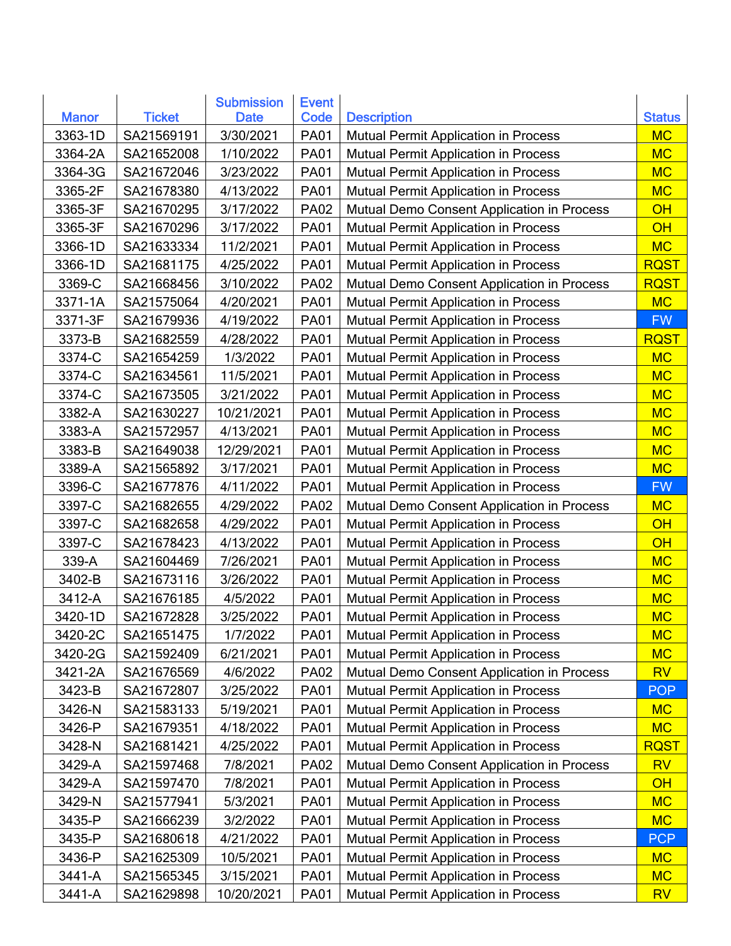|              |               | <b>Submission</b> | <b>Event</b> |                                             |                |
|--------------|---------------|-------------------|--------------|---------------------------------------------|----------------|
| <b>Manor</b> | <b>Ticket</b> | <b>Date</b>       | Code         | <b>Description</b>                          | <b>Status</b>  |
| 3363-1D      | SA21569191    | 3/30/2021         | <b>PA01</b>  | Mutual Permit Application in Process        | <b>MC</b>      |
| 3364-2A      | SA21652008    | 1/10/2022         | <b>PA01</b>  | <b>Mutual Permit Application in Process</b> | <b>MC</b>      |
| 3364-3G      | SA21672046    | 3/23/2022         | <b>PA01</b>  | <b>Mutual Permit Application in Process</b> | <b>MC</b>      |
| 3365-2F      | SA21678380    | 4/13/2022         | <b>PA01</b>  | Mutual Permit Application in Process        | <b>MC</b>      |
| 3365-3F      | SA21670295    | 3/17/2022         | <b>PA02</b>  | Mutual Demo Consent Application in Process  | OH             |
| 3365-3F      | SA21670296    | 3/17/2022         | <b>PA01</b>  | Mutual Permit Application in Process        | OH             |
| 3366-1D      | SA21633334    | 11/2/2021         | <b>PA01</b>  | Mutual Permit Application in Process        | <b>MC</b>      |
| 3366-1D      | SA21681175    | 4/25/2022         | <b>PA01</b>  | <b>Mutual Permit Application in Process</b> | <b>RQST</b>    |
| 3369-C       | SA21668456    | 3/10/2022         | <b>PA02</b>  | Mutual Demo Consent Application in Process  | <b>RQST</b>    |
| 3371-1A      | SA21575064    | 4/20/2021         | <b>PA01</b>  | Mutual Permit Application in Process        | <b>MC</b>      |
| 3371-3F      | SA21679936    | 4/19/2022         | <b>PA01</b>  | Mutual Permit Application in Process        | <b>FW</b>      |
| 3373-B       | SA21682559    | 4/28/2022         | <b>PA01</b>  | Mutual Permit Application in Process        | <b>RQST</b>    |
| 3374-C       | SA21654259    | 1/3/2022          | <b>PA01</b>  | <b>Mutual Permit Application in Process</b> | <b>MC</b>      |
| 3374-C       | SA21634561    | 11/5/2021         | <b>PA01</b>  | <b>Mutual Permit Application in Process</b> | <b>MC</b>      |
| 3374-C       | SA21673505    | 3/21/2022         | <b>PA01</b>  | <b>Mutual Permit Application in Process</b> | <b>MC</b>      |
| 3382-A       | SA21630227    | 10/21/2021        | <b>PA01</b>  | Mutual Permit Application in Process        | <b>MC</b>      |
| 3383-A       | SA21572957    | 4/13/2021         | <b>PA01</b>  | Mutual Permit Application in Process        | <b>MC</b>      |
| 3383-B       | SA21649038    | 12/29/2021        | <b>PA01</b>  | Mutual Permit Application in Process        | <b>MC</b>      |
| 3389-A       | SA21565892    | 3/17/2021         | <b>PA01</b>  | Mutual Permit Application in Process        | <b>MC</b>      |
| 3396-C       | SA21677876    | 4/11/2022         | <b>PA01</b>  | Mutual Permit Application in Process        | <b>FW</b>      |
| 3397-C       | SA21682655    | 4/29/2022         | <b>PA02</b>  | Mutual Demo Consent Application in Process  | <b>MC</b>      |
| 3397-C       | SA21682658    | 4/29/2022         | <b>PA01</b>  | <b>Mutual Permit Application in Process</b> | OH             |
| 3397-C       | SA21678423    | 4/13/2022         | <b>PA01</b>  | Mutual Permit Application in Process        | OH             |
| 339-A        | SA21604469    | 7/26/2021         | <b>PA01</b>  | Mutual Permit Application in Process        | <b>MC</b>      |
| 3402-B       | SA21673116    | 3/26/2022         | <b>PA01</b>  | Mutual Permit Application in Process        | <b>MC</b>      |
| 3412-A       | SA21676185    | 4/5/2022          | <b>PA01</b>  | Mutual Permit Application in Process        | <b>MC</b>      |
| 3420-1D      | SA21672828    | 3/25/2022         | <b>PA01</b>  | <b>Mutual Permit Application in Process</b> | <b>MC</b>      |
| 3420-2C      | SA21651475    | 1/7/2022          | <b>PA01</b>  | Mutual Permit Application in Process        | <b>MC</b>      |
| 3420-2G      | SA21592409    | 6/21/2021         | <b>PA01</b>  | <b>Mutual Permit Application in Process</b> | <b>MC</b>      |
| 3421-2A      | SA21676569    | 4/6/2022          | <b>PA02</b>  | Mutual Demo Consent Application in Process  | <b>RV</b>      |
| 3423-B       | SA21672807    | 3/25/2022         | <b>PA01</b>  | <b>Mutual Permit Application in Process</b> | <b>POP</b>     |
| 3426-N       | SA21583133    | 5/19/2021         | <b>PA01</b>  | Mutual Permit Application in Process        | <b>MC</b>      |
| 3426-P       | SA21679351    | 4/18/2022         | <b>PA01</b>  | <b>Mutual Permit Application in Process</b> | <b>MC</b>      |
| 3428-N       | SA21681421    | 4/25/2022         | <b>PA01</b>  | Mutual Permit Application in Process        | <b>RQST</b>    |
| 3429-A       | SA21597468    | 7/8/2021          | <b>PA02</b>  | Mutual Demo Consent Application in Process  | <b>RV</b>      |
| 3429-A       | SA21597470    | 7/8/2021          | <b>PA01</b>  | <b>Mutual Permit Application in Process</b> | O <sub>H</sub> |
| 3429-N       | SA21577941    | 5/3/2021          | <b>PA01</b>  | Mutual Permit Application in Process        | <b>MC</b>      |
| 3435-P       | SA21666239    | 3/2/2022          | <b>PA01</b>  | Mutual Permit Application in Process        | <b>MC</b>      |
| 3435-P       | SA21680618    | 4/21/2022         | <b>PA01</b>  | <b>Mutual Permit Application in Process</b> | <b>PCP</b>     |
| 3436-P       | SA21625309    | 10/5/2021         | <b>PA01</b>  | Mutual Permit Application in Process        | <b>MC</b>      |
| 3441-A       | SA21565345    | 3/15/2021         | <b>PA01</b>  | Mutual Permit Application in Process        | <b>MC</b>      |
| 3441-A       | SA21629898    | 10/20/2021        | <b>PA01</b>  | Mutual Permit Application in Process        | <b>RV</b>      |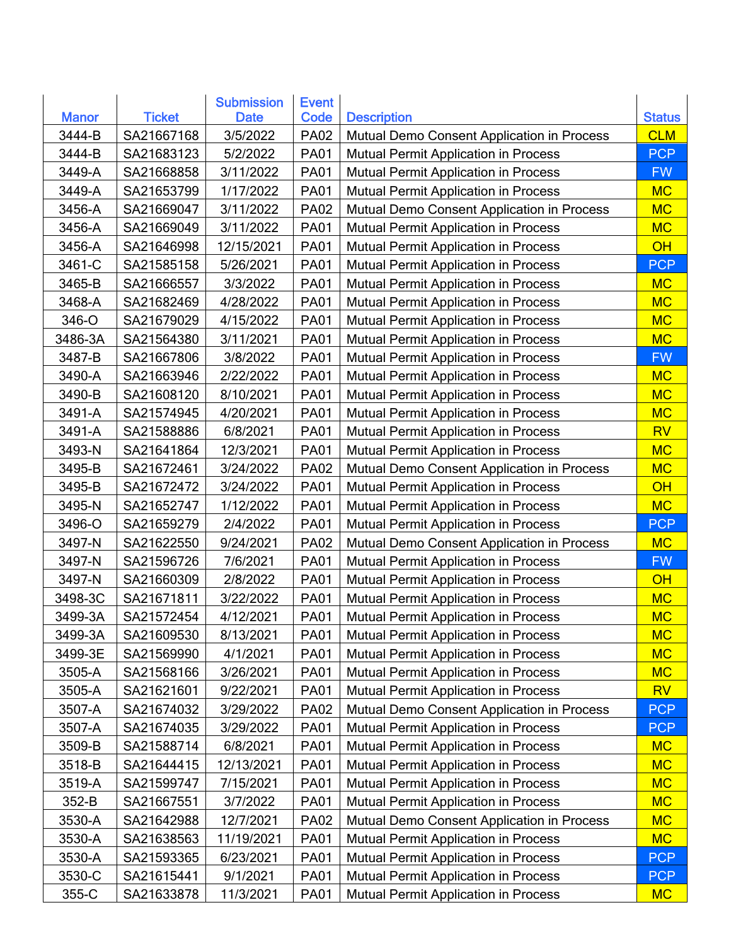| <b>Ticket</b><br><b>Manor</b><br>Code<br><b>Description</b><br><b>Status</b><br><b>Date</b><br>3444-B<br>SA21667168<br>3/5/2022<br><b>CLM</b><br><b>PA02</b><br>Mutual Demo Consent Application in Process<br>3444-B<br>SA21683123<br><b>PCP</b><br>5/2/2022<br><b>PA01</b><br>Mutual Permit Application in Process<br>3449-A<br>SA21668858<br>3/11/2022<br><b>PA01</b><br><b>FW</b><br><b>Mutual Permit Application in Process</b><br>3449-A<br>SA21653799<br>1/17/2022<br><b>PA01</b><br><b>MC</b><br>Mutual Permit Application in Process<br>3456-A<br>3/11/2022<br><b>MC</b><br>SA21669047<br><b>PA02</b><br>Mutual Demo Consent Application in Process<br><b>MC</b><br>SA21669049<br>3/11/2022<br><b>PA01</b><br>3456-A<br>Mutual Permit Application in Process<br>3456-A<br>SA21646998<br>12/15/2021<br>OH<br><b>PA01</b><br><b>Mutual Permit Application in Process</b><br>3461-C<br><b>PCP</b><br>SA21585158<br>5/26/2021<br><b>PA01</b><br><b>Mutual Permit Application in Process</b><br>3465-B<br>SA21666557<br>3/3/2022<br><b>MC</b><br><b>PA01</b><br>Mutual Permit Application in Process<br>3468-A<br>SA21682469<br>4/28/2022<br><b>MC</b><br><b>PA01</b><br><b>Mutual Permit Application in Process</b><br>346-O<br><b>MC</b><br>SA21679029<br>4/15/2022<br><b>PA01</b><br>Mutual Permit Application in Process<br>3486-3A<br>SA21564380<br>3/11/2021<br><b>MC</b><br><b>PA01</b><br><b>Mutual Permit Application in Process</b><br>3487-B<br>SA21667806<br>3/8/2022<br><b>PA01</b><br><b>FW</b><br><b>Mutual Permit Application in Process</b><br>3490-A<br>SA21663946<br>2/22/2022<br><b>PA01</b><br><b>Mutual Permit Application in Process</b><br><b>MC</b> |
|---------------------------------------------------------------------------------------------------------------------------------------------------------------------------------------------------------------------------------------------------------------------------------------------------------------------------------------------------------------------------------------------------------------------------------------------------------------------------------------------------------------------------------------------------------------------------------------------------------------------------------------------------------------------------------------------------------------------------------------------------------------------------------------------------------------------------------------------------------------------------------------------------------------------------------------------------------------------------------------------------------------------------------------------------------------------------------------------------------------------------------------------------------------------------------------------------------------------------------------------------------------------------------------------------------------------------------------------------------------------------------------------------------------------------------------------------------------------------------------------------------------------------------------------------------------------------------------------------------------------------------------------------------------------------------|
|                                                                                                                                                                                                                                                                                                                                                                                                                                                                                                                                                                                                                                                                                                                                                                                                                                                                                                                                                                                                                                                                                                                                                                                                                                                                                                                                                                                                                                                                                                                                                                                                                                                                                 |
|                                                                                                                                                                                                                                                                                                                                                                                                                                                                                                                                                                                                                                                                                                                                                                                                                                                                                                                                                                                                                                                                                                                                                                                                                                                                                                                                                                                                                                                                                                                                                                                                                                                                                 |
|                                                                                                                                                                                                                                                                                                                                                                                                                                                                                                                                                                                                                                                                                                                                                                                                                                                                                                                                                                                                                                                                                                                                                                                                                                                                                                                                                                                                                                                                                                                                                                                                                                                                                 |
|                                                                                                                                                                                                                                                                                                                                                                                                                                                                                                                                                                                                                                                                                                                                                                                                                                                                                                                                                                                                                                                                                                                                                                                                                                                                                                                                                                                                                                                                                                                                                                                                                                                                                 |
|                                                                                                                                                                                                                                                                                                                                                                                                                                                                                                                                                                                                                                                                                                                                                                                                                                                                                                                                                                                                                                                                                                                                                                                                                                                                                                                                                                                                                                                                                                                                                                                                                                                                                 |
|                                                                                                                                                                                                                                                                                                                                                                                                                                                                                                                                                                                                                                                                                                                                                                                                                                                                                                                                                                                                                                                                                                                                                                                                                                                                                                                                                                                                                                                                                                                                                                                                                                                                                 |
|                                                                                                                                                                                                                                                                                                                                                                                                                                                                                                                                                                                                                                                                                                                                                                                                                                                                                                                                                                                                                                                                                                                                                                                                                                                                                                                                                                                                                                                                                                                                                                                                                                                                                 |
|                                                                                                                                                                                                                                                                                                                                                                                                                                                                                                                                                                                                                                                                                                                                                                                                                                                                                                                                                                                                                                                                                                                                                                                                                                                                                                                                                                                                                                                                                                                                                                                                                                                                                 |
|                                                                                                                                                                                                                                                                                                                                                                                                                                                                                                                                                                                                                                                                                                                                                                                                                                                                                                                                                                                                                                                                                                                                                                                                                                                                                                                                                                                                                                                                                                                                                                                                                                                                                 |
|                                                                                                                                                                                                                                                                                                                                                                                                                                                                                                                                                                                                                                                                                                                                                                                                                                                                                                                                                                                                                                                                                                                                                                                                                                                                                                                                                                                                                                                                                                                                                                                                                                                                                 |
|                                                                                                                                                                                                                                                                                                                                                                                                                                                                                                                                                                                                                                                                                                                                                                                                                                                                                                                                                                                                                                                                                                                                                                                                                                                                                                                                                                                                                                                                                                                                                                                                                                                                                 |
|                                                                                                                                                                                                                                                                                                                                                                                                                                                                                                                                                                                                                                                                                                                                                                                                                                                                                                                                                                                                                                                                                                                                                                                                                                                                                                                                                                                                                                                                                                                                                                                                                                                                                 |
|                                                                                                                                                                                                                                                                                                                                                                                                                                                                                                                                                                                                                                                                                                                                                                                                                                                                                                                                                                                                                                                                                                                                                                                                                                                                                                                                                                                                                                                                                                                                                                                                                                                                                 |
|                                                                                                                                                                                                                                                                                                                                                                                                                                                                                                                                                                                                                                                                                                                                                                                                                                                                                                                                                                                                                                                                                                                                                                                                                                                                                                                                                                                                                                                                                                                                                                                                                                                                                 |
|                                                                                                                                                                                                                                                                                                                                                                                                                                                                                                                                                                                                                                                                                                                                                                                                                                                                                                                                                                                                                                                                                                                                                                                                                                                                                                                                                                                                                                                                                                                                                                                                                                                                                 |
| 3490-B<br>SA21608120<br>8/10/2021<br><b>MC</b><br><b>PA01</b><br><b>Mutual Permit Application in Process</b>                                                                                                                                                                                                                                                                                                                                                                                                                                                                                                                                                                                                                                                                                                                                                                                                                                                                                                                                                                                                                                                                                                                                                                                                                                                                                                                                                                                                                                                                                                                                                                    |
| 3491-A<br>SA21574945<br>4/20/2021<br><b>MC</b><br><b>PA01</b><br>Mutual Permit Application in Process                                                                                                                                                                                                                                                                                                                                                                                                                                                                                                                                                                                                                                                                                                                                                                                                                                                                                                                                                                                                                                                                                                                                                                                                                                                                                                                                                                                                                                                                                                                                                                           |
| 3491-A<br>SA21588886<br>6/8/2021<br><b>RV</b><br><b>PA01</b><br>Mutual Permit Application in Process                                                                                                                                                                                                                                                                                                                                                                                                                                                                                                                                                                                                                                                                                                                                                                                                                                                                                                                                                                                                                                                                                                                                                                                                                                                                                                                                                                                                                                                                                                                                                                            |
| 3493-N<br><b>MC</b><br>SA21641864<br>12/3/2021<br><b>PA01</b><br>Mutual Permit Application in Process                                                                                                                                                                                                                                                                                                                                                                                                                                                                                                                                                                                                                                                                                                                                                                                                                                                                                                                                                                                                                                                                                                                                                                                                                                                                                                                                                                                                                                                                                                                                                                           |
| 3495-B<br>SA21672461<br>3/24/2022<br><b>MC</b><br><b>PA02</b><br>Mutual Demo Consent Application in Process                                                                                                                                                                                                                                                                                                                                                                                                                                                                                                                                                                                                                                                                                                                                                                                                                                                                                                                                                                                                                                                                                                                                                                                                                                                                                                                                                                                                                                                                                                                                                                     |
| 3495-B<br>SA21672472<br>3/24/2022<br><b>PA01</b><br>OH<br><b>Mutual Permit Application in Process</b>                                                                                                                                                                                                                                                                                                                                                                                                                                                                                                                                                                                                                                                                                                                                                                                                                                                                                                                                                                                                                                                                                                                                                                                                                                                                                                                                                                                                                                                                                                                                                                           |
| 3495-N<br>SA21652747<br>1/12/2022<br><b>MC</b><br><b>PA01</b><br><b>Mutual Permit Application in Process</b>                                                                                                                                                                                                                                                                                                                                                                                                                                                                                                                                                                                                                                                                                                                                                                                                                                                                                                                                                                                                                                                                                                                                                                                                                                                                                                                                                                                                                                                                                                                                                                    |
| 3496-O<br>SA21659279<br>2/4/2022<br><b>PA01</b><br><b>PCP</b><br><b>Mutual Permit Application in Process</b>                                                                                                                                                                                                                                                                                                                                                                                                                                                                                                                                                                                                                                                                                                                                                                                                                                                                                                                                                                                                                                                                                                                                                                                                                                                                                                                                                                                                                                                                                                                                                                    |
| 3497-N<br>SA21622550<br>9/24/2021<br><b>PA02</b><br><b>MC</b><br>Mutual Demo Consent Application in Process                                                                                                                                                                                                                                                                                                                                                                                                                                                                                                                                                                                                                                                                                                                                                                                                                                                                                                                                                                                                                                                                                                                                                                                                                                                                                                                                                                                                                                                                                                                                                                     |
| 3497-N<br>SA21596726<br>7/6/2021<br><b>PA01</b><br><b>FW</b><br><b>Mutual Permit Application in Process</b>                                                                                                                                                                                                                                                                                                                                                                                                                                                                                                                                                                                                                                                                                                                                                                                                                                                                                                                                                                                                                                                                                                                                                                                                                                                                                                                                                                                                                                                                                                                                                                     |
| OH<br>3497-N<br>SA21660309<br>2/8/2022<br><b>PA01</b><br>Mutual Permit Application in Process                                                                                                                                                                                                                                                                                                                                                                                                                                                                                                                                                                                                                                                                                                                                                                                                                                                                                                                                                                                                                                                                                                                                                                                                                                                                                                                                                                                                                                                                                                                                                                                   |
| SA21671811<br>3498-3C<br>3/22/2022<br><b>PA01</b><br>Mutual Permit Application in Process<br><b>MC</b>                                                                                                                                                                                                                                                                                                                                                                                                                                                                                                                                                                                                                                                                                                                                                                                                                                                                                                                                                                                                                                                                                                                                                                                                                                                                                                                                                                                                                                                                                                                                                                          |
| 4/12/2021<br><b>MC</b><br>3499-3A<br>SA21572454<br><b>PA01</b><br><b>Mutual Permit Application in Process</b>                                                                                                                                                                                                                                                                                                                                                                                                                                                                                                                                                                                                                                                                                                                                                                                                                                                                                                                                                                                                                                                                                                                                                                                                                                                                                                                                                                                                                                                                                                                                                                   |
| 3499-3A<br>SA21609530<br>8/13/2021<br><b>PA01</b><br>Mutual Permit Application in Process<br><b>MC</b>                                                                                                                                                                                                                                                                                                                                                                                                                                                                                                                                                                                                                                                                                                                                                                                                                                                                                                                                                                                                                                                                                                                                                                                                                                                                                                                                                                                                                                                                                                                                                                          |
| 4/1/2021<br>3499-3E<br>SA21569990<br><b>PA01</b><br>Mutual Permit Application in Process<br><b>MC</b>                                                                                                                                                                                                                                                                                                                                                                                                                                                                                                                                                                                                                                                                                                                                                                                                                                                                                                                                                                                                                                                                                                                                                                                                                                                                                                                                                                                                                                                                                                                                                                           |
| <b>MC</b><br>SA21568166<br>3/26/2021<br><b>PA01</b><br>3505-A<br><b>Mutual Permit Application in Process</b>                                                                                                                                                                                                                                                                                                                                                                                                                                                                                                                                                                                                                                                                                                                                                                                                                                                                                                                                                                                                                                                                                                                                                                                                                                                                                                                                                                                                                                                                                                                                                                    |
| SA21621601<br>3505-A<br>9/22/2021<br>Mutual Permit Application in Process<br><b>RV</b><br><b>PA01</b>                                                                                                                                                                                                                                                                                                                                                                                                                                                                                                                                                                                                                                                                                                                                                                                                                                                                                                                                                                                                                                                                                                                                                                                                                                                                                                                                                                                                                                                                                                                                                                           |
| 3507-A<br>SA21674032<br>3/29/2022<br><b>PA02</b><br>Mutual Demo Consent Application in Process<br><b>PCP</b>                                                                                                                                                                                                                                                                                                                                                                                                                                                                                                                                                                                                                                                                                                                                                                                                                                                                                                                                                                                                                                                                                                                                                                                                                                                                                                                                                                                                                                                                                                                                                                    |
| SA21674035<br>3507-A<br>3/29/2022<br><b>PA01</b><br>Mutual Permit Application in Process<br><b>PCP</b>                                                                                                                                                                                                                                                                                                                                                                                                                                                                                                                                                                                                                                                                                                                                                                                                                                                                                                                                                                                                                                                                                                                                                                                                                                                                                                                                                                                                                                                                                                                                                                          |
| SA21588714<br>3509-B<br>6/8/2021<br>Mutual Permit Application in Process<br><b>MC</b><br><b>PA01</b>                                                                                                                                                                                                                                                                                                                                                                                                                                                                                                                                                                                                                                                                                                                                                                                                                                                                                                                                                                                                                                                                                                                                                                                                                                                                                                                                                                                                                                                                                                                                                                            |
| 3518-B<br><b>MC</b><br>SA21644415<br>12/13/2021<br><b>PA01</b><br>Mutual Permit Application in Process                                                                                                                                                                                                                                                                                                                                                                                                                                                                                                                                                                                                                                                                                                                                                                                                                                                                                                                                                                                                                                                                                                                                                                                                                                                                                                                                                                                                                                                                                                                                                                          |
| Mutual Permit Application in Process<br><b>MC</b><br>3519-A<br>SA21599747<br>7/15/2021<br><b>PA01</b>                                                                                                                                                                                                                                                                                                                                                                                                                                                                                                                                                                                                                                                                                                                                                                                                                                                                                                                                                                                                                                                                                                                                                                                                                                                                                                                                                                                                                                                                                                                                                                           |
| 352-B<br>SA21667551<br><b>MC</b><br>3/7/2022<br><b>PA01</b><br>Mutual Permit Application in Process                                                                                                                                                                                                                                                                                                                                                                                                                                                                                                                                                                                                                                                                                                                                                                                                                                                                                                                                                                                                                                                                                                                                                                                                                                                                                                                                                                                                                                                                                                                                                                             |
| 3530-A<br>SA21642988<br>12/7/2021<br>Mutual Demo Consent Application in Process<br><b>MC</b><br><b>PA02</b>                                                                                                                                                                                                                                                                                                                                                                                                                                                                                                                                                                                                                                                                                                                                                                                                                                                                                                                                                                                                                                                                                                                                                                                                                                                                                                                                                                                                                                                                                                                                                                     |
| 3530-A<br><b>MC</b><br>SA21638563<br>11/19/2021<br><b>PA01</b><br>Mutual Permit Application in Process                                                                                                                                                                                                                                                                                                                                                                                                                                                                                                                                                                                                                                                                                                                                                                                                                                                                                                                                                                                                                                                                                                                                                                                                                                                                                                                                                                                                                                                                                                                                                                          |
| 3530-A<br>SA21593365<br>Mutual Permit Application in Process<br>6/23/2021<br><b>PA01</b><br><b>PCP</b>                                                                                                                                                                                                                                                                                                                                                                                                                                                                                                                                                                                                                                                                                                                                                                                                                                                                                                                                                                                                                                                                                                                                                                                                                                                                                                                                                                                                                                                                                                                                                                          |
| SA21615441<br>Mutual Permit Application in Process<br>3530-C<br>9/1/2021<br><b>PA01</b><br><b>PCP</b>                                                                                                                                                                                                                                                                                                                                                                                                                                                                                                                                                                                                                                                                                                                                                                                                                                                                                                                                                                                                                                                                                                                                                                                                                                                                                                                                                                                                                                                                                                                                                                           |
| 355-C<br>SA21633878<br>11/3/2021<br><b>PA01</b><br><b>MC</b><br>Mutual Permit Application in Process                                                                                                                                                                                                                                                                                                                                                                                                                                                                                                                                                                                                                                                                                                                                                                                                                                                                                                                                                                                                                                                                                                                                                                                                                                                                                                                                                                                                                                                                                                                                                                            |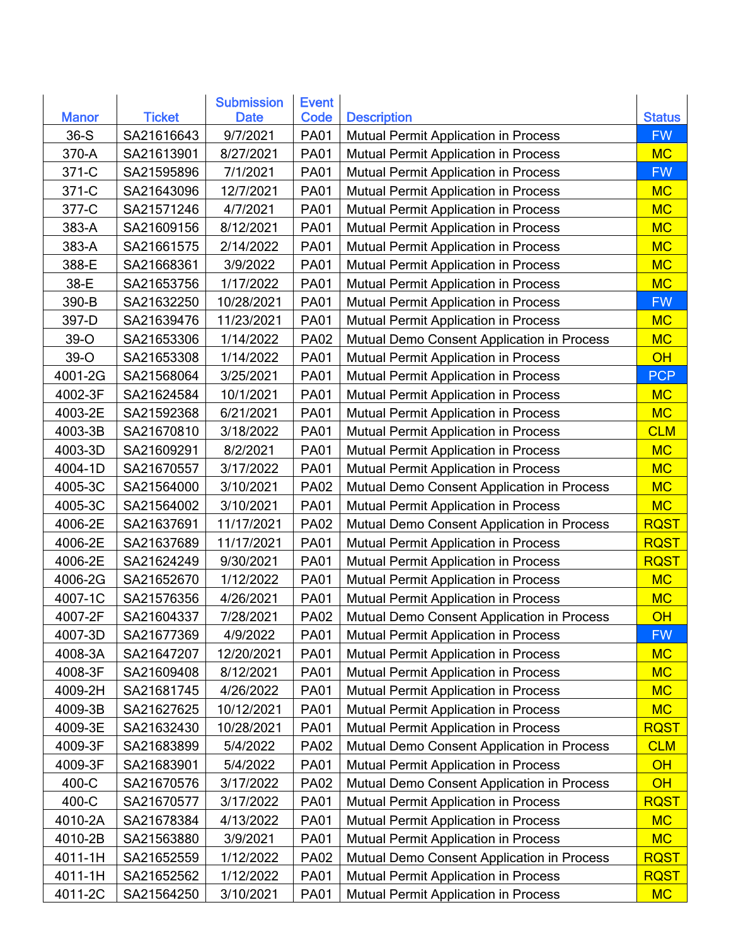| <b>Ticket</b><br>Code<br><b>Description</b><br><b>Status</b><br><b>Manor</b><br><b>Date</b><br>$36-S$<br>SA21616643<br>9/7/2021<br><b>PA01</b><br><b>FW</b><br>Mutual Permit Application in Process<br>370-A<br>SA21613901<br>8/27/2021<br><b>PA01</b><br>Mutual Permit Application in Process<br><b>MC</b><br>371-C<br>SA21595896<br>7/1/2021<br><b>PA01</b><br><b>FW</b><br>Mutual Permit Application in Process<br>371-C<br>SA21643096<br>12/7/2021<br><b>PA01</b><br><b>MC</b><br>Mutual Permit Application in Process<br>377-C<br>SA21571246<br>4/7/2021<br><b>MC</b><br><b>PA01</b><br>Mutual Permit Application in Process<br>383-A<br><b>PA01</b><br><b>MC</b><br>SA21609156<br>8/12/2021<br>Mutual Permit Application in Process<br>383-A<br>SA21661575<br>2/14/2022<br><b>PA01</b><br><b>MC</b><br>Mutual Permit Application in Process<br>388-E<br>SA21668361<br>3/9/2022<br><b>PA01</b><br><b>MC</b><br><b>Mutual Permit Application in Process</b><br>38-E<br>SA21653756<br>1/17/2022<br><b>MC</b><br><b>PA01</b><br>Mutual Permit Application in Process<br>390-B<br>SA21632250<br>10/28/2021<br><b>PA01</b><br><b>FW</b><br><b>Mutual Permit Application in Process</b><br>397-D<br>SA21639476<br>11/23/2021<br><b>PA01</b><br><b>MC</b><br>Mutual Permit Application in Process<br>$39-o$<br>SA21653306<br>1/14/2022<br><b>PA02</b><br><b>MC</b><br>Mutual Demo Consent Application in Process<br>$39-o$<br><b>PA01</b><br>OH<br>SA21653308<br>1/14/2022<br>Mutual Permit Application in Process<br><b>PCP</b><br>4001-2G<br>SA21568064<br>3/25/2021<br><b>PA01</b><br>Mutual Permit Application in Process<br>4002-3F<br>SA21624584<br>10/1/2021<br><b>PA01</b><br><b>MC</b><br>Mutual Permit Application in Process<br>6/21/2021<br>4003-2E<br>SA21592368<br><b>PA01</b><br><b>MC</b><br>Mutual Permit Application in Process<br>4003-3B<br>SA21670810<br>3/18/2022<br><b>PA01</b><br><b>CLM</b><br>Mutual Permit Application in Process<br><b>MC</b><br>4003-3D<br>8/2/2021<br><b>PA01</b><br>SA21609291<br>Mutual Permit Application in Process |
|---------------------------------------------------------------------------------------------------------------------------------------------------------------------------------------------------------------------------------------------------------------------------------------------------------------------------------------------------------------------------------------------------------------------------------------------------------------------------------------------------------------------------------------------------------------------------------------------------------------------------------------------------------------------------------------------------------------------------------------------------------------------------------------------------------------------------------------------------------------------------------------------------------------------------------------------------------------------------------------------------------------------------------------------------------------------------------------------------------------------------------------------------------------------------------------------------------------------------------------------------------------------------------------------------------------------------------------------------------------------------------------------------------------------------------------------------------------------------------------------------------------------------------------------------------------------------------------------------------------------------------------------------------------------------------------------------------------------------------------------------------------------------------------------------------------------------------------------------------------------------------------------------------------------------------------------------------------------------------------------------------------------------------------------------------------------|
|                                                                                                                                                                                                                                                                                                                                                                                                                                                                                                                                                                                                                                                                                                                                                                                                                                                                                                                                                                                                                                                                                                                                                                                                                                                                                                                                                                                                                                                                                                                                                                                                                                                                                                                                                                                                                                                                                                                                                                                                                                                                     |
|                                                                                                                                                                                                                                                                                                                                                                                                                                                                                                                                                                                                                                                                                                                                                                                                                                                                                                                                                                                                                                                                                                                                                                                                                                                                                                                                                                                                                                                                                                                                                                                                                                                                                                                                                                                                                                                                                                                                                                                                                                                                     |
|                                                                                                                                                                                                                                                                                                                                                                                                                                                                                                                                                                                                                                                                                                                                                                                                                                                                                                                                                                                                                                                                                                                                                                                                                                                                                                                                                                                                                                                                                                                                                                                                                                                                                                                                                                                                                                                                                                                                                                                                                                                                     |
|                                                                                                                                                                                                                                                                                                                                                                                                                                                                                                                                                                                                                                                                                                                                                                                                                                                                                                                                                                                                                                                                                                                                                                                                                                                                                                                                                                                                                                                                                                                                                                                                                                                                                                                                                                                                                                                                                                                                                                                                                                                                     |
|                                                                                                                                                                                                                                                                                                                                                                                                                                                                                                                                                                                                                                                                                                                                                                                                                                                                                                                                                                                                                                                                                                                                                                                                                                                                                                                                                                                                                                                                                                                                                                                                                                                                                                                                                                                                                                                                                                                                                                                                                                                                     |
|                                                                                                                                                                                                                                                                                                                                                                                                                                                                                                                                                                                                                                                                                                                                                                                                                                                                                                                                                                                                                                                                                                                                                                                                                                                                                                                                                                                                                                                                                                                                                                                                                                                                                                                                                                                                                                                                                                                                                                                                                                                                     |
|                                                                                                                                                                                                                                                                                                                                                                                                                                                                                                                                                                                                                                                                                                                                                                                                                                                                                                                                                                                                                                                                                                                                                                                                                                                                                                                                                                                                                                                                                                                                                                                                                                                                                                                                                                                                                                                                                                                                                                                                                                                                     |
|                                                                                                                                                                                                                                                                                                                                                                                                                                                                                                                                                                                                                                                                                                                                                                                                                                                                                                                                                                                                                                                                                                                                                                                                                                                                                                                                                                                                                                                                                                                                                                                                                                                                                                                                                                                                                                                                                                                                                                                                                                                                     |
|                                                                                                                                                                                                                                                                                                                                                                                                                                                                                                                                                                                                                                                                                                                                                                                                                                                                                                                                                                                                                                                                                                                                                                                                                                                                                                                                                                                                                                                                                                                                                                                                                                                                                                                                                                                                                                                                                                                                                                                                                                                                     |
|                                                                                                                                                                                                                                                                                                                                                                                                                                                                                                                                                                                                                                                                                                                                                                                                                                                                                                                                                                                                                                                                                                                                                                                                                                                                                                                                                                                                                                                                                                                                                                                                                                                                                                                                                                                                                                                                                                                                                                                                                                                                     |
|                                                                                                                                                                                                                                                                                                                                                                                                                                                                                                                                                                                                                                                                                                                                                                                                                                                                                                                                                                                                                                                                                                                                                                                                                                                                                                                                                                                                                                                                                                                                                                                                                                                                                                                                                                                                                                                                                                                                                                                                                                                                     |
|                                                                                                                                                                                                                                                                                                                                                                                                                                                                                                                                                                                                                                                                                                                                                                                                                                                                                                                                                                                                                                                                                                                                                                                                                                                                                                                                                                                                                                                                                                                                                                                                                                                                                                                                                                                                                                                                                                                                                                                                                                                                     |
|                                                                                                                                                                                                                                                                                                                                                                                                                                                                                                                                                                                                                                                                                                                                                                                                                                                                                                                                                                                                                                                                                                                                                                                                                                                                                                                                                                                                                                                                                                                                                                                                                                                                                                                                                                                                                                                                                                                                                                                                                                                                     |
|                                                                                                                                                                                                                                                                                                                                                                                                                                                                                                                                                                                                                                                                                                                                                                                                                                                                                                                                                                                                                                                                                                                                                                                                                                                                                                                                                                                                                                                                                                                                                                                                                                                                                                                                                                                                                                                                                                                                                                                                                                                                     |
|                                                                                                                                                                                                                                                                                                                                                                                                                                                                                                                                                                                                                                                                                                                                                                                                                                                                                                                                                                                                                                                                                                                                                                                                                                                                                                                                                                                                                                                                                                                                                                                                                                                                                                                                                                                                                                                                                                                                                                                                                                                                     |
|                                                                                                                                                                                                                                                                                                                                                                                                                                                                                                                                                                                                                                                                                                                                                                                                                                                                                                                                                                                                                                                                                                                                                                                                                                                                                                                                                                                                                                                                                                                                                                                                                                                                                                                                                                                                                                                                                                                                                                                                                                                                     |
|                                                                                                                                                                                                                                                                                                                                                                                                                                                                                                                                                                                                                                                                                                                                                                                                                                                                                                                                                                                                                                                                                                                                                                                                                                                                                                                                                                                                                                                                                                                                                                                                                                                                                                                                                                                                                                                                                                                                                                                                                                                                     |
|                                                                                                                                                                                                                                                                                                                                                                                                                                                                                                                                                                                                                                                                                                                                                                                                                                                                                                                                                                                                                                                                                                                                                                                                                                                                                                                                                                                                                                                                                                                                                                                                                                                                                                                                                                                                                                                                                                                                                                                                                                                                     |
|                                                                                                                                                                                                                                                                                                                                                                                                                                                                                                                                                                                                                                                                                                                                                                                                                                                                                                                                                                                                                                                                                                                                                                                                                                                                                                                                                                                                                                                                                                                                                                                                                                                                                                                                                                                                                                                                                                                                                                                                                                                                     |
| 4004-1D<br>SA21670557<br>3/17/2022<br><b>PA01</b><br>Mutual Permit Application in Process<br><b>MC</b>                                                                                                                                                                                                                                                                                                                                                                                                                                                                                                                                                                                                                                                                                                                                                                                                                                                                                                                                                                                                                                                                                                                                                                                                                                                                                                                                                                                                                                                                                                                                                                                                                                                                                                                                                                                                                                                                                                                                                              |
| SA21564000<br><b>MC</b><br>4005-3C<br>3/10/2021<br><b>PA02</b><br>Mutual Demo Consent Application in Process                                                                                                                                                                                                                                                                                                                                                                                                                                                                                                                                                                                                                                                                                                                                                                                                                                                                                                                                                                                                                                                                                                                                                                                                                                                                                                                                                                                                                                                                                                                                                                                                                                                                                                                                                                                                                                                                                                                                                        |
| 4005-3C<br>SA21564002<br>3/10/2021<br><b>PA01</b><br><b>MC</b><br>Mutual Permit Application in Process                                                                                                                                                                                                                                                                                                                                                                                                                                                                                                                                                                                                                                                                                                                                                                                                                                                                                                                                                                                                                                                                                                                                                                                                                                                                                                                                                                                                                                                                                                                                                                                                                                                                                                                                                                                                                                                                                                                                                              |
| 4006-2E<br>SA21637691<br>11/17/2021<br><b>RQST</b><br><b>PA02</b><br>Mutual Demo Consent Application in Process                                                                                                                                                                                                                                                                                                                                                                                                                                                                                                                                                                                                                                                                                                                                                                                                                                                                                                                                                                                                                                                                                                                                                                                                                                                                                                                                                                                                                                                                                                                                                                                                                                                                                                                                                                                                                                                                                                                                                     |
| 4006-2E<br>SA21637689<br>11/17/2021<br><b>PA01</b><br><b>RQST</b><br>Mutual Permit Application in Process                                                                                                                                                                                                                                                                                                                                                                                                                                                                                                                                                                                                                                                                                                                                                                                                                                                                                                                                                                                                                                                                                                                                                                                                                                                                                                                                                                                                                                                                                                                                                                                                                                                                                                                                                                                                                                                                                                                                                           |
| 4006-2E<br>SA21624249<br>9/30/2021<br><b>PA01</b><br><b>RQST</b><br>Mutual Permit Application in Process                                                                                                                                                                                                                                                                                                                                                                                                                                                                                                                                                                                                                                                                                                                                                                                                                                                                                                                                                                                                                                                                                                                                                                                                                                                                                                                                                                                                                                                                                                                                                                                                                                                                                                                                                                                                                                                                                                                                                            |
| 4006-2G<br><b>MC</b><br>SA21652670<br>1/12/2022<br><b>PA01</b><br>Mutual Permit Application in Process                                                                                                                                                                                                                                                                                                                                                                                                                                                                                                                                                                                                                                                                                                                                                                                                                                                                                                                                                                                                                                                                                                                                                                                                                                                                                                                                                                                                                                                                                                                                                                                                                                                                                                                                                                                                                                                                                                                                                              |
| 4007-1C<br>SA21576356<br>4/26/2021<br><b>PA01</b><br>Mutual Permit Application in Process<br><b>MC</b>                                                                                                                                                                                                                                                                                                                                                                                                                                                                                                                                                                                                                                                                                                                                                                                                                                                                                                                                                                                                                                                                                                                                                                                                                                                                                                                                                                                                                                                                                                                                                                                                                                                                                                                                                                                                                                                                                                                                                              |
| 7/28/2021<br>OH<br>4007-2F<br>SA21604337<br><b>PA02</b><br>Mutual Demo Consent Application in Process                                                                                                                                                                                                                                                                                                                                                                                                                                                                                                                                                                                                                                                                                                                                                                                                                                                                                                                                                                                                                                                                                                                                                                                                                                                                                                                                                                                                                                                                                                                                                                                                                                                                                                                                                                                                                                                                                                                                                               |
| 4007-3D<br>SA21677369<br>4/9/2022<br><b>PA01</b><br>Mutual Permit Application in Process<br><b>FW</b>                                                                                                                                                                                                                                                                                                                                                                                                                                                                                                                                                                                                                                                                                                                                                                                                                                                                                                                                                                                                                                                                                                                                                                                                                                                                                                                                                                                                                                                                                                                                                                                                                                                                                                                                                                                                                                                                                                                                                               |
| 4008-3A<br>SA21647207<br>12/20/2021<br><b>PA01</b><br>Mutual Permit Application in Process<br><b>MC</b>                                                                                                                                                                                                                                                                                                                                                                                                                                                                                                                                                                                                                                                                                                                                                                                                                                                                                                                                                                                                                                                                                                                                                                                                                                                                                                                                                                                                                                                                                                                                                                                                                                                                                                                                                                                                                                                                                                                                                             |
| 4008-3F<br><b>MC</b><br>SA21609408<br>8/12/2021<br><b>PA01</b><br>Mutual Permit Application in Process                                                                                                                                                                                                                                                                                                                                                                                                                                                                                                                                                                                                                                                                                                                                                                                                                                                                                                                                                                                                                                                                                                                                                                                                                                                                                                                                                                                                                                                                                                                                                                                                                                                                                                                                                                                                                                                                                                                                                              |
| 4009-2H<br>SA21681745<br>4/26/2022<br><b>PA01</b><br>Mutual Permit Application in Process<br><b>MC</b>                                                                                                                                                                                                                                                                                                                                                                                                                                                                                                                                                                                                                                                                                                                                                                                                                                                                                                                                                                                                                                                                                                                                                                                                                                                                                                                                                                                                                                                                                                                                                                                                                                                                                                                                                                                                                                                                                                                                                              |
| 4009-3B<br><b>MC</b><br>SA21627625<br>10/12/2021<br><b>PA01</b><br>Mutual Permit Application in Process                                                                                                                                                                                                                                                                                                                                                                                                                                                                                                                                                                                                                                                                                                                                                                                                                                                                                                                                                                                                                                                                                                                                                                                                                                                                                                                                                                                                                                                                                                                                                                                                                                                                                                                                                                                                                                                                                                                                                             |
| 4009-3E<br>SA21632430<br>10/28/2021<br><b>PA01</b><br>Mutual Permit Application in Process<br><b>RQST</b>                                                                                                                                                                                                                                                                                                                                                                                                                                                                                                                                                                                                                                                                                                                                                                                                                                                                                                                                                                                                                                                                                                                                                                                                                                                                                                                                                                                                                                                                                                                                                                                                                                                                                                                                                                                                                                                                                                                                                           |
| 4009-3F<br><b>CLM</b><br>SA21683899<br>5/4/2022<br><b>PA02</b><br>Mutual Demo Consent Application in Process                                                                                                                                                                                                                                                                                                                                                                                                                                                                                                                                                                                                                                                                                                                                                                                                                                                                                                                                                                                                                                                                                                                                                                                                                                                                                                                                                                                                                                                                                                                                                                                                                                                                                                                                                                                                                                                                                                                                                        |
| 4009-3F<br>SA21683901<br>5/4/2022<br><b>PA01</b><br>Mutual Permit Application in Process<br><b>OH</b>                                                                                                                                                                                                                                                                                                                                                                                                                                                                                                                                                                                                                                                                                                                                                                                                                                                                                                                                                                                                                                                                                                                                                                                                                                                                                                                                                                                                                                                                                                                                                                                                                                                                                                                                                                                                                                                                                                                                                               |
| 400-C<br>Mutual Demo Consent Application in Process<br>SA21670576<br>3/17/2022<br><b>PA02</b><br>OH                                                                                                                                                                                                                                                                                                                                                                                                                                                                                                                                                                                                                                                                                                                                                                                                                                                                                                                                                                                                                                                                                                                                                                                                                                                                                                                                                                                                                                                                                                                                                                                                                                                                                                                                                                                                                                                                                                                                                                 |
| 400-C<br>SA21670577<br>3/17/2022<br><b>PA01</b><br>Mutual Permit Application in Process<br><b>RQST</b>                                                                                                                                                                                                                                                                                                                                                                                                                                                                                                                                                                                                                                                                                                                                                                                                                                                                                                                                                                                                                                                                                                                                                                                                                                                                                                                                                                                                                                                                                                                                                                                                                                                                                                                                                                                                                                                                                                                                                              |
| 4010-2A<br>SA21678384<br>4/13/2022<br><b>PA01</b><br>Mutual Permit Application in Process<br><b>MC</b>                                                                                                                                                                                                                                                                                                                                                                                                                                                                                                                                                                                                                                                                                                                                                                                                                                                                                                                                                                                                                                                                                                                                                                                                                                                                                                                                                                                                                                                                                                                                                                                                                                                                                                                                                                                                                                                                                                                                                              |
| 4010-2B<br>SA21563880<br>3/9/2021<br><b>PA01</b><br>Mutual Permit Application in Process<br><b>MC</b>                                                                                                                                                                                                                                                                                                                                                                                                                                                                                                                                                                                                                                                                                                                                                                                                                                                                                                                                                                                                                                                                                                                                                                                                                                                                                                                                                                                                                                                                                                                                                                                                                                                                                                                                                                                                                                                                                                                                                               |
| 4011-1H<br>SA21652559<br>1/12/2022<br><b>PA02</b><br>Mutual Demo Consent Application in Process<br><b>RQST</b>                                                                                                                                                                                                                                                                                                                                                                                                                                                                                                                                                                                                                                                                                                                                                                                                                                                                                                                                                                                                                                                                                                                                                                                                                                                                                                                                                                                                                                                                                                                                                                                                                                                                                                                                                                                                                                                                                                                                                      |
| 4011-1H<br>SA21652562<br>1/12/2022<br><b>PA01</b><br>Mutual Permit Application in Process<br><b>RQST</b>                                                                                                                                                                                                                                                                                                                                                                                                                                                                                                                                                                                                                                                                                                                                                                                                                                                                                                                                                                                                                                                                                                                                                                                                                                                                                                                                                                                                                                                                                                                                                                                                                                                                                                                                                                                                                                                                                                                                                            |
| 4011-2C<br>SA21564250<br>3/10/2021<br><b>PA01</b><br><b>MC</b><br>Mutual Permit Application in Process                                                                                                                                                                                                                                                                                                                                                                                                                                                                                                                                                                                                                                                                                                                                                                                                                                                                                                                                                                                                                                                                                                                                                                                                                                                                                                                                                                                                                                                                                                                                                                                                                                                                                                                                                                                                                                                                                                                                                              |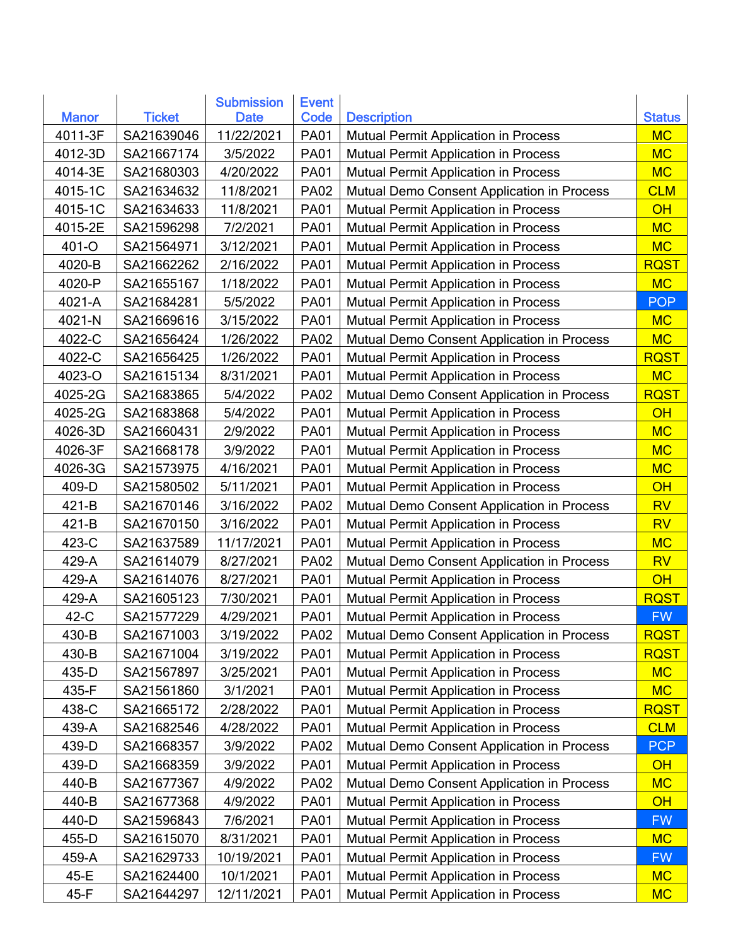| <b>Manor</b><br><b>Ticket</b><br>Code<br><b>Description</b><br><b>Status</b><br><b>Date</b><br>4011-3F<br>SA21639046<br>11/22/2021<br><b>MC</b><br><b>PA01</b><br>Mutual Permit Application in Process<br>4012-3D<br>SA21667174<br>3/5/2022<br><b>PA01</b><br><b>MC</b><br><b>Mutual Permit Application in Process</b><br>4014-3E<br>SA21680303<br>4/20/2022<br><b>PA01</b><br><b>MC</b><br><b>Mutual Permit Application in Process</b><br>4015-1C<br>SA21634632<br>11/8/2021<br><b>CLM</b><br><b>PA02</b><br>Mutual Demo Consent Application in Process<br>4015-1C<br>SA21634633<br>11/8/2021<br><b>PA01</b><br>OH<br><b>Mutual Permit Application in Process</b><br>4015-2E<br><b>PA01</b><br><b>MC</b><br>SA21596298<br>7/2/2021<br>Mutual Permit Application in Process<br>401-O<br>SA21564971<br>3/12/2021<br><b>PA01</b><br><b>MC</b><br>Mutual Permit Application in Process<br>4020-B<br>SA21662262<br>2/16/2022<br><b>PA01</b><br><b>RQST</b><br><b>Mutual Permit Application in Process</b><br>4020-P<br>SA21655167<br>1/18/2022<br><b>MC</b><br><b>PA01</b><br>Mutual Permit Application in Process<br>4021-A<br>SA21684281<br>5/5/2022<br><b>PA01</b><br><b>POP</b><br>Mutual Permit Application in Process<br>4021-N<br>SA21669616<br>3/15/2022<br><b>PA01</b><br><b>MC</b><br>Mutual Permit Application in Process |
|----------------------------------------------------------------------------------------------------------------------------------------------------------------------------------------------------------------------------------------------------------------------------------------------------------------------------------------------------------------------------------------------------------------------------------------------------------------------------------------------------------------------------------------------------------------------------------------------------------------------------------------------------------------------------------------------------------------------------------------------------------------------------------------------------------------------------------------------------------------------------------------------------------------------------------------------------------------------------------------------------------------------------------------------------------------------------------------------------------------------------------------------------------------------------------------------------------------------------------------------------------------------------------------------------------------------------------|
|                                                                                                                                                                                                                                                                                                                                                                                                                                                                                                                                                                                                                                                                                                                                                                                                                                                                                                                                                                                                                                                                                                                                                                                                                                                                                                                                  |
|                                                                                                                                                                                                                                                                                                                                                                                                                                                                                                                                                                                                                                                                                                                                                                                                                                                                                                                                                                                                                                                                                                                                                                                                                                                                                                                                  |
|                                                                                                                                                                                                                                                                                                                                                                                                                                                                                                                                                                                                                                                                                                                                                                                                                                                                                                                                                                                                                                                                                                                                                                                                                                                                                                                                  |
|                                                                                                                                                                                                                                                                                                                                                                                                                                                                                                                                                                                                                                                                                                                                                                                                                                                                                                                                                                                                                                                                                                                                                                                                                                                                                                                                  |
|                                                                                                                                                                                                                                                                                                                                                                                                                                                                                                                                                                                                                                                                                                                                                                                                                                                                                                                                                                                                                                                                                                                                                                                                                                                                                                                                  |
|                                                                                                                                                                                                                                                                                                                                                                                                                                                                                                                                                                                                                                                                                                                                                                                                                                                                                                                                                                                                                                                                                                                                                                                                                                                                                                                                  |
|                                                                                                                                                                                                                                                                                                                                                                                                                                                                                                                                                                                                                                                                                                                                                                                                                                                                                                                                                                                                                                                                                                                                                                                                                                                                                                                                  |
|                                                                                                                                                                                                                                                                                                                                                                                                                                                                                                                                                                                                                                                                                                                                                                                                                                                                                                                                                                                                                                                                                                                                                                                                                                                                                                                                  |
|                                                                                                                                                                                                                                                                                                                                                                                                                                                                                                                                                                                                                                                                                                                                                                                                                                                                                                                                                                                                                                                                                                                                                                                                                                                                                                                                  |
|                                                                                                                                                                                                                                                                                                                                                                                                                                                                                                                                                                                                                                                                                                                                                                                                                                                                                                                                                                                                                                                                                                                                                                                                                                                                                                                                  |
|                                                                                                                                                                                                                                                                                                                                                                                                                                                                                                                                                                                                                                                                                                                                                                                                                                                                                                                                                                                                                                                                                                                                                                                                                                                                                                                                  |
|                                                                                                                                                                                                                                                                                                                                                                                                                                                                                                                                                                                                                                                                                                                                                                                                                                                                                                                                                                                                                                                                                                                                                                                                                                                                                                                                  |
| 4022-C<br>SA21656424<br>1/26/2022<br><b>MC</b><br><b>PA02</b><br>Mutual Demo Consent Application in Process                                                                                                                                                                                                                                                                                                                                                                                                                                                                                                                                                                                                                                                                                                                                                                                                                                                                                                                                                                                                                                                                                                                                                                                                                      |
| 4022-C<br>SA21656425<br>1/26/2022<br><b>PA01</b><br><b>RQST</b><br><b>Mutual Permit Application in Process</b>                                                                                                                                                                                                                                                                                                                                                                                                                                                                                                                                                                                                                                                                                                                                                                                                                                                                                                                                                                                                                                                                                                                                                                                                                   |
| 4023-O<br>SA21615134<br>8/31/2021<br><b>PA01</b><br>Mutual Permit Application in Process<br><b>MC</b>                                                                                                                                                                                                                                                                                                                                                                                                                                                                                                                                                                                                                                                                                                                                                                                                                                                                                                                                                                                                                                                                                                                                                                                                                            |
| 4025-2G<br>SA21683865<br>5/4/2022<br><b>PA02</b><br><b>RQST</b><br>Mutual Demo Consent Application in Process                                                                                                                                                                                                                                                                                                                                                                                                                                                                                                                                                                                                                                                                                                                                                                                                                                                                                                                                                                                                                                                                                                                                                                                                                    |
| 4025-2G<br>SA21683868<br>5/4/2022<br>OH<br><b>PA01</b><br>Mutual Permit Application in Process                                                                                                                                                                                                                                                                                                                                                                                                                                                                                                                                                                                                                                                                                                                                                                                                                                                                                                                                                                                                                                                                                                                                                                                                                                   |
| 4026-3D<br>SA21660431<br>2/9/2022<br><b>MC</b><br><b>PA01</b><br>Mutual Permit Application in Process                                                                                                                                                                                                                                                                                                                                                                                                                                                                                                                                                                                                                                                                                                                                                                                                                                                                                                                                                                                                                                                                                                                                                                                                                            |
| 4026-3F<br><b>MC</b><br>SA21668178<br>3/9/2022<br><b>PA01</b><br>Mutual Permit Application in Process                                                                                                                                                                                                                                                                                                                                                                                                                                                                                                                                                                                                                                                                                                                                                                                                                                                                                                                                                                                                                                                                                                                                                                                                                            |
| 4026-3G<br>SA21573975<br>4/16/2021<br><b>MC</b><br><b>PA01</b><br>Mutual Permit Application in Process                                                                                                                                                                                                                                                                                                                                                                                                                                                                                                                                                                                                                                                                                                                                                                                                                                                                                                                                                                                                                                                                                                                                                                                                                           |
| OH<br>409-D<br>SA21580502<br>5/11/2021<br><b>PA01</b><br><b>Mutual Permit Application in Process</b>                                                                                                                                                                                                                                                                                                                                                                                                                                                                                                                                                                                                                                                                                                                                                                                                                                                                                                                                                                                                                                                                                                                                                                                                                             |
| 421-B<br>SA21670146<br>3/16/2022<br><b>RV</b><br><b>PA02</b><br>Mutual Demo Consent Application in Process                                                                                                                                                                                                                                                                                                                                                                                                                                                                                                                                                                                                                                                                                                                                                                                                                                                                                                                                                                                                                                                                                                                                                                                                                       |
| 421-B<br>SA21670150<br>3/16/2022<br><b>RV</b><br><b>PA01</b><br><b>Mutual Permit Application in Process</b>                                                                                                                                                                                                                                                                                                                                                                                                                                                                                                                                                                                                                                                                                                                                                                                                                                                                                                                                                                                                                                                                                                                                                                                                                      |
| 423-C<br>SA21637589<br>11/17/2021<br><b>MC</b><br><b>PA01</b><br>Mutual Permit Application in Process                                                                                                                                                                                                                                                                                                                                                                                                                                                                                                                                                                                                                                                                                                                                                                                                                                                                                                                                                                                                                                                                                                                                                                                                                            |
| SA21614079<br>8/27/2021<br><b>PA02</b><br><b>RV</b><br>429-A<br>Mutual Demo Consent Application in Process                                                                                                                                                                                                                                                                                                                                                                                                                                                                                                                                                                                                                                                                                                                                                                                                                                                                                                                                                                                                                                                                                                                                                                                                                       |
| OH<br>429-A<br>SA21614076<br>8/27/2021<br><b>PA01</b><br>Mutual Permit Application in Process                                                                                                                                                                                                                                                                                                                                                                                                                                                                                                                                                                                                                                                                                                                                                                                                                                                                                                                                                                                                                                                                                                                                                                                                                                    |
| 429-A<br>SA21605123<br>7/30/2021<br><b>PA01</b><br><b>RQST</b><br><b>Mutual Permit Application in Process</b>                                                                                                                                                                                                                                                                                                                                                                                                                                                                                                                                                                                                                                                                                                                                                                                                                                                                                                                                                                                                                                                                                                                                                                                                                    |
| $42-C$<br>SA21577229<br>4/29/2021<br><b>PA01</b><br><b>FW</b><br><b>Mutual Permit Application in Process</b>                                                                                                                                                                                                                                                                                                                                                                                                                                                                                                                                                                                                                                                                                                                                                                                                                                                                                                                                                                                                                                                                                                                                                                                                                     |
| 430-B<br>SA21671003<br>3/19/2022<br><b>PA02</b><br>Mutual Demo Consent Application in Process<br><b>RQST</b>                                                                                                                                                                                                                                                                                                                                                                                                                                                                                                                                                                                                                                                                                                                                                                                                                                                                                                                                                                                                                                                                                                                                                                                                                     |
| 430-B<br>SA21671004<br>3/19/2022<br><b>RQST</b><br><b>PA01</b><br><b>Mutual Permit Application in Process</b>                                                                                                                                                                                                                                                                                                                                                                                                                                                                                                                                                                                                                                                                                                                                                                                                                                                                                                                                                                                                                                                                                                                                                                                                                    |
| SA21567897<br>3/25/2021<br>Mutual Permit Application in Process<br><b>MC</b><br>435-D<br><b>PA01</b>                                                                                                                                                                                                                                                                                                                                                                                                                                                                                                                                                                                                                                                                                                                                                                                                                                                                                                                                                                                                                                                                                                                                                                                                                             |
| 435-F<br>SA21561860<br>3/1/2021<br><b>PA01</b><br><b>Mutual Permit Application in Process</b><br><b>MC</b>                                                                                                                                                                                                                                                                                                                                                                                                                                                                                                                                                                                                                                                                                                                                                                                                                                                                                                                                                                                                                                                                                                                                                                                                                       |
| 438-C<br>SA21665172<br>2/28/2022<br><b>PA01</b><br><b>RQST</b><br><b>Mutual Permit Application in Process</b>                                                                                                                                                                                                                                                                                                                                                                                                                                                                                                                                                                                                                                                                                                                                                                                                                                                                                                                                                                                                                                                                                                                                                                                                                    |
| <b>CLM</b><br>439-A<br>SA21682546<br>4/28/2022<br><b>PA01</b><br>Mutual Permit Application in Process                                                                                                                                                                                                                                                                                                                                                                                                                                                                                                                                                                                                                                                                                                                                                                                                                                                                                                                                                                                                                                                                                                                                                                                                                            |
| 439-D<br>SA21668357<br>3/9/2022<br><b>PCP</b><br><b>PA02</b><br>Mutual Demo Consent Application in Process                                                                                                                                                                                                                                                                                                                                                                                                                                                                                                                                                                                                                                                                                                                                                                                                                                                                                                                                                                                                                                                                                                                                                                                                                       |
| 439-D<br>SA21668359<br>3/9/2022<br><b>PA01</b><br>Mutual Permit Application in Process<br>OH                                                                                                                                                                                                                                                                                                                                                                                                                                                                                                                                                                                                                                                                                                                                                                                                                                                                                                                                                                                                                                                                                                                                                                                                                                     |
| <b>MC</b><br>440-B<br>SA21677367<br>4/9/2022<br><b>PA02</b><br>Mutual Demo Consent Application in Process                                                                                                                                                                                                                                                                                                                                                                                                                                                                                                                                                                                                                                                                                                                                                                                                                                                                                                                                                                                                                                                                                                                                                                                                                        |
| 440-B<br>OH<br>SA21677368<br><b>PA01</b><br>Mutual Permit Application in Process<br>4/9/2022                                                                                                                                                                                                                                                                                                                                                                                                                                                                                                                                                                                                                                                                                                                                                                                                                                                                                                                                                                                                                                                                                                                                                                                                                                     |
| 440-D<br>SA21596843<br>Mutual Permit Application in Process<br>7/6/2021<br><b>PA01</b><br><b>FW</b>                                                                                                                                                                                                                                                                                                                                                                                                                                                                                                                                                                                                                                                                                                                                                                                                                                                                                                                                                                                                                                                                                                                                                                                                                              |
| 455-D<br>SA21615070<br>8/31/2021<br><b>PA01</b><br><b>Mutual Permit Application in Process</b><br><b>MC</b>                                                                                                                                                                                                                                                                                                                                                                                                                                                                                                                                                                                                                                                                                                                                                                                                                                                                                                                                                                                                                                                                                                                                                                                                                      |
| 459-A<br>SA21629733<br>10/19/2021<br><b>PA01</b><br>Mutual Permit Application in Process<br><b>FW</b>                                                                                                                                                                                                                                                                                                                                                                                                                                                                                                                                                                                                                                                                                                                                                                                                                                                                                                                                                                                                                                                                                                                                                                                                                            |
| 45-E<br>SA21624400<br>10/1/2021<br><b>PA01</b><br>Mutual Permit Application in Process<br><b>MC</b>                                                                                                                                                                                                                                                                                                                                                                                                                                                                                                                                                                                                                                                                                                                                                                                                                                                                                                                                                                                                                                                                                                                                                                                                                              |
| 45-F<br>SA21644297<br>12/11/2021<br><b>PA01</b><br><b>MC</b><br>Mutual Permit Application in Process                                                                                                                                                                                                                                                                                                                                                                                                                                                                                                                                                                                                                                                                                                                                                                                                                                                                                                                                                                                                                                                                                                                                                                                                                             |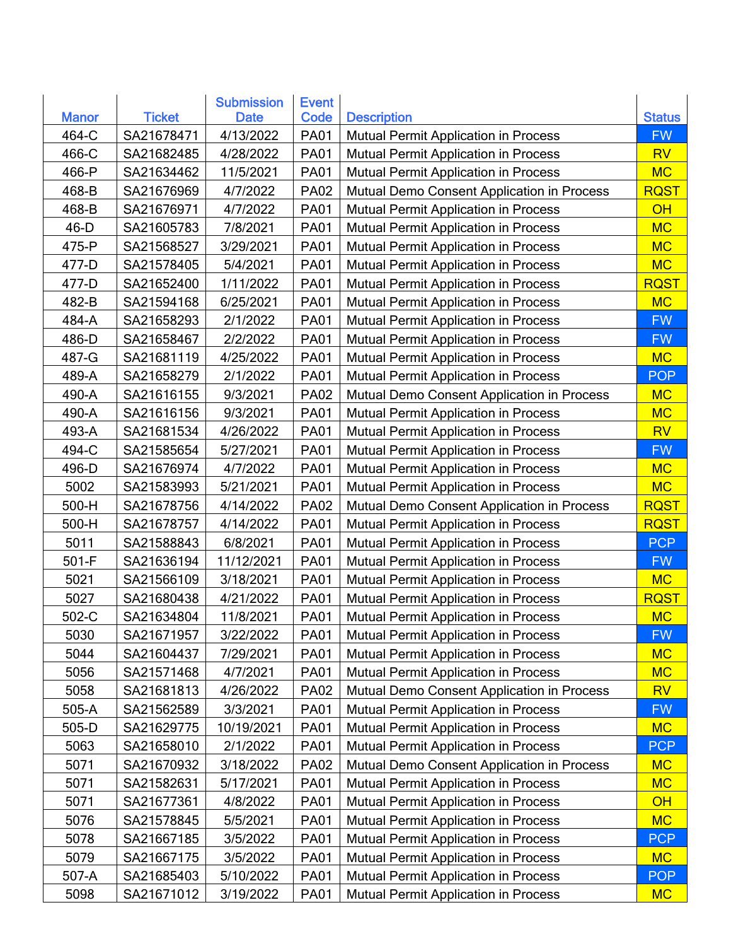| <b>Ticket</b><br>Code<br><b>Description</b><br><b>Manor</b><br><b>Date</b>                     | <b>Status</b> |
|------------------------------------------------------------------------------------------------|---------------|
|                                                                                                |               |
| 464-C<br>SA21678471<br>4/13/2022<br><b>PA01</b><br>Mutual Permit Application in Process        | <b>FW</b>     |
| 466-C<br>SA21682485<br>4/28/2022<br><b>PA01</b><br>Mutual Permit Application in Process        | <b>RV</b>     |
| 466-P<br>SA21634462<br>11/5/2021<br><b>PA01</b><br>Mutual Permit Application in Process        | <b>MC</b>     |
| 468-B<br>SA21676969<br>4/7/2022<br><b>PA02</b><br>Mutual Demo Consent Application in Process   | <b>RQST</b>   |
| 468-B<br>SA21676971<br>4/7/2022<br><b>PA01</b><br>Mutual Permit Application in Process         | OH            |
| 46-D<br><b>PA01</b><br>SA21605783<br>7/8/2021<br>Mutual Permit Application in Process          | <b>MC</b>     |
| 475-P<br>SA21568527<br>3/29/2021<br><b>PA01</b><br>Mutual Permit Application in Process        | <b>MC</b>     |
| 477-D<br>SA21578405<br>5/4/2021<br><b>PA01</b><br><b>Mutual Permit Application in Process</b>  | <b>MC</b>     |
| SA21652400<br>1/11/2022<br>477-D<br><b>PA01</b><br><b>Mutual Permit Application in Process</b> | <b>RQST</b>   |
| SA21594168<br>6/25/2021<br>482-B<br><b>PA01</b><br><b>Mutual Permit Application in Process</b> | <b>MC</b>     |
| 484-A<br>SA21658293<br>2/1/2022<br><b>PA01</b><br>Mutual Permit Application in Process         | <b>FW</b>     |
| 486-D<br>SA21658467<br>2/2/2022<br><b>PA01</b><br>Mutual Permit Application in Process         | <b>FW</b>     |
| SA21681119<br>487-G<br>4/25/2022<br><b>PA01</b><br><b>Mutual Permit Application in Process</b> | <b>MC</b>     |
| 489-A<br>SA21658279<br>2/1/2022<br><b>PA01</b><br>Mutual Permit Application in Process         | <b>POP</b>    |
| 490-A<br>SA21616155<br>9/3/2021<br><b>PA02</b><br>Mutual Demo Consent Application in Process   | <b>MC</b>     |
| SA21616156<br>490-A<br>9/3/2021<br><b>PA01</b><br>Mutual Permit Application in Process         | <b>MC</b>     |
| 493-A<br>SA21681534<br>4/26/2022<br><b>PA01</b><br>Mutual Permit Application in Process        | <b>RV</b>     |
| 494-C<br>SA21585654<br><b>PA01</b><br>5/27/2021<br>Mutual Permit Application in Process        | <b>FW</b>     |
| 496-D<br>SA21676974<br>4/7/2022<br><b>PA01</b><br>Mutual Permit Application in Process         | <b>MC</b>     |
| 5002<br>SA21583993<br>5/21/2021<br><b>PA01</b><br><b>Mutual Permit Application in Process</b>  | <b>MC</b>     |
| 500-H<br>SA21678756<br>4/14/2022<br><b>PA02</b><br>Mutual Demo Consent Application in Process  | <b>RQST</b>   |
| 500-H<br>SA21678757<br>4/14/2022<br><b>PA01</b><br><b>Mutual Permit Application in Process</b> | <b>RQST</b>   |
| 5011<br>SA21588843<br>6/8/2021<br><b>PA01</b><br>Mutual Permit Application in Process          | <b>PCP</b>    |
| 501-F<br>SA21636194<br>11/12/2021<br><b>PA01</b><br>Mutual Permit Application in Process       | <b>FW</b>     |
| 5021<br>SA21566109<br>3/18/2021<br><b>PA01</b><br>Mutual Permit Application in Process         | <b>MC</b>     |
| 4/21/2022<br>5027<br>SA21680438<br><b>PA01</b><br><b>Mutual Permit Application in Process</b>  | <b>RQST</b>   |
| 11/8/2021<br>502-C<br>SA21634804<br><b>PA01</b><br><b>Mutual Permit Application in Process</b> | <b>MC</b>     |
| 5030<br>SA21671957<br>3/22/2022<br><b>PA01</b><br>Mutual Permit Application in Process         | <b>FW</b>     |
| 5044<br>SA21604437<br>7/29/2021<br><b>PA01</b><br>Mutual Permit Application in Process         | <b>MC</b>     |
| SA21571468<br>4/7/2021<br><b>PA01</b><br>Mutual Permit Application in Process<br>5056          | <b>MC</b>     |
| SA21681813<br>5058<br>4/26/2022<br><b>PA02</b><br>Mutual Demo Consent Application in Process   | <b>RV</b>     |
| $505-A$<br>SA21562589<br>3/3/2021<br><b>PA01</b><br>Mutual Permit Application in Process       | <b>FW</b>     |
| 10/19/2021<br>505-D<br>SA21629775<br><b>PA01</b><br>Mutual Permit Application in Process       | <b>MC</b>     |
| SA21658010<br>5063<br>2/1/2022<br><b>PA01</b><br>Mutual Permit Application in Process          | <b>PCP</b>    |
| 5071<br>SA21670932<br>3/18/2022<br><b>PA02</b><br>Mutual Demo Consent Application in Process   | <b>MC</b>     |
| SA21582631<br>5071<br>5/17/2021<br><b>PA01</b><br>Mutual Permit Application in Process         | <b>MC</b>     |
| 5071<br>SA21677361<br><b>PA01</b><br>Mutual Permit Application in Process<br>4/8/2022          | OH            |
| 5076<br>SA21578845<br>5/5/2021<br><b>PA01</b><br>Mutual Permit Application in Process          | <b>MC</b>     |
| 5078<br>SA21667185<br>3/5/2022<br><b>PA01</b><br>Mutual Permit Application in Process          | <b>PCP</b>    |
| SA21667175<br>5079<br>3/5/2022<br><b>PA01</b><br>Mutual Permit Application in Process          | <b>MC</b>     |
| SA21685403<br>Mutual Permit Application in Process<br>507-A<br>5/10/2022<br><b>PA01</b>        | <b>POP</b>    |
| 5098<br>SA21671012<br>3/19/2022<br><b>PA01</b><br>Mutual Permit Application in Process         | <b>MC</b>     |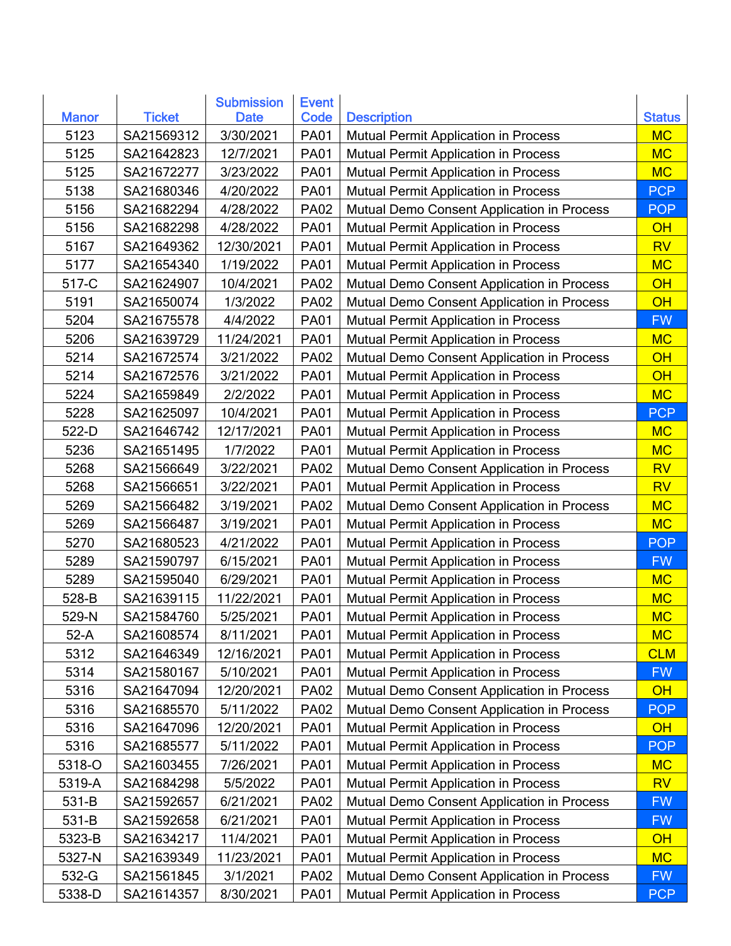| <b>Ticket</b><br>Code<br><b>Description</b><br><b>Manor</b><br><b>Date</b><br>5123<br>SA21569312<br>3/30/2021<br><b>PA01</b><br>Mutual Permit Application in Process<br>5125<br>SA21642823<br>12/7/2021<br><b>PA01</b><br><b>Mutual Permit Application in Process</b> | <b>Status</b><br><b>MC</b><br><b>MC</b> |
|-----------------------------------------------------------------------------------------------------------------------------------------------------------------------------------------------------------------------------------------------------------------------|-----------------------------------------|
|                                                                                                                                                                                                                                                                       |                                         |
|                                                                                                                                                                                                                                                                       |                                         |
|                                                                                                                                                                                                                                                                       |                                         |
| 5125<br>SA21672277<br>3/23/2022<br><b>PA01</b><br><b>Mutual Permit Application in Process</b>                                                                                                                                                                         | <b>MC</b>                               |
| 5138<br>SA21680346<br>4/20/2022<br><b>PA01</b><br>Mutual Permit Application in Process                                                                                                                                                                                | <b>PCP</b>                              |
| SA21682294<br>5156<br>4/28/2022<br><b>PA02</b><br>Mutual Demo Consent Application in Process                                                                                                                                                                          | <b>POP</b>                              |
| SA21682298<br>4/28/2022<br><b>PA01</b><br>5156<br><b>Mutual Permit Application in Process</b>                                                                                                                                                                         | OH                                      |
| 5167<br>SA21649362<br>12/30/2021<br><b>PA01</b><br>Mutual Permit Application in Process                                                                                                                                                                               | <b>RV</b>                               |
| 5177<br>SA21654340<br>1/19/2022<br><b>PA01</b><br>Mutual Permit Application in Process                                                                                                                                                                                | <b>MC</b>                               |
| 517-C<br>SA21624907<br>10/4/2021<br><b>PA02</b><br>Mutual Demo Consent Application in Process                                                                                                                                                                         | OH                                      |
| 5191<br>SA21650074<br>1/3/2022<br><b>PA02</b><br>Mutual Demo Consent Application in Process                                                                                                                                                                           | OH                                      |
| 5204<br>SA21675578<br>4/4/2022<br><b>PA01</b><br>Mutual Permit Application in Process                                                                                                                                                                                 | <b>FW</b>                               |
| 5206<br>SA21639729<br>11/24/2021<br><b>PA01</b><br>Mutual Permit Application in Process                                                                                                                                                                               | <b>MC</b>                               |
| 5214<br>3/21/2022<br>SA21672574<br><b>PA02</b><br>Mutual Demo Consent Application in Process                                                                                                                                                                          | OH                                      |
| 3/21/2022<br><b>PA01</b><br>5214<br>SA21672576<br><b>Mutual Permit Application in Process</b>                                                                                                                                                                         | OH                                      |
| 5224<br>SA21659849<br>2/2/2022<br><b>PA01</b><br><b>Mutual Permit Application in Process</b>                                                                                                                                                                          | <b>MC</b>                               |
| 5228<br>SA21625097<br>10/4/2021<br><b>PA01</b><br>Mutual Permit Application in Process                                                                                                                                                                                | <b>PCP</b>                              |
| SA21646742<br>522-D<br>12/17/2021<br><b>PA01</b><br>Mutual Permit Application in Process                                                                                                                                                                              | <b>MC</b>                               |
| 5236<br>SA21651495<br>1/7/2022<br><b>PA01</b><br><b>Mutual Permit Application in Process</b>                                                                                                                                                                          | <b>MC</b>                               |
| 5268<br>SA21566649<br>3/22/2021<br><b>PA02</b><br>Mutual Demo Consent Application in Process                                                                                                                                                                          | <b>RV</b>                               |
| 5268<br>SA21566651<br>3/22/2021<br><b>PA01</b><br><b>Mutual Permit Application in Process</b>                                                                                                                                                                         | <b>RV</b>                               |
| 5269<br>SA21566482<br>3/19/2021<br><b>PA02</b><br>Mutual Demo Consent Application in Process                                                                                                                                                                          | <b>MC</b>                               |
| 5269<br>SA21566487<br>3/19/2021<br><b>PA01</b><br><b>Mutual Permit Application in Process</b>                                                                                                                                                                         | <b>MC</b>                               |
| 5270<br>SA21680523<br>4/21/2022<br><b>PA01</b><br>Mutual Permit Application in Process                                                                                                                                                                                | <b>POP</b>                              |
| 5289<br>SA21590797<br>6/15/2021<br><b>PA01</b><br><b>Mutual Permit Application in Process</b>                                                                                                                                                                         | <b>FW</b>                               |
| 5289<br>SA21595040<br>6/29/2021<br><b>PA01</b><br><b>Mutual Permit Application in Process</b>                                                                                                                                                                         | <b>MC</b>                               |
| SA21639115<br>528-B<br>11/22/2021<br><b>PA01</b><br><b>Mutual Permit Application in Process</b>                                                                                                                                                                       | <b>MC</b>                               |
| 529-N<br>SA21584760<br>5/25/2021<br><b>PA01</b><br><b>Mutual Permit Application in Process</b>                                                                                                                                                                        | <b>MC</b>                               |
| $52-A$<br>SA21608574<br>8/11/2021<br><b>PA01</b><br>Mutual Permit Application in Process                                                                                                                                                                              | <b>MC</b>                               |
| SA21646349<br>5312<br>12/16/2021<br><b>PA01</b><br>Mutual Permit Application in Process                                                                                                                                                                               | <b>CLM</b>                              |
| 5314<br>5/10/2021<br><b>PA01</b><br>SA21580167<br><b>Mutual Permit Application in Process</b>                                                                                                                                                                         | <b>FW</b>                               |
| SA21647094<br>5316<br>12/20/2021<br>Mutual Demo Consent Application in Process<br><b>PA02</b>                                                                                                                                                                         | OH                                      |
| 5316<br>SA21685570<br>5/11/2022<br><b>PA02</b><br>Mutual Demo Consent Application in Process                                                                                                                                                                          | <b>POP</b>                              |
| SA21647096<br>5316<br>12/20/2021<br><b>PA01</b><br>Mutual Permit Application in Process                                                                                                                                                                               | OH                                      |
| SA21685577<br>5316<br>5/11/2022<br>Mutual Permit Application in Process<br><b>PA01</b>                                                                                                                                                                                | <b>POP</b>                              |
| 5318-O<br>SA21603455<br>7/26/2021<br><b>PA01</b><br>Mutual Permit Application in Process                                                                                                                                                                              | <b>MC</b>                               |
| Mutual Permit Application in Process<br>5319-A<br>SA21684298<br>5/5/2022<br><b>PA01</b>                                                                                                                                                                               | <b>RV</b>                               |
| 531-B<br>6/21/2021<br><b>PA02</b><br>SA21592657<br>Mutual Demo Consent Application in Process                                                                                                                                                                         | <b>FW</b>                               |
| 531-B<br>SA21592658<br>6/21/2021<br><b>PA01</b><br>Mutual Permit Application in Process                                                                                                                                                                               | <b>FW</b>                               |
| 11/4/2021<br>5323-B<br>SA21634217<br><b>PA01</b><br><b>Mutual Permit Application in Process</b>                                                                                                                                                                       | OH                                      |
| SA21639349<br>5327-N<br>11/23/2021<br><b>PA01</b><br>Mutual Permit Application in Process                                                                                                                                                                             | <b>MC</b>                               |
| SA21561845<br>3/1/2021<br>Mutual Demo Consent Application in Process<br>532-G<br><b>PA02</b>                                                                                                                                                                          | <b>FW</b>                               |
| 5338-D<br>SA21614357<br>8/30/2021<br><b>PA01</b><br>Mutual Permit Application in Process                                                                                                                                                                              | <b>PCP</b>                              |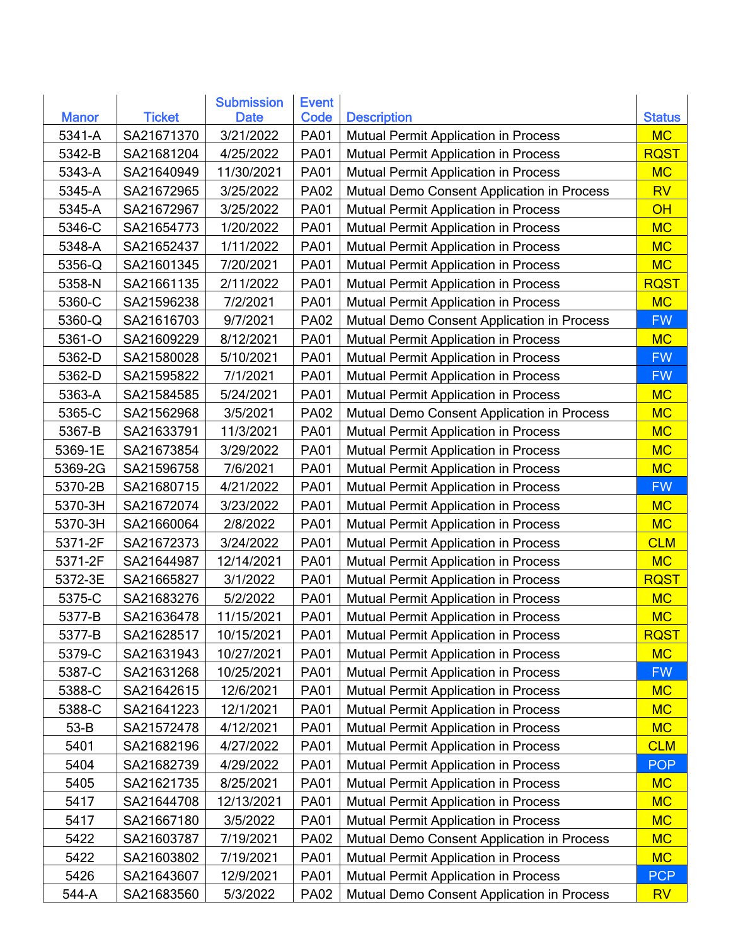|              |               | <b>Submission</b> | <b>Event</b> |                                             |               |
|--------------|---------------|-------------------|--------------|---------------------------------------------|---------------|
| <b>Manor</b> | <b>Ticket</b> | <b>Date</b>       | Code         | <b>Description</b>                          | <b>Status</b> |
| 5341-A       | SA21671370    | 3/21/2022         | <b>PA01</b>  | Mutual Permit Application in Process        | <b>MC</b>     |
| 5342-B       | SA21681204    | 4/25/2022         | <b>PA01</b>  | <b>Mutual Permit Application in Process</b> | <b>RQST</b>   |
| 5343-A       | SA21640949    | 11/30/2021        | <b>PA01</b>  | <b>Mutual Permit Application in Process</b> | <b>MC</b>     |
| 5345-A       | SA21672965    | 3/25/2022         | <b>PA02</b>  | Mutual Demo Consent Application in Process  | <b>RV</b>     |
| 5345-A       | SA21672967    | 3/25/2022         | <b>PA01</b>  | <b>Mutual Permit Application in Process</b> | OH            |
| 5346-C       | SA21654773    | 1/20/2022         | <b>PA01</b>  | Mutual Permit Application in Process        | <b>MC</b>     |
| 5348-A       | SA21652437    | 1/11/2022         | <b>PA01</b>  | <b>Mutual Permit Application in Process</b> | <b>MC</b>     |
| 5356-Q       | SA21601345    | 7/20/2021         | <b>PA01</b>  | Mutual Permit Application in Process        | <b>MC</b>     |
| 5358-N       | SA21661135    | 2/11/2022         | <b>PA01</b>  | Mutual Permit Application in Process        | <b>RQST</b>   |
| 5360-C       | SA21596238    | 7/2/2021          | <b>PA01</b>  | Mutual Permit Application in Process        | <b>MC</b>     |
| 5360-Q       | SA21616703    | 9/7/2021          | <b>PA02</b>  | Mutual Demo Consent Application in Process  | <b>FW</b>     |
| 5361-O       | SA21609229    | 8/12/2021         | <b>PA01</b>  | Mutual Permit Application in Process        | <b>MC</b>     |
| 5362-D       | SA21580028    | 5/10/2021         | <b>PA01</b>  | <b>Mutual Permit Application in Process</b> | <b>FW</b>     |
| 5362-D       | SA21595822    | 7/1/2021          | <b>PA01</b>  | Mutual Permit Application in Process        | <b>FW</b>     |
| 5363-A       | SA21584585    | 5/24/2021         | <b>PA01</b>  | <b>Mutual Permit Application in Process</b> | <b>MC</b>     |
| 5365-C       | SA21562968    | 3/5/2021          | <b>PA02</b>  | Mutual Demo Consent Application in Process  | <b>MC</b>     |
| 5367-B       | SA21633791    | 11/3/2021         | <b>PA01</b>  | Mutual Permit Application in Process        | <b>MC</b>     |
| 5369-1E      | SA21673854    | 3/29/2022         | <b>PA01</b>  | Mutual Permit Application in Process        | <b>MC</b>     |
| 5369-2G      | SA21596758    | 7/6/2021          | <b>PA01</b>  | Mutual Permit Application in Process        | <b>MC</b>     |
| 5370-2B      | SA21680715    | 4/21/2022         | <b>PA01</b>  | <b>Mutual Permit Application in Process</b> | <b>FW</b>     |
| 5370-3H      | SA21672074    | 3/23/2022         | <b>PA01</b>  | Mutual Permit Application in Process        | <b>MC</b>     |
| 5370-3H      | SA21660064    | 2/8/2022          | <b>PA01</b>  | Mutual Permit Application in Process        | <b>MC</b>     |
| 5371-2F      | SA21672373    | 3/24/2022         | <b>PA01</b>  | Mutual Permit Application in Process        | <b>CLM</b>    |
| 5371-2F      | SA21644987    | 12/14/2021        | <b>PA01</b>  | <b>Mutual Permit Application in Process</b> | <b>MC</b>     |
| 5372-3E      | SA21665827    | 3/1/2022          | <b>PA01</b>  | Mutual Permit Application in Process        | <b>RQST</b>   |
| 5375-C       | SA21683276    | 5/2/2022          | <b>PA01</b>  | <b>Mutual Permit Application in Process</b> | <b>MC</b>     |
| 5377-B       | SA21636478    | 11/15/2021        | <b>PA01</b>  | <b>Mutual Permit Application in Process</b> | <b>MC</b>     |
| 5377-B       | SA21628517    | 10/15/2021        | <b>PA01</b>  | Mutual Permit Application in Process        | <b>RQST</b>   |
| 5379-C       | SA21631943    | 10/27/2021        | <b>PA01</b>  | <b>Mutual Permit Application in Process</b> | <b>MC</b>     |
| 5387-C       | SA21631268    | 10/25/2021        | <b>PA01</b>  | Mutual Permit Application in Process        | <b>FW</b>     |
| 5388-C       | SA21642615    | 12/6/2021         | <b>PA01</b>  | <b>Mutual Permit Application in Process</b> | <b>MC</b>     |
| 5388-C       | SA21641223    | 12/1/2021         | <b>PA01</b>  | <b>Mutual Permit Application in Process</b> | <b>MC</b>     |
| $53-B$       | SA21572478    | 4/12/2021         | <b>PA01</b>  | <b>Mutual Permit Application in Process</b> | <b>MC</b>     |
| 5401         | SA21682196    | 4/27/2022         | <b>PA01</b>  | Mutual Permit Application in Process        | <b>CLM</b>    |
| 5404         | SA21682739    | 4/29/2022         | <b>PA01</b>  | Mutual Permit Application in Process        | <b>POP</b>    |
| 5405         | SA21621735    | 8/25/2021         | <b>PA01</b>  | <b>Mutual Permit Application in Process</b> | <b>MC</b>     |
| 5417         | SA21644708    | 12/13/2021        | <b>PA01</b>  | Mutual Permit Application in Process        | <b>MC</b>     |
| 5417         | SA21667180    | 3/5/2022          | <b>PA01</b>  | Mutual Permit Application in Process        | <b>MC</b>     |
| 5422         | SA21603787    | 7/19/2021         | <b>PA02</b>  | Mutual Demo Consent Application in Process  | <b>MC</b>     |
| 5422         | SA21603802    | 7/19/2021         | <b>PA01</b>  | <b>Mutual Permit Application in Process</b> | <b>MC</b>     |
| 5426         | SA21643607    | 12/9/2021         | <b>PA01</b>  | Mutual Permit Application in Process        | <b>PCP</b>    |
| 544-A        | SA21683560    | 5/3/2022          | <b>PA02</b>  | Mutual Demo Consent Application in Process  | <b>RV</b>     |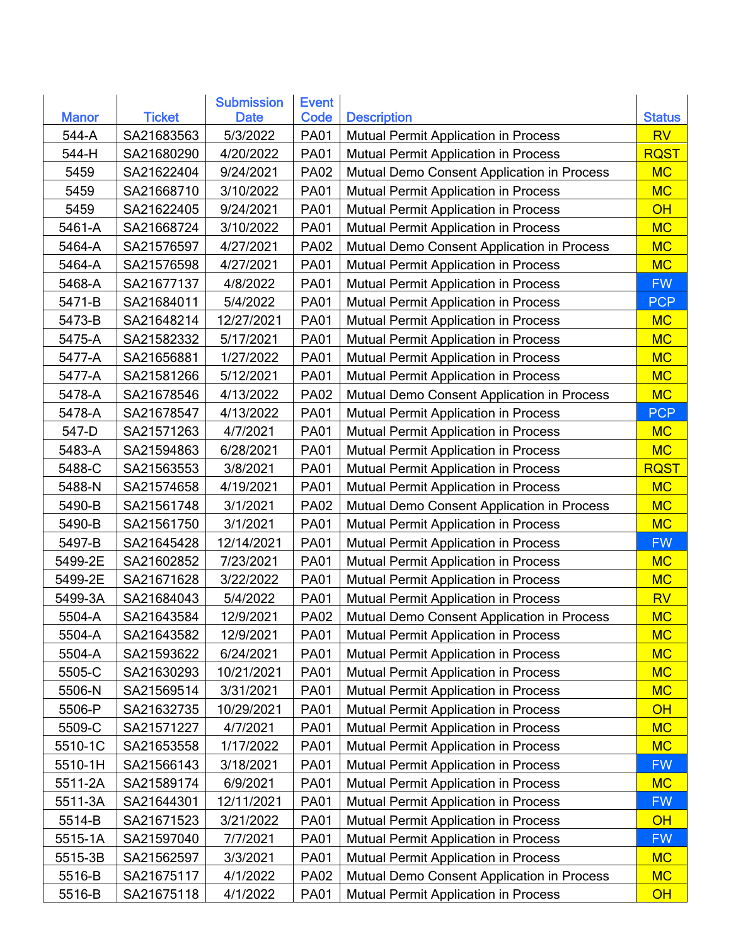| <b>Manor</b><br><b>Ticket</b><br>Code<br><b>Description</b><br><b>Status</b><br><b>Date</b><br>544-A<br>SA21683563<br>5/3/2022<br><b>RV</b><br><b>PA01</b><br>Mutual Permit Application in Process<br>SA21680290<br>544-H<br>4/20/2022<br><b>PA01</b><br><b>RQST</b><br><b>Mutual Permit Application in Process</b><br>5459<br>SA21622404<br>9/24/2021<br><b>PA02</b><br><b>MC</b><br>Mutual Demo Consent Application in Process |
|----------------------------------------------------------------------------------------------------------------------------------------------------------------------------------------------------------------------------------------------------------------------------------------------------------------------------------------------------------------------------------------------------------------------------------|
|                                                                                                                                                                                                                                                                                                                                                                                                                                  |
|                                                                                                                                                                                                                                                                                                                                                                                                                                  |
|                                                                                                                                                                                                                                                                                                                                                                                                                                  |
|                                                                                                                                                                                                                                                                                                                                                                                                                                  |
| 5459<br>SA21668710<br>3/10/2022<br><b>PA01</b><br><b>MC</b><br>Mutual Permit Application in Process                                                                                                                                                                                                                                                                                                                              |
| SA21622405<br>5459<br>9/24/2021<br><b>PA01</b><br>OH<br><b>Mutual Permit Application in Process</b>                                                                                                                                                                                                                                                                                                                              |
| <b>PA01</b><br><b>MC</b><br>5461-A<br>SA21668724<br>3/10/2022<br>Mutual Permit Application in Process                                                                                                                                                                                                                                                                                                                            |
| <b>MC</b><br>5464-A<br>SA21576597<br>4/27/2021<br><b>PA02</b><br>Mutual Demo Consent Application in Process                                                                                                                                                                                                                                                                                                                      |
| <b>MC</b><br>5464-A<br>SA21576598<br>4/27/2021<br><b>PA01</b><br><b>Mutual Permit Application in Process</b>                                                                                                                                                                                                                                                                                                                     |
| 5468-A<br>SA21677137<br><b>FW</b><br>4/8/2022<br><b>PA01</b><br>Mutual Permit Application in Process                                                                                                                                                                                                                                                                                                                             |
| 5471-B<br>SA21684011<br>5/4/2022<br><b>PA01</b><br><b>Mutual Permit Application in Process</b><br><b>PCP</b>                                                                                                                                                                                                                                                                                                                     |
| 5473-B<br>SA21648214<br>12/27/2021<br><b>PA01</b><br><b>MC</b><br>Mutual Permit Application in Process                                                                                                                                                                                                                                                                                                                           |
| 5475-A<br>SA21582332<br>5/17/2021<br><b>PA01</b><br><b>MC</b><br>Mutual Permit Application in Process                                                                                                                                                                                                                                                                                                                            |
| SA21656881<br><b>PA01</b><br><b>MC</b><br>5477-A<br>1/27/2022<br>Mutual Permit Application in Process                                                                                                                                                                                                                                                                                                                            |
| SA21581266<br>5/12/2021<br>5477-A<br><b>PA01</b><br>Mutual Permit Application in Process<br><b>MC</b>                                                                                                                                                                                                                                                                                                                            |
| <b>MC</b><br>SA21678546<br>4/13/2022<br><b>PA02</b><br>5478-A<br>Mutual Demo Consent Application in Process                                                                                                                                                                                                                                                                                                                      |
| 5478-A<br>SA21678547<br>4/13/2022<br><b>PCP</b><br><b>PA01</b><br>Mutual Permit Application in Process                                                                                                                                                                                                                                                                                                                           |
| SA21571263<br>4/7/2021<br><b>MC</b><br>547-D<br><b>PA01</b><br>Mutual Permit Application in Process                                                                                                                                                                                                                                                                                                                              |
| <b>MC</b><br>5483-A<br>SA21594863<br>6/28/2021<br><b>PA01</b><br>Mutual Permit Application in Process                                                                                                                                                                                                                                                                                                                            |
| 5488-C<br>SA21563553<br>3/8/2021<br><b>RQST</b><br><b>PA01</b><br>Mutual Permit Application in Process                                                                                                                                                                                                                                                                                                                           |
| <b>MC</b><br>5488-N<br>SA21574658<br>4/19/2021<br><b>PA01</b><br><b>Mutual Permit Application in Process</b>                                                                                                                                                                                                                                                                                                                     |
| 5490-B<br>SA21561748<br>3/1/2021<br><b>MC</b><br><b>PA02</b><br>Mutual Demo Consent Application in Process                                                                                                                                                                                                                                                                                                                       |
| 5490-B<br>3/1/2021<br><b>MC</b><br>SA21561750<br><b>PA01</b><br><b>Mutual Permit Application in Process</b>                                                                                                                                                                                                                                                                                                                      |
| 5497-B<br>SA21645428<br>12/14/2021<br><b>FW</b><br><b>PA01</b><br>Mutual Permit Application in Process                                                                                                                                                                                                                                                                                                                           |
| 5499-2E<br>SA21602852<br>7/23/2021<br><b>PA01</b><br><b>MC</b><br><b>Mutual Permit Application in Process</b>                                                                                                                                                                                                                                                                                                                    |
| 5499-2E<br>3/22/2022<br><b>MC</b><br>SA21671628<br><b>PA01</b><br>Mutual Permit Application in Process                                                                                                                                                                                                                                                                                                                           |
| SA21684043<br>5499-3A<br>5/4/2022<br><b>PA01</b><br>Mutual Permit Application in Process<br><b>RV</b>                                                                                                                                                                                                                                                                                                                            |
| 5504-A<br>SA21643584<br>12/9/2021<br><b>PA02</b><br><b>MC</b><br>Mutual Demo Consent Application in Process                                                                                                                                                                                                                                                                                                                      |
| 5504-A<br>SA21643582<br>12/9/2021<br><b>PA01</b><br>Mutual Permit Application in Process<br><b>MC</b>                                                                                                                                                                                                                                                                                                                            |
| 5504-A<br>SA21593622<br>6/24/2021<br><b>PA01</b><br>Mutual Permit Application in Process<br><b>MC</b>                                                                                                                                                                                                                                                                                                                            |
| 5505-C<br>SA21630293<br><b>PA01</b><br>Mutual Permit Application in Process<br><b>MC</b><br>10/21/2021                                                                                                                                                                                                                                                                                                                           |
| SA21569514<br>3/31/2021<br>5506-N<br><b>PA01</b><br><b>Mutual Permit Application in Process</b><br><b>MC</b>                                                                                                                                                                                                                                                                                                                     |
| 5506-P<br>SA21632735<br>10/29/2021<br><b>PA01</b><br><b>Mutual Permit Application in Process</b><br>OH                                                                                                                                                                                                                                                                                                                           |
| 5509-C<br>SA21571227<br>4/7/2021<br><b>PA01</b><br><b>Mutual Permit Application in Process</b><br><b>MC</b>                                                                                                                                                                                                                                                                                                                      |
| 5510-1C<br><b>MC</b><br>SA21653558<br>1/17/2022<br>Mutual Permit Application in Process<br><b>PA01</b>                                                                                                                                                                                                                                                                                                                           |
| SA21566143<br>5510-1H<br>3/18/2021<br><b>PA01</b><br><b>FW</b><br>Mutual Permit Application in Process                                                                                                                                                                                                                                                                                                                           |
| <b>Mutual Permit Application in Process</b><br>5511-2A<br>SA21589174<br>6/9/2021<br><b>PA01</b><br><b>MC</b>                                                                                                                                                                                                                                                                                                                     |
| 5511-3A<br>SA21644301<br>12/11/2021<br><b>PA01</b><br>Mutual Permit Application in Process<br><b>FW</b>                                                                                                                                                                                                                                                                                                                          |
| 5514-B<br>SA21671523<br>3/21/2022<br>Mutual Permit Application in Process<br>OH<br><b>PA01</b>                                                                                                                                                                                                                                                                                                                                   |
| SA21597040<br>5515-1A<br>7/7/2021<br><b>PA01</b><br><b>Mutual Permit Application in Process</b><br><b>FW</b>                                                                                                                                                                                                                                                                                                                     |
| 5515-3B<br>SA21562597<br>3/3/2021<br><b>PA01</b><br>Mutual Permit Application in Process<br><b>MC</b>                                                                                                                                                                                                                                                                                                                            |
| 5516-B<br>SA21675117<br>4/1/2022<br><b>PA02</b><br>Mutual Demo Consent Application in Process<br><b>MC</b>                                                                                                                                                                                                                                                                                                                       |
| 5516-B<br>SA21675118<br>4/1/2022<br><b>PA01</b><br>Mutual Permit Application in Process<br>OH                                                                                                                                                                                                                                                                                                                                    |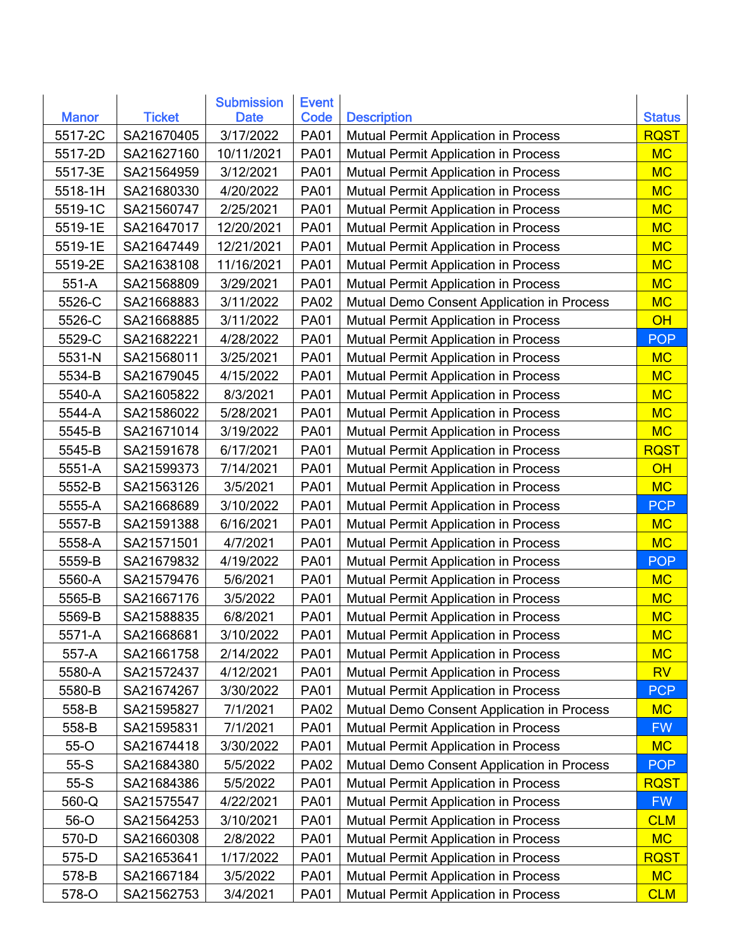| <b>Ticket</b><br><b>Code</b><br><b>Manor</b><br><b>Description</b><br><b>Status</b><br><b>Date</b><br>5517-2C<br>SA21670405<br>3/17/2022<br><b>RQST</b><br><b>PA01</b><br>Mutual Permit Application in Process<br>5517-2D<br>SA21627160<br>10/11/2021<br><b>PA01</b><br>Mutual Permit Application in Process<br><b>MC</b> |
|---------------------------------------------------------------------------------------------------------------------------------------------------------------------------------------------------------------------------------------------------------------------------------------------------------------------------|
|                                                                                                                                                                                                                                                                                                                           |
|                                                                                                                                                                                                                                                                                                                           |
|                                                                                                                                                                                                                                                                                                                           |
| <b>MC</b><br>5517-3E<br>SA21564959<br>3/12/2021<br><b>PA01</b><br><b>Mutual Permit Application in Process</b>                                                                                                                                                                                                             |
| SA21680330<br>5518-1H<br>4/20/2022<br><b>PA01</b><br><b>MC</b><br>Mutual Permit Application in Process                                                                                                                                                                                                                    |
| 5519-1C<br>SA21560747<br>2/25/2021<br><b>MC</b><br><b>PA01</b><br>Mutual Permit Application in Process                                                                                                                                                                                                                    |
| <b>MC</b><br>5519-1E<br>12/20/2021<br><b>PA01</b><br>SA21647017<br>Mutual Permit Application in Process                                                                                                                                                                                                                   |
| 5519-1E<br>SA21647449<br>12/21/2021<br><b>MC</b><br><b>PA01</b><br><b>Mutual Permit Application in Process</b>                                                                                                                                                                                                            |
| <b>MC</b><br>5519-2E<br>SA21638108<br>11/16/2021<br><b>PA01</b><br>Mutual Permit Application in Process                                                                                                                                                                                                                   |
| 551-A<br>SA21568809<br>3/29/2021<br><b>MC</b><br><b>PA01</b><br>Mutual Permit Application in Process                                                                                                                                                                                                                      |
| 5526-C<br>SA21668883<br>3/11/2022<br><b>MC</b><br><b>PA02</b><br>Mutual Demo Consent Application in Process                                                                                                                                                                                                               |
| 5526-C<br>3/11/2022<br>SA21668885<br><b>PA01</b><br>Mutual Permit Application in Process<br>OH                                                                                                                                                                                                                            |
| 5529-C<br>SA21682221<br>4/28/2022<br><b>POP</b><br><b>PA01</b><br><b>Mutual Permit Application in Process</b>                                                                                                                                                                                                             |
| 5531-N<br>SA21568011<br>3/25/2021<br><b>PA01</b><br><b>MC</b><br><b>Mutual Permit Application in Process</b>                                                                                                                                                                                                              |
| 5534-B<br>SA21679045<br>4/15/2022<br><b>PA01</b><br><b>MC</b><br><b>Mutual Permit Application in Process</b>                                                                                                                                                                                                              |
| 5540-A<br>SA21605822<br>8/3/2021<br><b>MC</b><br><b>PA01</b><br><b>Mutual Permit Application in Process</b>                                                                                                                                                                                                               |
| SA21586022<br>5544-A<br>5/28/2021<br><b>MC</b><br><b>PA01</b><br>Mutual Permit Application in Process                                                                                                                                                                                                                     |
| 5545-B<br>SA21671014<br>3/19/2022<br><b>MC</b><br><b>PA01</b><br>Mutual Permit Application in Process                                                                                                                                                                                                                     |
| 5545-B<br>6/17/2021<br><b>RQST</b><br>SA21591678<br><b>PA01</b><br>Mutual Permit Application in Process                                                                                                                                                                                                                   |
| 5551-A<br>SA21599373<br>7/14/2021<br><b>PA01</b><br>OH<br><b>Mutual Permit Application in Process</b>                                                                                                                                                                                                                     |
| 5552-B<br>SA21563126<br>3/5/2021<br><b>PA01</b><br><b>MC</b><br><b>Mutual Permit Application in Process</b>                                                                                                                                                                                                               |
| SA21668689<br>3/10/2022<br><b>PCP</b><br>5555-A<br><b>PA01</b><br><b>Mutual Permit Application in Process</b>                                                                                                                                                                                                             |
| SA21591388<br>6/16/2021<br><b>MC</b><br>5557-B<br><b>PA01</b><br><b>Mutual Permit Application in Process</b>                                                                                                                                                                                                              |
| 5558-A<br>SA21571501<br>4/7/2021<br><b>PA01</b><br><b>MC</b><br>Mutual Permit Application in Process                                                                                                                                                                                                                      |
| SA21679832<br>4/19/2022<br><b>POP</b><br>5559-B<br><b>PA01</b><br><b>Mutual Permit Application in Process</b>                                                                                                                                                                                                             |
| <b>MC</b><br>5560-A<br>SA21579476<br>5/6/2021<br><b>PA01</b><br>Mutual Permit Application in Process                                                                                                                                                                                                                      |
| SA21667176<br>3/5/2022<br>5565-B<br><b>PA01</b><br>Mutual Permit Application in Process<br><b>MC</b>                                                                                                                                                                                                                      |
| 5569-B<br>6/8/2021<br><b>MC</b><br>SA21588835<br><b>PA01</b><br>Mutual Permit Application in Process                                                                                                                                                                                                                      |
| 5571-A<br>SA21668681<br>3/10/2022<br><b>PA01</b><br>Mutual Permit Application in Process<br><b>MC</b>                                                                                                                                                                                                                     |
| 557-A<br>SA21661758<br>2/14/2022<br><b>PA01</b><br>Mutual Permit Application in Process<br><b>MC</b>                                                                                                                                                                                                                      |
| SA21572437<br><b>PA01</b><br>Mutual Permit Application in Process<br><b>RV</b><br>5580-A<br>4/12/2021                                                                                                                                                                                                                     |
| 5580-B<br>SA21674267<br>3/30/2022<br><b>PA01</b><br>Mutual Permit Application in Process<br><b>PCP</b>                                                                                                                                                                                                                    |
| 558-B<br>SA21595827<br>7/1/2021<br><b>PA02</b><br>Mutual Demo Consent Application in Process<br><b>MC</b>                                                                                                                                                                                                                 |
| SA21595831<br>7/1/2021<br>558-B<br><b>PA01</b><br><b>Mutual Permit Application in Process</b><br><b>FW</b>                                                                                                                                                                                                                |
| SA21674418<br>55-O<br>3/30/2022<br><b>PA01</b><br><b>Mutual Permit Application in Process</b><br><b>MC</b>                                                                                                                                                                                                                |
| $55-S$<br>SA21684380<br>5/5/2022<br>Mutual Demo Consent Application in Process<br><b>POP</b><br><b>PA02</b>                                                                                                                                                                                                               |
| $55-S$<br>SA21684386<br>5/5/2022<br><b>PA01</b><br><b>Mutual Permit Application in Process</b><br><b>RQST</b>                                                                                                                                                                                                             |
| 560-Q<br>SA21575547<br>Mutual Permit Application in Process<br><b>FW</b><br>4/22/2021<br><b>PA01</b>                                                                                                                                                                                                                      |
| 56-O<br>SA21564253<br>3/10/2021<br><b>PA01</b><br>Mutual Permit Application in Process<br><b>CLM</b>                                                                                                                                                                                                                      |
| SA21660308<br>2/8/2022<br><b>MC</b><br>570-D<br><b>PA01</b><br><b>Mutual Permit Application in Process</b>                                                                                                                                                                                                                |
| SA21653641<br>1/17/2022<br>575-D<br><b>PA01</b><br>Mutual Permit Application in Process<br><b>RQST</b>                                                                                                                                                                                                                    |
| Mutual Permit Application in Process<br>578-B<br>SA21667184<br>3/5/2022<br><b>PA01</b><br><b>MC</b>                                                                                                                                                                                                                       |
| <b>CLM</b><br>578-O<br>SA21562753<br>3/4/2021<br><b>PA01</b><br>Mutual Permit Application in Process                                                                                                                                                                                                                      |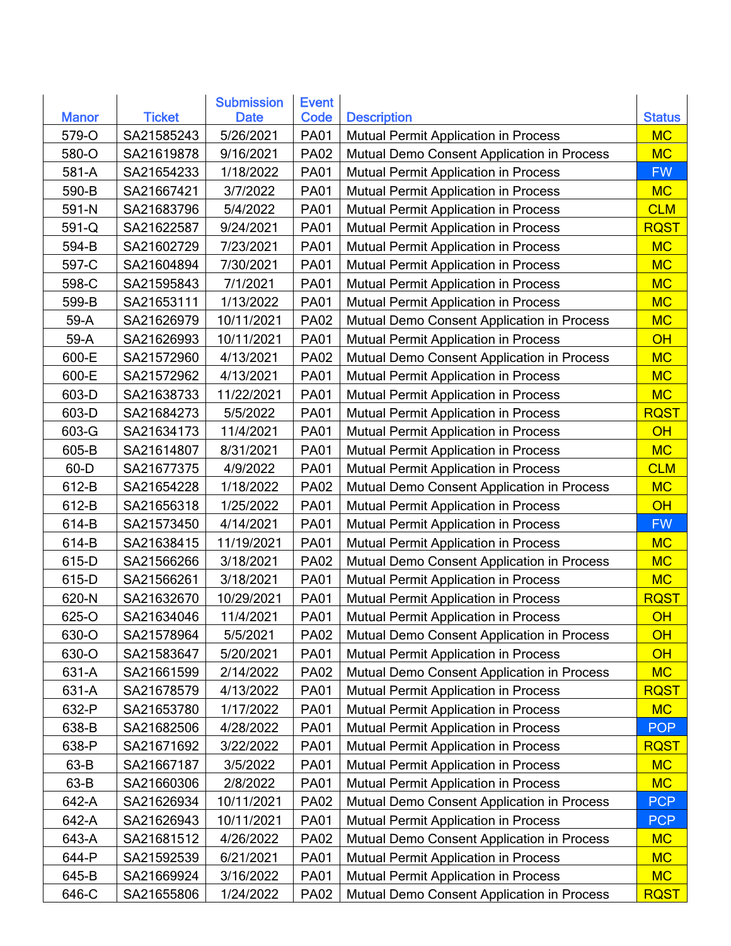| <b>Manor</b><br><b>Ticket</b><br>Code<br><b>Description</b><br><b>Status</b><br><b>Date</b><br>579-O<br>SA21585243<br>5/26/2021<br><b>MC</b><br><b>PA01</b><br>Mutual Permit Application in Process<br>580-O<br>SA21619878<br>9/16/2021<br><b>MC</b><br><b>PA02</b><br>Mutual Demo Consent Application in Process<br>SA21654233<br>1/18/2022<br><b>PA01</b><br><b>FW</b><br>581-A<br>Mutual Permit Application in Process<br>590-B<br>SA21667421<br>3/7/2022<br><b>PA01</b><br><b>MC</b><br>Mutual Permit Application in Process<br><b>CLM</b><br>591-N<br>SA21683796<br>5/4/2022<br><b>PA01</b><br><b>Mutual Permit Application in Process</b><br>591-Q<br>SA21622587<br>9/24/2021<br><b>PA01</b><br><b>RQST</b><br>Mutual Permit Application in Process<br><b>MC</b><br>594-B<br>SA21602729<br>7/23/2021<br><b>PA01</b><br>Mutual Permit Application in Process<br>597-C<br><b>PA01</b><br><b>MC</b><br>SA21604894<br>7/30/2021<br>Mutual Permit Application in Process<br>598-C<br>SA21595843<br>7/1/2021<br><b>PA01</b><br>Mutual Permit Application in Process<br><b>MC</b><br>599-B<br>SA21653111<br>1/13/2022<br><b>PA01</b><br><b>MC</b><br>Mutual Permit Application in Process<br>$59-A$<br>SA21626979<br>10/11/2021<br><b>MC</b><br><b>PA02</b><br>Mutual Demo Consent Application in Process<br>SA21626993<br>OH<br>59-A<br>10/11/2021<br><b>PA01</b><br>Mutual Permit Application in Process<br>600-E<br>SA21572960<br>4/13/2021<br><b>PA02</b><br><b>MC</b><br>Mutual Demo Consent Application in Process<br>600-E<br>SA21572962<br>4/13/2021<br><b>PA01</b><br><b>MC</b><br>Mutual Permit Application in Process<br>603-D<br>SA21638733<br>11/22/2021<br><b>PA01</b><br><b>MC</b><br>Mutual Permit Application in Process |
|------------------------------------------------------------------------------------------------------------------------------------------------------------------------------------------------------------------------------------------------------------------------------------------------------------------------------------------------------------------------------------------------------------------------------------------------------------------------------------------------------------------------------------------------------------------------------------------------------------------------------------------------------------------------------------------------------------------------------------------------------------------------------------------------------------------------------------------------------------------------------------------------------------------------------------------------------------------------------------------------------------------------------------------------------------------------------------------------------------------------------------------------------------------------------------------------------------------------------------------------------------------------------------------------------------------------------------------------------------------------------------------------------------------------------------------------------------------------------------------------------------------------------------------------------------------------------------------------------------------------------------------------------------------------------------------------------------------------------------------|
|                                                                                                                                                                                                                                                                                                                                                                                                                                                                                                                                                                                                                                                                                                                                                                                                                                                                                                                                                                                                                                                                                                                                                                                                                                                                                                                                                                                                                                                                                                                                                                                                                                                                                                                                          |
|                                                                                                                                                                                                                                                                                                                                                                                                                                                                                                                                                                                                                                                                                                                                                                                                                                                                                                                                                                                                                                                                                                                                                                                                                                                                                                                                                                                                                                                                                                                                                                                                                                                                                                                                          |
|                                                                                                                                                                                                                                                                                                                                                                                                                                                                                                                                                                                                                                                                                                                                                                                                                                                                                                                                                                                                                                                                                                                                                                                                                                                                                                                                                                                                                                                                                                                                                                                                                                                                                                                                          |
|                                                                                                                                                                                                                                                                                                                                                                                                                                                                                                                                                                                                                                                                                                                                                                                                                                                                                                                                                                                                                                                                                                                                                                                                                                                                                                                                                                                                                                                                                                                                                                                                                                                                                                                                          |
|                                                                                                                                                                                                                                                                                                                                                                                                                                                                                                                                                                                                                                                                                                                                                                                                                                                                                                                                                                                                                                                                                                                                                                                                                                                                                                                                                                                                                                                                                                                                                                                                                                                                                                                                          |
|                                                                                                                                                                                                                                                                                                                                                                                                                                                                                                                                                                                                                                                                                                                                                                                                                                                                                                                                                                                                                                                                                                                                                                                                                                                                                                                                                                                                                                                                                                                                                                                                                                                                                                                                          |
|                                                                                                                                                                                                                                                                                                                                                                                                                                                                                                                                                                                                                                                                                                                                                                                                                                                                                                                                                                                                                                                                                                                                                                                                                                                                                                                                                                                                                                                                                                                                                                                                                                                                                                                                          |
|                                                                                                                                                                                                                                                                                                                                                                                                                                                                                                                                                                                                                                                                                                                                                                                                                                                                                                                                                                                                                                                                                                                                                                                                                                                                                                                                                                                                                                                                                                                                                                                                                                                                                                                                          |
|                                                                                                                                                                                                                                                                                                                                                                                                                                                                                                                                                                                                                                                                                                                                                                                                                                                                                                                                                                                                                                                                                                                                                                                                                                                                                                                                                                                                                                                                                                                                                                                                                                                                                                                                          |
|                                                                                                                                                                                                                                                                                                                                                                                                                                                                                                                                                                                                                                                                                                                                                                                                                                                                                                                                                                                                                                                                                                                                                                                                                                                                                                                                                                                                                                                                                                                                                                                                                                                                                                                                          |
|                                                                                                                                                                                                                                                                                                                                                                                                                                                                                                                                                                                                                                                                                                                                                                                                                                                                                                                                                                                                                                                                                                                                                                                                                                                                                                                                                                                                                                                                                                                                                                                                                                                                                                                                          |
|                                                                                                                                                                                                                                                                                                                                                                                                                                                                                                                                                                                                                                                                                                                                                                                                                                                                                                                                                                                                                                                                                                                                                                                                                                                                                                                                                                                                                                                                                                                                                                                                                                                                                                                                          |
|                                                                                                                                                                                                                                                                                                                                                                                                                                                                                                                                                                                                                                                                                                                                                                                                                                                                                                                                                                                                                                                                                                                                                                                                                                                                                                                                                                                                                                                                                                                                                                                                                                                                                                                                          |
|                                                                                                                                                                                                                                                                                                                                                                                                                                                                                                                                                                                                                                                                                                                                                                                                                                                                                                                                                                                                                                                                                                                                                                                                                                                                                                                                                                                                                                                                                                                                                                                                                                                                                                                                          |
|                                                                                                                                                                                                                                                                                                                                                                                                                                                                                                                                                                                                                                                                                                                                                                                                                                                                                                                                                                                                                                                                                                                                                                                                                                                                                                                                                                                                                                                                                                                                                                                                                                                                                                                                          |
|                                                                                                                                                                                                                                                                                                                                                                                                                                                                                                                                                                                                                                                                                                                                                                                                                                                                                                                                                                                                                                                                                                                                                                                                                                                                                                                                                                                                                                                                                                                                                                                                                                                                                                                                          |
| 603-D<br>SA21684273<br>5/5/2022<br><b>PA01</b><br>Mutual Permit Application in Process<br><b>RQST</b>                                                                                                                                                                                                                                                                                                                                                                                                                                                                                                                                                                                                                                                                                                                                                                                                                                                                                                                                                                                                                                                                                                                                                                                                                                                                                                                                                                                                                                                                                                                                                                                                                                    |
| 603-G<br>SA21634173<br>11/4/2021<br><b>PA01</b><br>OH<br><b>Mutual Permit Application in Process</b>                                                                                                                                                                                                                                                                                                                                                                                                                                                                                                                                                                                                                                                                                                                                                                                                                                                                                                                                                                                                                                                                                                                                                                                                                                                                                                                                                                                                                                                                                                                                                                                                                                     |
| 605-B<br><b>MC</b><br>SA21614807<br>8/31/2021<br><b>PA01</b><br>Mutual Permit Application in Process                                                                                                                                                                                                                                                                                                                                                                                                                                                                                                                                                                                                                                                                                                                                                                                                                                                                                                                                                                                                                                                                                                                                                                                                                                                                                                                                                                                                                                                                                                                                                                                                                                     |
| 60-D<br>SA21677375<br>4/9/2022<br><b>CLM</b><br><b>PA01</b><br>Mutual Permit Application in Process                                                                                                                                                                                                                                                                                                                                                                                                                                                                                                                                                                                                                                                                                                                                                                                                                                                                                                                                                                                                                                                                                                                                                                                                                                                                                                                                                                                                                                                                                                                                                                                                                                      |
| 612-B<br>SA21654228<br>1/18/2022<br><b>PA02</b><br><b>MC</b><br>Mutual Demo Consent Application in Process                                                                                                                                                                                                                                                                                                                                                                                                                                                                                                                                                                                                                                                                                                                                                                                                                                                                                                                                                                                                                                                                                                                                                                                                                                                                                                                                                                                                                                                                                                                                                                                                                               |
| 1/25/2022<br>OH<br>612-B<br>SA21656318<br><b>PA01</b><br>Mutual Permit Application in Process                                                                                                                                                                                                                                                                                                                                                                                                                                                                                                                                                                                                                                                                                                                                                                                                                                                                                                                                                                                                                                                                                                                                                                                                                                                                                                                                                                                                                                                                                                                                                                                                                                            |
| 614-B<br>SA21573450<br>4/14/2021<br><b>PA01</b><br><b>FW</b><br>Mutual Permit Application in Process                                                                                                                                                                                                                                                                                                                                                                                                                                                                                                                                                                                                                                                                                                                                                                                                                                                                                                                                                                                                                                                                                                                                                                                                                                                                                                                                                                                                                                                                                                                                                                                                                                     |
| 614-B<br>SA21638415<br>11/19/2021<br><b>MC</b><br><b>PA01</b><br>Mutual Permit Application in Process                                                                                                                                                                                                                                                                                                                                                                                                                                                                                                                                                                                                                                                                                                                                                                                                                                                                                                                                                                                                                                                                                                                                                                                                                                                                                                                                                                                                                                                                                                                                                                                                                                    |
| 615-D<br>SA21566266<br>3/18/2021<br><b>MC</b><br><b>PA02</b><br>Mutual Demo Consent Application in Process                                                                                                                                                                                                                                                                                                                                                                                                                                                                                                                                                                                                                                                                                                                                                                                                                                                                                                                                                                                                                                                                                                                                                                                                                                                                                                                                                                                                                                                                                                                                                                                                                               |
| 615-D<br>3/18/2021<br><b>PA01</b><br><b>MC</b><br>SA21566261<br>Mutual Permit Application in Process                                                                                                                                                                                                                                                                                                                                                                                                                                                                                                                                                                                                                                                                                                                                                                                                                                                                                                                                                                                                                                                                                                                                                                                                                                                                                                                                                                                                                                                                                                                                                                                                                                     |
| 620-N<br>SA21632670<br>10/29/2021<br><b>RQST</b><br><b>PA01</b><br>Mutual Permit Application in Process                                                                                                                                                                                                                                                                                                                                                                                                                                                                                                                                                                                                                                                                                                                                                                                                                                                                                                                                                                                                                                                                                                                                                                                                                                                                                                                                                                                                                                                                                                                                                                                                                                  |
| SA21634046<br>625-O<br>11/4/2021<br><b>PA01</b><br>OH<br>Mutual Permit Application in Process                                                                                                                                                                                                                                                                                                                                                                                                                                                                                                                                                                                                                                                                                                                                                                                                                                                                                                                                                                                                                                                                                                                                                                                                                                                                                                                                                                                                                                                                                                                                                                                                                                            |
| 630-O<br>SA21578964<br>5/5/2021<br><b>PA02</b><br>Mutual Demo Consent Application in Process<br>O <sub>H</sub>                                                                                                                                                                                                                                                                                                                                                                                                                                                                                                                                                                                                                                                                                                                                                                                                                                                                                                                                                                                                                                                                                                                                                                                                                                                                                                                                                                                                                                                                                                                                                                                                                           |
| 630-O<br>SA21583647<br>5/20/2021<br><b>PA01</b><br>OH<br><b>Mutual Permit Application in Process</b>                                                                                                                                                                                                                                                                                                                                                                                                                                                                                                                                                                                                                                                                                                                                                                                                                                                                                                                                                                                                                                                                                                                                                                                                                                                                                                                                                                                                                                                                                                                                                                                                                                     |
| <b>MC</b><br>631-A<br>SA21661599<br>2/14/2022<br><b>PA02</b><br>Mutual Demo Consent Application in Process                                                                                                                                                                                                                                                                                                                                                                                                                                                                                                                                                                                                                                                                                                                                                                                                                                                                                                                                                                                                                                                                                                                                                                                                                                                                                                                                                                                                                                                                                                                                                                                                                               |
| 631-A<br>SA21678579<br>4/13/2022<br><b>PA01</b><br>Mutual Permit Application in Process<br><b>RQST</b>                                                                                                                                                                                                                                                                                                                                                                                                                                                                                                                                                                                                                                                                                                                                                                                                                                                                                                                                                                                                                                                                                                                                                                                                                                                                                                                                                                                                                                                                                                                                                                                                                                   |
| 632-P<br>SA21653780<br>1/17/2022<br><b>PA01</b><br><b>MC</b><br>Mutual Permit Application in Process                                                                                                                                                                                                                                                                                                                                                                                                                                                                                                                                                                                                                                                                                                                                                                                                                                                                                                                                                                                                                                                                                                                                                                                                                                                                                                                                                                                                                                                                                                                                                                                                                                     |
| 638-B<br>SA21682506<br>4/28/2022<br><b>PA01</b><br><b>Mutual Permit Application in Process</b><br><b>POP</b>                                                                                                                                                                                                                                                                                                                                                                                                                                                                                                                                                                                                                                                                                                                                                                                                                                                                                                                                                                                                                                                                                                                                                                                                                                                                                                                                                                                                                                                                                                                                                                                                                             |
| 638-P<br>SA21671692<br><b>RQST</b><br>3/22/2022<br><b>PA01</b><br>Mutual Permit Application in Process                                                                                                                                                                                                                                                                                                                                                                                                                                                                                                                                                                                                                                                                                                                                                                                                                                                                                                                                                                                                                                                                                                                                                                                                                                                                                                                                                                                                                                                                                                                                                                                                                                   |
| 63-B<br>SA21667187<br>3/5/2022<br><b>PA01</b><br><b>MC</b><br><b>Mutual Permit Application in Process</b>                                                                                                                                                                                                                                                                                                                                                                                                                                                                                                                                                                                                                                                                                                                                                                                                                                                                                                                                                                                                                                                                                                                                                                                                                                                                                                                                                                                                                                                                                                                                                                                                                                |
| 63-B<br>SA21660306<br>2/8/2022<br><b>PA01</b><br>Mutual Permit Application in Process<br><b>MC</b>                                                                                                                                                                                                                                                                                                                                                                                                                                                                                                                                                                                                                                                                                                                                                                                                                                                                                                                                                                                                                                                                                                                                                                                                                                                                                                                                                                                                                                                                                                                                                                                                                                       |
| 642-A<br>SA21626934<br>10/11/2021<br>Mutual Demo Consent Application in Process<br><b>PCP</b><br><b>PA02</b>                                                                                                                                                                                                                                                                                                                                                                                                                                                                                                                                                                                                                                                                                                                                                                                                                                                                                                                                                                                                                                                                                                                                                                                                                                                                                                                                                                                                                                                                                                                                                                                                                             |
| 642-A<br>SA21626943<br>10/11/2021<br>Mutual Permit Application in Process<br><b>PA01</b><br><b>PCP</b>                                                                                                                                                                                                                                                                                                                                                                                                                                                                                                                                                                                                                                                                                                                                                                                                                                                                                                                                                                                                                                                                                                                                                                                                                                                                                                                                                                                                                                                                                                                                                                                                                                   |
| SA21681512<br>643-A<br>4/26/2022<br><b>PA02</b><br>Mutual Demo Consent Application in Process<br><b>MC</b>                                                                                                                                                                                                                                                                                                                                                                                                                                                                                                                                                                                                                                                                                                                                                                                                                                                                                                                                                                                                                                                                                                                                                                                                                                                                                                                                                                                                                                                                                                                                                                                                                               |
| 644-P<br>SA21592539<br>6/21/2021<br><b>PA01</b><br>Mutual Permit Application in Process<br><b>MC</b>                                                                                                                                                                                                                                                                                                                                                                                                                                                                                                                                                                                                                                                                                                                                                                                                                                                                                                                                                                                                                                                                                                                                                                                                                                                                                                                                                                                                                                                                                                                                                                                                                                     |
| 645-B<br>SA21669924<br>3/16/2022<br>Mutual Permit Application in Process<br><b>MC</b><br><b>PA01</b>                                                                                                                                                                                                                                                                                                                                                                                                                                                                                                                                                                                                                                                                                                                                                                                                                                                                                                                                                                                                                                                                                                                                                                                                                                                                                                                                                                                                                                                                                                                                                                                                                                     |
| 646-C<br>SA21655806<br>1/24/2022<br><b>PA02</b><br>Mutual Demo Consent Application in Process<br><b>RQST</b>                                                                                                                                                                                                                                                                                                                                                                                                                                                                                                                                                                                                                                                                                                                                                                                                                                                                                                                                                                                                                                                                                                                                                                                                                                                                                                                                                                                                                                                                                                                                                                                                                             |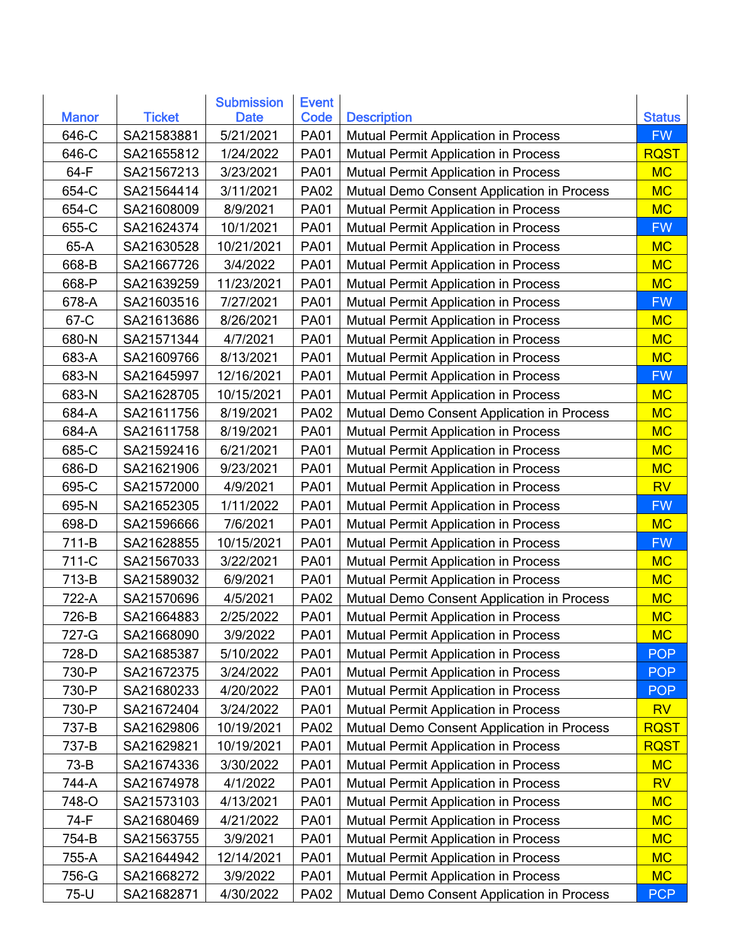|              |               | <b>Submission</b> | <b>Event</b> |                                             |               |
|--------------|---------------|-------------------|--------------|---------------------------------------------|---------------|
| <b>Manor</b> | <b>Ticket</b> | <b>Date</b>       | Code         | <b>Description</b>                          | <b>Status</b> |
| 646-C        | SA21583881    | 5/21/2021         | <b>PA01</b>  | Mutual Permit Application in Process        | <b>FW</b>     |
| 646-C        | SA21655812    | 1/24/2022         | <b>PA01</b>  | <b>Mutual Permit Application in Process</b> | <b>RQST</b>   |
| 64-F         | SA21567213    | 3/23/2021         | <b>PA01</b>  | Mutual Permit Application in Process        | <b>MC</b>     |
| 654-C        | SA21564414    | 3/11/2021         | <b>PA02</b>  | Mutual Demo Consent Application in Process  | <b>MC</b>     |
| 654-C        | SA21608009    | 8/9/2021          | <b>PA01</b>  | Mutual Permit Application in Process        | <b>MC</b>     |
| 655-C        | SA21624374    | 10/1/2021         | <b>PA01</b>  | Mutual Permit Application in Process        | <b>FW</b>     |
| 65-A         | SA21630528    | 10/21/2021        | <b>PA01</b>  | Mutual Permit Application in Process        | <b>MC</b>     |
| 668-B        | SA21667726    | 3/4/2022          | <b>PA01</b>  | <b>Mutual Permit Application in Process</b> | <b>MC</b>     |
| 668-P        | SA21639259    | 11/23/2021        | <b>PA01</b>  | <b>Mutual Permit Application in Process</b> | <b>MC</b>     |
| 678-A        | SA21603516    | 7/27/2021         | <b>PA01</b>  | <b>Mutual Permit Application in Process</b> | <b>FW</b>     |
| 67-C         | SA21613686    | 8/26/2021         | <b>PA01</b>  | Mutual Permit Application in Process        | <b>MC</b>     |
| 680-N        | SA21571344    | 4/7/2021          | <b>PA01</b>  | Mutual Permit Application in Process        | <b>MC</b>     |
| 683-A        | SA21609766    | 8/13/2021         | <b>PA01</b>  | <b>Mutual Permit Application in Process</b> | <b>MC</b>     |
| 683-N        | SA21645997    | 12/16/2021        | <b>PA01</b>  | <b>Mutual Permit Application in Process</b> | <b>FW</b>     |
| 683-N        | SA21628705    | 10/15/2021        | <b>PA01</b>  | <b>Mutual Permit Application in Process</b> | <b>MC</b>     |
| 684-A        | SA21611756    | 8/19/2021         | <b>PA02</b>  | Mutual Demo Consent Application in Process  | <b>MC</b>     |
| 684-A        | SA21611758    | 8/19/2021         | <b>PA01</b>  | Mutual Permit Application in Process        | <b>MC</b>     |
| 685-C        | SA21592416    | 6/21/2021         | <b>PA01</b>  | Mutual Permit Application in Process        | <b>MC</b>     |
| 686-D        | SA21621906    | 9/23/2021         | <b>PA01</b>  | <b>Mutual Permit Application in Process</b> | <b>MC</b>     |
| 695-C        | SA21572000    | 4/9/2021          | <b>PA01</b>  | Mutual Permit Application in Process        | <b>RV</b>     |
| 695-N        | SA21652305    | 1/11/2022         | <b>PA01</b>  | <b>Mutual Permit Application in Process</b> | <b>FW</b>     |
| 698-D        | SA21596666    | 7/6/2021          | <b>PA01</b>  | <b>Mutual Permit Application in Process</b> | <b>MC</b>     |
| $711 - B$    | SA21628855    | 10/15/2021        | <b>PA01</b>  | Mutual Permit Application in Process        | <b>FW</b>     |
| 711-C        | SA21567033    | 3/22/2021         | <b>PA01</b>  | Mutual Permit Application in Process        | <b>MC</b>     |
| 713-B        | SA21589032    | 6/9/2021          | <b>PA01</b>  | <b>Mutual Permit Application in Process</b> | <b>MC</b>     |
| 722-A        | SA21570696    | 4/5/2021          | <b>PA02</b>  | Mutual Demo Consent Application in Process  | <b>MC</b>     |
| 726-B        | SA21664883    | 2/25/2022         | <b>PA01</b>  | <b>Mutual Permit Application in Process</b> | <b>MC</b>     |
| 727-G        | SA21668090    | 3/9/2022          | <b>PA01</b>  | Mutual Permit Application in Process        | <b>MC</b>     |
| 728-D        | SA21685387    | 5/10/2022         | <b>PA01</b>  | Mutual Permit Application in Process        | <b>POP</b>    |
| 730-P        | SA21672375    | 3/24/2022         | <b>PA01</b>  | Mutual Permit Application in Process        | <b>POP</b>    |
| 730-P        | SA21680233    | 4/20/2022         | <b>PA01</b>  | Mutual Permit Application in Process        | <b>POP</b>    |
| 730-P        | SA21672404    | 3/24/2022         | <b>PA01</b>  | Mutual Permit Application in Process        | <b>RV</b>     |
| 737-B        | SA21629806    | 10/19/2021        | <b>PA02</b>  | Mutual Demo Consent Application in Process  | <b>RQST</b>   |
| 737-B        | SA21629821    | 10/19/2021        | <b>PA01</b>  | Mutual Permit Application in Process        | <b>RQST</b>   |
| $73-B$       | SA21674336    | 3/30/2022         | <b>PA01</b>  | Mutual Permit Application in Process        | <b>MC</b>     |
| 744-A        | SA21674978    | 4/1/2022          | <b>PA01</b>  | Mutual Permit Application in Process        | <b>RV</b>     |
| 748-O        | SA21573103    | 4/13/2021         | <b>PA01</b>  | Mutual Permit Application in Process        | <b>MC</b>     |
| 74-F         | SA21680469    | 4/21/2022         | <b>PA01</b>  | Mutual Permit Application in Process        | <b>MC</b>     |
| 754-B        | SA21563755    | 3/9/2021          | <b>PA01</b>  | Mutual Permit Application in Process        | <b>MC</b>     |
| 755-A        | SA21644942    | 12/14/2021        | <b>PA01</b>  | Mutual Permit Application in Process        | <b>MC</b>     |
| 756-G        | SA21668272    | 3/9/2022          | <b>PA01</b>  | Mutual Permit Application in Process        | <b>MC</b>     |
| 75-U         | SA21682871    | 4/30/2022         | <b>PA02</b>  | Mutual Demo Consent Application in Process  | <b>PCP</b>    |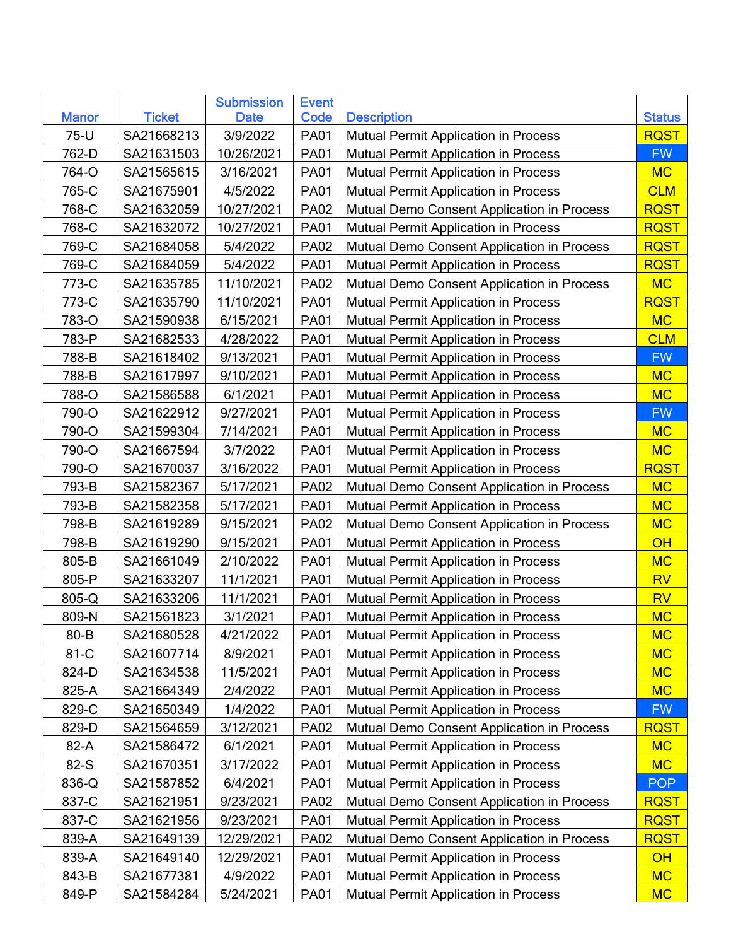|              |               | <b>Submission</b> | <b>Event</b> |                                             |               |
|--------------|---------------|-------------------|--------------|---------------------------------------------|---------------|
| <b>Manor</b> | <b>Ticket</b> | <b>Date</b>       | Code         | <b>Description</b>                          | <b>Status</b> |
| 75-U         | SA21668213    | 3/9/2022          | <b>PA01</b>  | Mutual Permit Application in Process        | <b>RQST</b>   |
| 762-D        | SA21631503    | 10/26/2021        | <b>PA01</b>  | <b>Mutual Permit Application in Process</b> | <b>FW</b>     |
| 764-O        | SA21565615    | 3/16/2021         | <b>PA01</b>  | <b>Mutual Permit Application in Process</b> | <b>MC</b>     |
| 765-C        | SA21675901    | 4/5/2022          | <b>PA01</b>  | Mutual Permit Application in Process        | <b>CLM</b>    |
| 768-C        | SA21632059    | 10/27/2021        | <b>PA02</b>  | Mutual Demo Consent Application in Process  | <b>RQST</b>   |
| 768-C        | SA21632072    | 10/27/2021        | <b>PA01</b>  | Mutual Permit Application in Process        | <b>RQST</b>   |
| 769-C        | SA21684058    | 5/4/2022          | <b>PA02</b>  | Mutual Demo Consent Application in Process  | <b>RQST</b>   |
| 769-C        | SA21684059    | 5/4/2022          | <b>PA01</b>  | <b>Mutual Permit Application in Process</b> | <b>RQST</b>   |
| 773-C        | SA21635785    | 11/10/2021        | <b>PA02</b>  | Mutual Demo Consent Application in Process  | <b>MC</b>     |
| 773-C        | SA21635790    | 11/10/2021        | <b>PA01</b>  | Mutual Permit Application in Process        | <b>RQST</b>   |
| 783-O        | SA21590938    | 6/15/2021         | <b>PA01</b>  | Mutual Permit Application in Process        | <b>MC</b>     |
| 783-P        | SA21682533    | 4/28/2022         | <b>PA01</b>  | Mutual Permit Application in Process        | <b>CLM</b>    |
| 788-B        | SA21618402    | 9/13/2021         | <b>PA01</b>  | <b>Mutual Permit Application in Process</b> | <b>FW</b>     |
| 788-B        | SA21617997    | 9/10/2021         | <b>PA01</b>  | Mutual Permit Application in Process        | <b>MC</b>     |
| 788-O        | SA21586588    | 6/1/2021          | <b>PA01</b>  | <b>Mutual Permit Application in Process</b> | <b>MC</b>     |
| 790-O        | SA21622912    | 9/27/2021         | <b>PA01</b>  | Mutual Permit Application in Process        | <b>FW</b>     |
| 790-O        | SA21599304    | 7/14/2021         | <b>PA01</b>  | Mutual Permit Application in Process        | <b>MC</b>     |
| 790-O        | SA21667594    | 3/7/2022          | <b>PA01</b>  | <b>Mutual Permit Application in Process</b> | <b>MC</b>     |
| 790-O        | SA21670037    | 3/16/2022         | <b>PA01</b>  | <b>Mutual Permit Application in Process</b> | <b>RQST</b>   |
| 793-B        | SA21582367    | 5/17/2021         | <b>PA02</b>  | Mutual Demo Consent Application in Process  | <b>MC</b>     |
| 793-B        | SA21582358    | 5/17/2021         | <b>PA01</b>  | <b>Mutual Permit Application in Process</b> | <b>MC</b>     |
| 798-B        | SA21619289    | 9/15/2021         | <b>PA02</b>  | Mutual Demo Consent Application in Process  | <b>MC</b>     |
| 798-B        | SA21619290    | 9/15/2021         | <b>PA01</b>  | Mutual Permit Application in Process        | OH            |
| 805-B        | SA21661049    | 2/10/2022         | <b>PA01</b>  | Mutual Permit Application in Process        | <b>MC</b>     |
| 805-P        | SA21633207    | 11/1/2021         | <b>PA01</b>  | Mutual Permit Application in Process        | <b>RV</b>     |
| 805-Q        | SA21633206    | 11/1/2021         | <b>PA01</b>  | Mutual Permit Application in Process        | <b>RV</b>     |
| 809-N        | SA21561823    | 3/1/2021          | <b>PA01</b>  | <b>Mutual Permit Application in Process</b> | <b>MC</b>     |
| 80-B         | SA21680528    | 4/21/2022         | <b>PA01</b>  | Mutual Permit Application in Process        | <b>MC</b>     |
| 81-C         | SA21607714    | 8/9/2021          | <b>PA01</b>  | Mutual Permit Application in Process        | <b>MC</b>     |
| 824-D        | SA21634538    | 11/5/2021         | <b>PA01</b>  | <b>Mutual Permit Application in Process</b> | <b>MC</b>     |
| 825-A        | SA21664349    | 2/4/2022          | <b>PA01</b>  | <b>Mutual Permit Application in Process</b> | <b>MC</b>     |
| 829-C        | SA21650349    | 1/4/2022          | <b>PA01</b>  | Mutual Permit Application in Process        | <b>FW</b>     |
| 829-D        | SA21564659    | 3/12/2021         | <b>PA02</b>  | Mutual Demo Consent Application in Process  | <b>RQST</b>   |
| 82-A         | SA21586472    | 6/1/2021          | <b>PA01</b>  | Mutual Permit Application in Process        | <b>MC</b>     |
| 82-S         | SA21670351    | 3/17/2022         | <b>PA01</b>  | Mutual Permit Application in Process        | <b>MC</b>     |
| 836-Q        | SA21587852    | 6/4/2021          | <b>PA01</b>  | Mutual Permit Application in Process        | <b>POP</b>    |
| 837-C        | SA21621951    | 9/23/2021         | <b>PA02</b>  | Mutual Demo Consent Application in Process  | <b>RQST</b>   |
| 837-C        | SA21621956    | 9/23/2021         | <b>PA01</b>  | Mutual Permit Application in Process        | <b>RQST</b>   |
| 839-A        | SA21649139    | 12/29/2021        | <b>PA02</b>  | Mutual Demo Consent Application in Process  | <b>RQST</b>   |
| 839-A        | SA21649140    | 12/29/2021        | <b>PA01</b>  | Mutual Permit Application in Process        | <b>OH</b>     |
| 843-B        | SA21677381    | 4/9/2022          | <b>PA01</b>  | Mutual Permit Application in Process        | <b>MC</b>     |
| 849-P        | SA21584284    | 5/24/2021         | <b>PA01</b>  | Mutual Permit Application in Process        | <b>MC</b>     |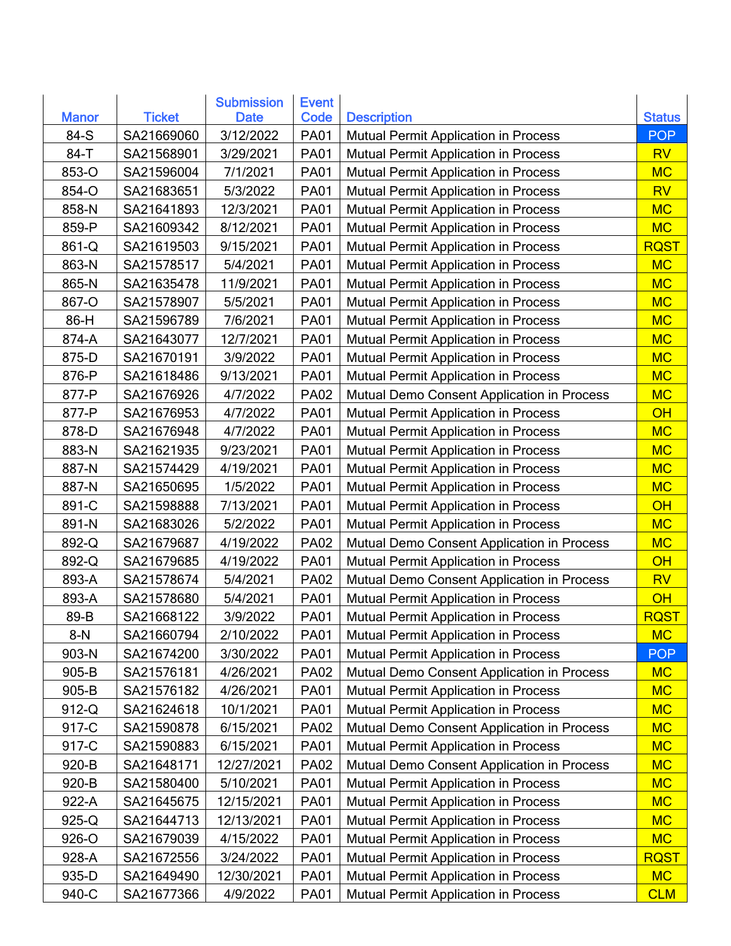| <b>Manor</b><br>Code<br><b>Status</b><br><b>Date</b><br>84-S<br>SA21669060<br>3/12/2022<br><b>POP</b><br><b>PA01</b><br>Mutual Permit Application in Process<br>$84 - T$<br>SA21568901<br>3/29/2021<br><b>PA01</b><br><b>RV</b><br><b>Mutual Permit Application in Process</b><br>853-O<br>SA21596004<br>7/1/2021<br><b>PA01</b><br><b>MC</b><br><b>Mutual Permit Application in Process</b><br>854-O<br>SA21683651<br>5/3/2022<br><b>PA01</b><br><b>RV</b><br>Mutual Permit Application in Process<br>SA21641893<br>12/3/2021<br><b>MC</b><br>858-N<br><b>PA01</b><br>Mutual Permit Application in Process<br>859-P<br>SA21609342<br>8/12/2021<br><b>PA01</b><br><b>MC</b><br>Mutual Permit Application in Process<br>861-Q<br>SA21619503<br>9/15/2021<br><b>RQST</b><br><b>PA01</b><br><b>Mutual Permit Application in Process</b><br><b>MC</b><br>863-N<br>SA21578517<br>5/4/2021<br><b>PA01</b><br><b>Mutual Permit Application in Process</b><br>865-N<br>SA21635478<br>11/9/2021<br><b>MC</b><br><b>PA01</b><br>Mutual Permit Application in Process<br>SA21578907<br>5/5/2021<br><b>MC</b><br>867-O<br><b>PA01</b><br><b>Mutual Permit Application in Process</b><br><b>MC</b><br>86-H<br>SA21596789<br>7/6/2021<br><b>PA01</b><br>Mutual Permit Application in Process<br>SA21643077<br>12/7/2021<br><b>MC</b><br>874-A<br><b>PA01</b><br>Mutual Permit Application in Process<br>SA21670191<br><b>MC</b><br>875-D<br>3/9/2022<br><b>PA01</b><br><b>Mutual Permit Application in Process</b><br>876-P<br>SA21618486<br>9/13/2021<br><b>MC</b><br><b>PA01</b><br>Mutual Permit Application in Process<br>877-P<br>SA21676926<br><b>MC</b><br>4/7/2022<br><b>PA02</b><br>Mutual Demo Consent Application in Process<br>877-P<br>SA21676953<br>4/7/2022<br><b>PA01</b><br>Mutual Permit Application in Process<br>OH<br>SA21676948<br>4/7/2022<br><b>MC</b><br>878-D<br><b>PA01</b><br>Mutual Permit Application in Process<br>883-N<br>SA21621935<br><b>MC</b><br>9/23/2021<br><b>PA01</b><br>Mutual Permit Application in Process<br>887-N<br>SA21574429<br>4/19/2021<br><b>MC</b><br><b>PA01</b><br><b>Mutual Permit Application in Process</b><br>887-N<br>SA21650695<br>1/5/2022<br><b>PA01</b><br><b>MC</b><br><b>Mutual Permit Application in Process</b><br>891-C<br>SA21598888<br>7/13/2021<br>OH<br><b>PA01</b><br><b>Mutual Permit Application in Process</b><br>SA21683026<br><b>MC</b><br>891-N<br>5/2/2022<br><b>PA01</b><br><b>Mutual Permit Application in Process</b><br>892-Q<br>SA21679687<br>4/19/2022<br><b>PA02</b><br><b>MC</b><br>Mutual Demo Consent Application in Process<br>892-Q<br>SA21679685<br>4/19/2022<br><b>PA01</b><br>OH<br>Mutual Permit Application in Process<br>893-A<br><b>RV</b><br>SA21578674<br>5/4/2021<br><b>PA02</b><br>Mutual Demo Consent Application in Process<br>893-A<br>SA21578680<br>5/4/2021<br><b>PA01</b><br>OH<br><b>Mutual Permit Application in Process</b><br>89-B<br>SA21668122<br>3/9/2022<br><b>PA01</b><br><b>RQST</b><br><b>Mutual Permit Application in Process</b><br>$8-N$<br>SA21660794<br>2/10/2022<br><b>PA01</b><br>Mutual Permit Application in Process<br><b>MC</b><br>SA21674200<br>903-N<br>3/30/2022<br><b>PA01</b><br>Mutual Permit Application in Process<br><b>POP</b><br>905-B<br><b>PA02</b><br>Mutual Demo Consent Application in Process<br><b>MC</b><br>SA21576181<br>4/26/2021<br>SA21576182<br>905-B<br>4/26/2021<br><b>PA01</b><br>Mutual Permit Application in Process<br><b>MC</b><br>$912-Q$<br>SA21624618<br>10/1/2021<br><b>PA01</b><br>Mutual Permit Application in Process<br><b>MC</b><br>917-C<br>SA21590878<br>6/15/2021<br><b>PA02</b><br>Mutual Demo Consent Application in Process<br><b>MC</b><br>SA21590883<br>917-C<br>6/15/2021<br><b>PA01</b><br><b>Mutual Permit Application in Process</b><br><b>MC</b><br>920-B<br>SA21648171<br>Mutual Demo Consent Application in Process<br><b>MC</b><br>12/27/2021<br><b>PA02</b><br>SA21580400<br>920-B<br>5/10/2021<br><b>PA01</b><br><b>Mutual Permit Application in Process</b><br><b>MC</b><br>922-A<br>SA21645675<br>12/15/2021<br>Mutual Permit Application in Process<br><b>MC</b><br><b>PA01</b><br>$925-Q$<br>SA21644713<br>12/13/2021<br>Mutual Permit Application in Process<br><b>MC</b><br><b>PA01</b><br>SA21679039<br><b>MC</b><br>926-O<br>4/15/2022<br><b>PA01</b><br><b>Mutual Permit Application in Process</b><br>SA21672556<br>928-A<br>3/24/2022<br><b>PA01</b><br>Mutual Permit Application in Process<br><b>RQST</b><br>SA21649490<br>Mutual Permit Application in Process<br>935-D<br>12/30/2021<br><b>PA01</b><br><b>MC</b> |       |               | <b>Submission</b> | <b>Event</b> |                                      |            |
|-----------------------------------------------------------------------------------------------------------------------------------------------------------------------------------------------------------------------------------------------------------------------------------------------------------------------------------------------------------------------------------------------------------------------------------------------------------------------------------------------------------------------------------------------------------------------------------------------------------------------------------------------------------------------------------------------------------------------------------------------------------------------------------------------------------------------------------------------------------------------------------------------------------------------------------------------------------------------------------------------------------------------------------------------------------------------------------------------------------------------------------------------------------------------------------------------------------------------------------------------------------------------------------------------------------------------------------------------------------------------------------------------------------------------------------------------------------------------------------------------------------------------------------------------------------------------------------------------------------------------------------------------------------------------------------------------------------------------------------------------------------------------------------------------------------------------------------------------------------------------------------------------------------------------------------------------------------------------------------------------------------------------------------------------------------------------------------------------------------------------------------------------------------------------------------------------------------------------------------------------------------------------------------------------------------------------------------------------------------------------------------------------------------------------------------------------------------------------------------------------------------------------------------------------------------------------------------------------------------------------------------------------------------------------------------------------------------------------------------------------------------------------------------------------------------------------------------------------------------------------------------------------------------------------------------------------------------------------------------------------------------------------------------------------------------------------------------------------------------------------------------------------------------------------------------------------------------------------------------------------------------------------------------------------------------------------------------------------------------------------------------------------------------------------------------------------------------------------------------------------------------------------------------------------------------------------------------------------------------------------------------------------------------------------------------------------------------------------------------------------------------------------------------------------------------------------------------------------------------------------------------------------------------------------------------------------------------------------------------------------------------------------------------------------------------------------------------------------------------------------------------------------------------------------------------------------------------------------------------------------------------------------------------------------------------------------------------------------------------------------------------------------------------------------------------------------------------------------------------------------------------------------------------------------------------------------------------------------------------------|-------|---------------|-------------------|--------------|--------------------------------------|------------|
|                                                                                                                                                                                                                                                                                                                                                                                                                                                                                                                                                                                                                                                                                                                                                                                                                                                                                                                                                                                                                                                                                                                                                                                                                                                                                                                                                                                                                                                                                                                                                                                                                                                                                                                                                                                                                                                                                                                                                                                                                                                                                                                                                                                                                                                                                                                                                                                                                                                                                                                                                                                                                                                                                                                                                                                                                                                                                                                                                                                                                                                                                                                                                                                                                                                                                                                                                                                                                                                                                                                                                                                                                                                                                                                                                                                                                                                                                                                                                                                                                                                                                                                                                                                                                                                                                                                                                                                                                                                                                                                                                                                                                 |       | <b>Ticket</b> |                   |              | <b>Description</b>                   |            |
|                                                                                                                                                                                                                                                                                                                                                                                                                                                                                                                                                                                                                                                                                                                                                                                                                                                                                                                                                                                                                                                                                                                                                                                                                                                                                                                                                                                                                                                                                                                                                                                                                                                                                                                                                                                                                                                                                                                                                                                                                                                                                                                                                                                                                                                                                                                                                                                                                                                                                                                                                                                                                                                                                                                                                                                                                                                                                                                                                                                                                                                                                                                                                                                                                                                                                                                                                                                                                                                                                                                                                                                                                                                                                                                                                                                                                                                                                                                                                                                                                                                                                                                                                                                                                                                                                                                                                                                                                                                                                                                                                                                                                 |       |               |                   |              |                                      |            |
|                                                                                                                                                                                                                                                                                                                                                                                                                                                                                                                                                                                                                                                                                                                                                                                                                                                                                                                                                                                                                                                                                                                                                                                                                                                                                                                                                                                                                                                                                                                                                                                                                                                                                                                                                                                                                                                                                                                                                                                                                                                                                                                                                                                                                                                                                                                                                                                                                                                                                                                                                                                                                                                                                                                                                                                                                                                                                                                                                                                                                                                                                                                                                                                                                                                                                                                                                                                                                                                                                                                                                                                                                                                                                                                                                                                                                                                                                                                                                                                                                                                                                                                                                                                                                                                                                                                                                                                                                                                                                                                                                                                                                 |       |               |                   |              |                                      |            |
|                                                                                                                                                                                                                                                                                                                                                                                                                                                                                                                                                                                                                                                                                                                                                                                                                                                                                                                                                                                                                                                                                                                                                                                                                                                                                                                                                                                                                                                                                                                                                                                                                                                                                                                                                                                                                                                                                                                                                                                                                                                                                                                                                                                                                                                                                                                                                                                                                                                                                                                                                                                                                                                                                                                                                                                                                                                                                                                                                                                                                                                                                                                                                                                                                                                                                                                                                                                                                                                                                                                                                                                                                                                                                                                                                                                                                                                                                                                                                                                                                                                                                                                                                                                                                                                                                                                                                                                                                                                                                                                                                                                                                 |       |               |                   |              |                                      |            |
|                                                                                                                                                                                                                                                                                                                                                                                                                                                                                                                                                                                                                                                                                                                                                                                                                                                                                                                                                                                                                                                                                                                                                                                                                                                                                                                                                                                                                                                                                                                                                                                                                                                                                                                                                                                                                                                                                                                                                                                                                                                                                                                                                                                                                                                                                                                                                                                                                                                                                                                                                                                                                                                                                                                                                                                                                                                                                                                                                                                                                                                                                                                                                                                                                                                                                                                                                                                                                                                                                                                                                                                                                                                                                                                                                                                                                                                                                                                                                                                                                                                                                                                                                                                                                                                                                                                                                                                                                                                                                                                                                                                                                 |       |               |                   |              |                                      |            |
|                                                                                                                                                                                                                                                                                                                                                                                                                                                                                                                                                                                                                                                                                                                                                                                                                                                                                                                                                                                                                                                                                                                                                                                                                                                                                                                                                                                                                                                                                                                                                                                                                                                                                                                                                                                                                                                                                                                                                                                                                                                                                                                                                                                                                                                                                                                                                                                                                                                                                                                                                                                                                                                                                                                                                                                                                                                                                                                                                                                                                                                                                                                                                                                                                                                                                                                                                                                                                                                                                                                                                                                                                                                                                                                                                                                                                                                                                                                                                                                                                                                                                                                                                                                                                                                                                                                                                                                                                                                                                                                                                                                                                 |       |               |                   |              |                                      |            |
|                                                                                                                                                                                                                                                                                                                                                                                                                                                                                                                                                                                                                                                                                                                                                                                                                                                                                                                                                                                                                                                                                                                                                                                                                                                                                                                                                                                                                                                                                                                                                                                                                                                                                                                                                                                                                                                                                                                                                                                                                                                                                                                                                                                                                                                                                                                                                                                                                                                                                                                                                                                                                                                                                                                                                                                                                                                                                                                                                                                                                                                                                                                                                                                                                                                                                                                                                                                                                                                                                                                                                                                                                                                                                                                                                                                                                                                                                                                                                                                                                                                                                                                                                                                                                                                                                                                                                                                                                                                                                                                                                                                                                 |       |               |                   |              |                                      |            |
|                                                                                                                                                                                                                                                                                                                                                                                                                                                                                                                                                                                                                                                                                                                                                                                                                                                                                                                                                                                                                                                                                                                                                                                                                                                                                                                                                                                                                                                                                                                                                                                                                                                                                                                                                                                                                                                                                                                                                                                                                                                                                                                                                                                                                                                                                                                                                                                                                                                                                                                                                                                                                                                                                                                                                                                                                                                                                                                                                                                                                                                                                                                                                                                                                                                                                                                                                                                                                                                                                                                                                                                                                                                                                                                                                                                                                                                                                                                                                                                                                                                                                                                                                                                                                                                                                                                                                                                                                                                                                                                                                                                                                 |       |               |                   |              |                                      |            |
|                                                                                                                                                                                                                                                                                                                                                                                                                                                                                                                                                                                                                                                                                                                                                                                                                                                                                                                                                                                                                                                                                                                                                                                                                                                                                                                                                                                                                                                                                                                                                                                                                                                                                                                                                                                                                                                                                                                                                                                                                                                                                                                                                                                                                                                                                                                                                                                                                                                                                                                                                                                                                                                                                                                                                                                                                                                                                                                                                                                                                                                                                                                                                                                                                                                                                                                                                                                                                                                                                                                                                                                                                                                                                                                                                                                                                                                                                                                                                                                                                                                                                                                                                                                                                                                                                                                                                                                                                                                                                                                                                                                                                 |       |               |                   |              |                                      |            |
|                                                                                                                                                                                                                                                                                                                                                                                                                                                                                                                                                                                                                                                                                                                                                                                                                                                                                                                                                                                                                                                                                                                                                                                                                                                                                                                                                                                                                                                                                                                                                                                                                                                                                                                                                                                                                                                                                                                                                                                                                                                                                                                                                                                                                                                                                                                                                                                                                                                                                                                                                                                                                                                                                                                                                                                                                                                                                                                                                                                                                                                                                                                                                                                                                                                                                                                                                                                                                                                                                                                                                                                                                                                                                                                                                                                                                                                                                                                                                                                                                                                                                                                                                                                                                                                                                                                                                                                                                                                                                                                                                                                                                 |       |               |                   |              |                                      |            |
|                                                                                                                                                                                                                                                                                                                                                                                                                                                                                                                                                                                                                                                                                                                                                                                                                                                                                                                                                                                                                                                                                                                                                                                                                                                                                                                                                                                                                                                                                                                                                                                                                                                                                                                                                                                                                                                                                                                                                                                                                                                                                                                                                                                                                                                                                                                                                                                                                                                                                                                                                                                                                                                                                                                                                                                                                                                                                                                                                                                                                                                                                                                                                                                                                                                                                                                                                                                                                                                                                                                                                                                                                                                                                                                                                                                                                                                                                                                                                                                                                                                                                                                                                                                                                                                                                                                                                                                                                                                                                                                                                                                                                 |       |               |                   |              |                                      |            |
|                                                                                                                                                                                                                                                                                                                                                                                                                                                                                                                                                                                                                                                                                                                                                                                                                                                                                                                                                                                                                                                                                                                                                                                                                                                                                                                                                                                                                                                                                                                                                                                                                                                                                                                                                                                                                                                                                                                                                                                                                                                                                                                                                                                                                                                                                                                                                                                                                                                                                                                                                                                                                                                                                                                                                                                                                                                                                                                                                                                                                                                                                                                                                                                                                                                                                                                                                                                                                                                                                                                                                                                                                                                                                                                                                                                                                                                                                                                                                                                                                                                                                                                                                                                                                                                                                                                                                                                                                                                                                                                                                                                                                 |       |               |                   |              |                                      |            |
|                                                                                                                                                                                                                                                                                                                                                                                                                                                                                                                                                                                                                                                                                                                                                                                                                                                                                                                                                                                                                                                                                                                                                                                                                                                                                                                                                                                                                                                                                                                                                                                                                                                                                                                                                                                                                                                                                                                                                                                                                                                                                                                                                                                                                                                                                                                                                                                                                                                                                                                                                                                                                                                                                                                                                                                                                                                                                                                                                                                                                                                                                                                                                                                                                                                                                                                                                                                                                                                                                                                                                                                                                                                                                                                                                                                                                                                                                                                                                                                                                                                                                                                                                                                                                                                                                                                                                                                                                                                                                                                                                                                                                 |       |               |                   |              |                                      |            |
|                                                                                                                                                                                                                                                                                                                                                                                                                                                                                                                                                                                                                                                                                                                                                                                                                                                                                                                                                                                                                                                                                                                                                                                                                                                                                                                                                                                                                                                                                                                                                                                                                                                                                                                                                                                                                                                                                                                                                                                                                                                                                                                                                                                                                                                                                                                                                                                                                                                                                                                                                                                                                                                                                                                                                                                                                                                                                                                                                                                                                                                                                                                                                                                                                                                                                                                                                                                                                                                                                                                                                                                                                                                                                                                                                                                                                                                                                                                                                                                                                                                                                                                                                                                                                                                                                                                                                                                                                                                                                                                                                                                                                 |       |               |                   |              |                                      |            |
|                                                                                                                                                                                                                                                                                                                                                                                                                                                                                                                                                                                                                                                                                                                                                                                                                                                                                                                                                                                                                                                                                                                                                                                                                                                                                                                                                                                                                                                                                                                                                                                                                                                                                                                                                                                                                                                                                                                                                                                                                                                                                                                                                                                                                                                                                                                                                                                                                                                                                                                                                                                                                                                                                                                                                                                                                                                                                                                                                                                                                                                                                                                                                                                                                                                                                                                                                                                                                                                                                                                                                                                                                                                                                                                                                                                                                                                                                                                                                                                                                                                                                                                                                                                                                                                                                                                                                                                                                                                                                                                                                                                                                 |       |               |                   |              |                                      |            |
|                                                                                                                                                                                                                                                                                                                                                                                                                                                                                                                                                                                                                                                                                                                                                                                                                                                                                                                                                                                                                                                                                                                                                                                                                                                                                                                                                                                                                                                                                                                                                                                                                                                                                                                                                                                                                                                                                                                                                                                                                                                                                                                                                                                                                                                                                                                                                                                                                                                                                                                                                                                                                                                                                                                                                                                                                                                                                                                                                                                                                                                                                                                                                                                                                                                                                                                                                                                                                                                                                                                                                                                                                                                                                                                                                                                                                                                                                                                                                                                                                                                                                                                                                                                                                                                                                                                                                                                                                                                                                                                                                                                                                 |       |               |                   |              |                                      |            |
|                                                                                                                                                                                                                                                                                                                                                                                                                                                                                                                                                                                                                                                                                                                                                                                                                                                                                                                                                                                                                                                                                                                                                                                                                                                                                                                                                                                                                                                                                                                                                                                                                                                                                                                                                                                                                                                                                                                                                                                                                                                                                                                                                                                                                                                                                                                                                                                                                                                                                                                                                                                                                                                                                                                                                                                                                                                                                                                                                                                                                                                                                                                                                                                                                                                                                                                                                                                                                                                                                                                                                                                                                                                                                                                                                                                                                                                                                                                                                                                                                                                                                                                                                                                                                                                                                                                                                                                                                                                                                                                                                                                                                 |       |               |                   |              |                                      |            |
|                                                                                                                                                                                                                                                                                                                                                                                                                                                                                                                                                                                                                                                                                                                                                                                                                                                                                                                                                                                                                                                                                                                                                                                                                                                                                                                                                                                                                                                                                                                                                                                                                                                                                                                                                                                                                                                                                                                                                                                                                                                                                                                                                                                                                                                                                                                                                                                                                                                                                                                                                                                                                                                                                                                                                                                                                                                                                                                                                                                                                                                                                                                                                                                                                                                                                                                                                                                                                                                                                                                                                                                                                                                                                                                                                                                                                                                                                                                                                                                                                                                                                                                                                                                                                                                                                                                                                                                                                                                                                                                                                                                                                 |       |               |                   |              |                                      |            |
|                                                                                                                                                                                                                                                                                                                                                                                                                                                                                                                                                                                                                                                                                                                                                                                                                                                                                                                                                                                                                                                                                                                                                                                                                                                                                                                                                                                                                                                                                                                                                                                                                                                                                                                                                                                                                                                                                                                                                                                                                                                                                                                                                                                                                                                                                                                                                                                                                                                                                                                                                                                                                                                                                                                                                                                                                                                                                                                                                                                                                                                                                                                                                                                                                                                                                                                                                                                                                                                                                                                                                                                                                                                                                                                                                                                                                                                                                                                                                                                                                                                                                                                                                                                                                                                                                                                                                                                                                                                                                                                                                                                                                 |       |               |                   |              |                                      |            |
|                                                                                                                                                                                                                                                                                                                                                                                                                                                                                                                                                                                                                                                                                                                                                                                                                                                                                                                                                                                                                                                                                                                                                                                                                                                                                                                                                                                                                                                                                                                                                                                                                                                                                                                                                                                                                                                                                                                                                                                                                                                                                                                                                                                                                                                                                                                                                                                                                                                                                                                                                                                                                                                                                                                                                                                                                                                                                                                                                                                                                                                                                                                                                                                                                                                                                                                                                                                                                                                                                                                                                                                                                                                                                                                                                                                                                                                                                                                                                                                                                                                                                                                                                                                                                                                                                                                                                                                                                                                                                                                                                                                                                 |       |               |                   |              |                                      |            |
|                                                                                                                                                                                                                                                                                                                                                                                                                                                                                                                                                                                                                                                                                                                                                                                                                                                                                                                                                                                                                                                                                                                                                                                                                                                                                                                                                                                                                                                                                                                                                                                                                                                                                                                                                                                                                                                                                                                                                                                                                                                                                                                                                                                                                                                                                                                                                                                                                                                                                                                                                                                                                                                                                                                                                                                                                                                                                                                                                                                                                                                                                                                                                                                                                                                                                                                                                                                                                                                                                                                                                                                                                                                                                                                                                                                                                                                                                                                                                                                                                                                                                                                                                                                                                                                                                                                                                                                                                                                                                                                                                                                                                 |       |               |                   |              |                                      |            |
|                                                                                                                                                                                                                                                                                                                                                                                                                                                                                                                                                                                                                                                                                                                                                                                                                                                                                                                                                                                                                                                                                                                                                                                                                                                                                                                                                                                                                                                                                                                                                                                                                                                                                                                                                                                                                                                                                                                                                                                                                                                                                                                                                                                                                                                                                                                                                                                                                                                                                                                                                                                                                                                                                                                                                                                                                                                                                                                                                                                                                                                                                                                                                                                                                                                                                                                                                                                                                                                                                                                                                                                                                                                                                                                                                                                                                                                                                                                                                                                                                                                                                                                                                                                                                                                                                                                                                                                                                                                                                                                                                                                                                 |       |               |                   |              |                                      |            |
|                                                                                                                                                                                                                                                                                                                                                                                                                                                                                                                                                                                                                                                                                                                                                                                                                                                                                                                                                                                                                                                                                                                                                                                                                                                                                                                                                                                                                                                                                                                                                                                                                                                                                                                                                                                                                                                                                                                                                                                                                                                                                                                                                                                                                                                                                                                                                                                                                                                                                                                                                                                                                                                                                                                                                                                                                                                                                                                                                                                                                                                                                                                                                                                                                                                                                                                                                                                                                                                                                                                                                                                                                                                                                                                                                                                                                                                                                                                                                                                                                                                                                                                                                                                                                                                                                                                                                                                                                                                                                                                                                                                                                 |       |               |                   |              |                                      |            |
|                                                                                                                                                                                                                                                                                                                                                                                                                                                                                                                                                                                                                                                                                                                                                                                                                                                                                                                                                                                                                                                                                                                                                                                                                                                                                                                                                                                                                                                                                                                                                                                                                                                                                                                                                                                                                                                                                                                                                                                                                                                                                                                                                                                                                                                                                                                                                                                                                                                                                                                                                                                                                                                                                                                                                                                                                                                                                                                                                                                                                                                                                                                                                                                                                                                                                                                                                                                                                                                                                                                                                                                                                                                                                                                                                                                                                                                                                                                                                                                                                                                                                                                                                                                                                                                                                                                                                                                                                                                                                                                                                                                                                 |       |               |                   |              |                                      |            |
|                                                                                                                                                                                                                                                                                                                                                                                                                                                                                                                                                                                                                                                                                                                                                                                                                                                                                                                                                                                                                                                                                                                                                                                                                                                                                                                                                                                                                                                                                                                                                                                                                                                                                                                                                                                                                                                                                                                                                                                                                                                                                                                                                                                                                                                                                                                                                                                                                                                                                                                                                                                                                                                                                                                                                                                                                                                                                                                                                                                                                                                                                                                                                                                                                                                                                                                                                                                                                                                                                                                                                                                                                                                                                                                                                                                                                                                                                                                                                                                                                                                                                                                                                                                                                                                                                                                                                                                                                                                                                                                                                                                                                 |       |               |                   |              |                                      |            |
|                                                                                                                                                                                                                                                                                                                                                                                                                                                                                                                                                                                                                                                                                                                                                                                                                                                                                                                                                                                                                                                                                                                                                                                                                                                                                                                                                                                                                                                                                                                                                                                                                                                                                                                                                                                                                                                                                                                                                                                                                                                                                                                                                                                                                                                                                                                                                                                                                                                                                                                                                                                                                                                                                                                                                                                                                                                                                                                                                                                                                                                                                                                                                                                                                                                                                                                                                                                                                                                                                                                                                                                                                                                                                                                                                                                                                                                                                                                                                                                                                                                                                                                                                                                                                                                                                                                                                                                                                                                                                                                                                                                                                 |       |               |                   |              |                                      |            |
|                                                                                                                                                                                                                                                                                                                                                                                                                                                                                                                                                                                                                                                                                                                                                                                                                                                                                                                                                                                                                                                                                                                                                                                                                                                                                                                                                                                                                                                                                                                                                                                                                                                                                                                                                                                                                                                                                                                                                                                                                                                                                                                                                                                                                                                                                                                                                                                                                                                                                                                                                                                                                                                                                                                                                                                                                                                                                                                                                                                                                                                                                                                                                                                                                                                                                                                                                                                                                                                                                                                                                                                                                                                                                                                                                                                                                                                                                                                                                                                                                                                                                                                                                                                                                                                                                                                                                                                                                                                                                                                                                                                                                 |       |               |                   |              |                                      |            |
|                                                                                                                                                                                                                                                                                                                                                                                                                                                                                                                                                                                                                                                                                                                                                                                                                                                                                                                                                                                                                                                                                                                                                                                                                                                                                                                                                                                                                                                                                                                                                                                                                                                                                                                                                                                                                                                                                                                                                                                                                                                                                                                                                                                                                                                                                                                                                                                                                                                                                                                                                                                                                                                                                                                                                                                                                                                                                                                                                                                                                                                                                                                                                                                                                                                                                                                                                                                                                                                                                                                                                                                                                                                                                                                                                                                                                                                                                                                                                                                                                                                                                                                                                                                                                                                                                                                                                                                                                                                                                                                                                                                                                 |       |               |                   |              |                                      |            |
|                                                                                                                                                                                                                                                                                                                                                                                                                                                                                                                                                                                                                                                                                                                                                                                                                                                                                                                                                                                                                                                                                                                                                                                                                                                                                                                                                                                                                                                                                                                                                                                                                                                                                                                                                                                                                                                                                                                                                                                                                                                                                                                                                                                                                                                                                                                                                                                                                                                                                                                                                                                                                                                                                                                                                                                                                                                                                                                                                                                                                                                                                                                                                                                                                                                                                                                                                                                                                                                                                                                                                                                                                                                                                                                                                                                                                                                                                                                                                                                                                                                                                                                                                                                                                                                                                                                                                                                                                                                                                                                                                                                                                 |       |               |                   |              |                                      |            |
|                                                                                                                                                                                                                                                                                                                                                                                                                                                                                                                                                                                                                                                                                                                                                                                                                                                                                                                                                                                                                                                                                                                                                                                                                                                                                                                                                                                                                                                                                                                                                                                                                                                                                                                                                                                                                                                                                                                                                                                                                                                                                                                                                                                                                                                                                                                                                                                                                                                                                                                                                                                                                                                                                                                                                                                                                                                                                                                                                                                                                                                                                                                                                                                                                                                                                                                                                                                                                                                                                                                                                                                                                                                                                                                                                                                                                                                                                                                                                                                                                                                                                                                                                                                                                                                                                                                                                                                                                                                                                                                                                                                                                 |       |               |                   |              |                                      |            |
|                                                                                                                                                                                                                                                                                                                                                                                                                                                                                                                                                                                                                                                                                                                                                                                                                                                                                                                                                                                                                                                                                                                                                                                                                                                                                                                                                                                                                                                                                                                                                                                                                                                                                                                                                                                                                                                                                                                                                                                                                                                                                                                                                                                                                                                                                                                                                                                                                                                                                                                                                                                                                                                                                                                                                                                                                                                                                                                                                                                                                                                                                                                                                                                                                                                                                                                                                                                                                                                                                                                                                                                                                                                                                                                                                                                                                                                                                                                                                                                                                                                                                                                                                                                                                                                                                                                                                                                                                                                                                                                                                                                                                 |       |               |                   |              |                                      |            |
|                                                                                                                                                                                                                                                                                                                                                                                                                                                                                                                                                                                                                                                                                                                                                                                                                                                                                                                                                                                                                                                                                                                                                                                                                                                                                                                                                                                                                                                                                                                                                                                                                                                                                                                                                                                                                                                                                                                                                                                                                                                                                                                                                                                                                                                                                                                                                                                                                                                                                                                                                                                                                                                                                                                                                                                                                                                                                                                                                                                                                                                                                                                                                                                                                                                                                                                                                                                                                                                                                                                                                                                                                                                                                                                                                                                                                                                                                                                                                                                                                                                                                                                                                                                                                                                                                                                                                                                                                                                                                                                                                                                                                 |       |               |                   |              |                                      |            |
|                                                                                                                                                                                                                                                                                                                                                                                                                                                                                                                                                                                                                                                                                                                                                                                                                                                                                                                                                                                                                                                                                                                                                                                                                                                                                                                                                                                                                                                                                                                                                                                                                                                                                                                                                                                                                                                                                                                                                                                                                                                                                                                                                                                                                                                                                                                                                                                                                                                                                                                                                                                                                                                                                                                                                                                                                                                                                                                                                                                                                                                                                                                                                                                                                                                                                                                                                                                                                                                                                                                                                                                                                                                                                                                                                                                                                                                                                                                                                                                                                                                                                                                                                                                                                                                                                                                                                                                                                                                                                                                                                                                                                 |       |               |                   |              |                                      |            |
|                                                                                                                                                                                                                                                                                                                                                                                                                                                                                                                                                                                                                                                                                                                                                                                                                                                                                                                                                                                                                                                                                                                                                                                                                                                                                                                                                                                                                                                                                                                                                                                                                                                                                                                                                                                                                                                                                                                                                                                                                                                                                                                                                                                                                                                                                                                                                                                                                                                                                                                                                                                                                                                                                                                                                                                                                                                                                                                                                                                                                                                                                                                                                                                                                                                                                                                                                                                                                                                                                                                                                                                                                                                                                                                                                                                                                                                                                                                                                                                                                                                                                                                                                                                                                                                                                                                                                                                                                                                                                                                                                                                                                 |       |               |                   |              |                                      |            |
|                                                                                                                                                                                                                                                                                                                                                                                                                                                                                                                                                                                                                                                                                                                                                                                                                                                                                                                                                                                                                                                                                                                                                                                                                                                                                                                                                                                                                                                                                                                                                                                                                                                                                                                                                                                                                                                                                                                                                                                                                                                                                                                                                                                                                                                                                                                                                                                                                                                                                                                                                                                                                                                                                                                                                                                                                                                                                                                                                                                                                                                                                                                                                                                                                                                                                                                                                                                                                                                                                                                                                                                                                                                                                                                                                                                                                                                                                                                                                                                                                                                                                                                                                                                                                                                                                                                                                                                                                                                                                                                                                                                                                 |       |               |                   |              |                                      |            |
|                                                                                                                                                                                                                                                                                                                                                                                                                                                                                                                                                                                                                                                                                                                                                                                                                                                                                                                                                                                                                                                                                                                                                                                                                                                                                                                                                                                                                                                                                                                                                                                                                                                                                                                                                                                                                                                                                                                                                                                                                                                                                                                                                                                                                                                                                                                                                                                                                                                                                                                                                                                                                                                                                                                                                                                                                                                                                                                                                                                                                                                                                                                                                                                                                                                                                                                                                                                                                                                                                                                                                                                                                                                                                                                                                                                                                                                                                                                                                                                                                                                                                                                                                                                                                                                                                                                                                                                                                                                                                                                                                                                                                 |       |               |                   |              |                                      |            |
|                                                                                                                                                                                                                                                                                                                                                                                                                                                                                                                                                                                                                                                                                                                                                                                                                                                                                                                                                                                                                                                                                                                                                                                                                                                                                                                                                                                                                                                                                                                                                                                                                                                                                                                                                                                                                                                                                                                                                                                                                                                                                                                                                                                                                                                                                                                                                                                                                                                                                                                                                                                                                                                                                                                                                                                                                                                                                                                                                                                                                                                                                                                                                                                                                                                                                                                                                                                                                                                                                                                                                                                                                                                                                                                                                                                                                                                                                                                                                                                                                                                                                                                                                                                                                                                                                                                                                                                                                                                                                                                                                                                                                 |       |               |                   |              |                                      |            |
|                                                                                                                                                                                                                                                                                                                                                                                                                                                                                                                                                                                                                                                                                                                                                                                                                                                                                                                                                                                                                                                                                                                                                                                                                                                                                                                                                                                                                                                                                                                                                                                                                                                                                                                                                                                                                                                                                                                                                                                                                                                                                                                                                                                                                                                                                                                                                                                                                                                                                                                                                                                                                                                                                                                                                                                                                                                                                                                                                                                                                                                                                                                                                                                                                                                                                                                                                                                                                                                                                                                                                                                                                                                                                                                                                                                                                                                                                                                                                                                                                                                                                                                                                                                                                                                                                                                                                                                                                                                                                                                                                                                                                 |       |               |                   |              |                                      |            |
|                                                                                                                                                                                                                                                                                                                                                                                                                                                                                                                                                                                                                                                                                                                                                                                                                                                                                                                                                                                                                                                                                                                                                                                                                                                                                                                                                                                                                                                                                                                                                                                                                                                                                                                                                                                                                                                                                                                                                                                                                                                                                                                                                                                                                                                                                                                                                                                                                                                                                                                                                                                                                                                                                                                                                                                                                                                                                                                                                                                                                                                                                                                                                                                                                                                                                                                                                                                                                                                                                                                                                                                                                                                                                                                                                                                                                                                                                                                                                                                                                                                                                                                                                                                                                                                                                                                                                                                                                                                                                                                                                                                                                 |       |               |                   |              |                                      |            |
|                                                                                                                                                                                                                                                                                                                                                                                                                                                                                                                                                                                                                                                                                                                                                                                                                                                                                                                                                                                                                                                                                                                                                                                                                                                                                                                                                                                                                                                                                                                                                                                                                                                                                                                                                                                                                                                                                                                                                                                                                                                                                                                                                                                                                                                                                                                                                                                                                                                                                                                                                                                                                                                                                                                                                                                                                                                                                                                                                                                                                                                                                                                                                                                                                                                                                                                                                                                                                                                                                                                                                                                                                                                                                                                                                                                                                                                                                                                                                                                                                                                                                                                                                                                                                                                                                                                                                                                                                                                                                                                                                                                                                 |       |               |                   |              |                                      |            |
|                                                                                                                                                                                                                                                                                                                                                                                                                                                                                                                                                                                                                                                                                                                                                                                                                                                                                                                                                                                                                                                                                                                                                                                                                                                                                                                                                                                                                                                                                                                                                                                                                                                                                                                                                                                                                                                                                                                                                                                                                                                                                                                                                                                                                                                                                                                                                                                                                                                                                                                                                                                                                                                                                                                                                                                                                                                                                                                                                                                                                                                                                                                                                                                                                                                                                                                                                                                                                                                                                                                                                                                                                                                                                                                                                                                                                                                                                                                                                                                                                                                                                                                                                                                                                                                                                                                                                                                                                                                                                                                                                                                                                 |       |               |                   |              |                                      |            |
|                                                                                                                                                                                                                                                                                                                                                                                                                                                                                                                                                                                                                                                                                                                                                                                                                                                                                                                                                                                                                                                                                                                                                                                                                                                                                                                                                                                                                                                                                                                                                                                                                                                                                                                                                                                                                                                                                                                                                                                                                                                                                                                                                                                                                                                                                                                                                                                                                                                                                                                                                                                                                                                                                                                                                                                                                                                                                                                                                                                                                                                                                                                                                                                                                                                                                                                                                                                                                                                                                                                                                                                                                                                                                                                                                                                                                                                                                                                                                                                                                                                                                                                                                                                                                                                                                                                                                                                                                                                                                                                                                                                                                 |       |               |                   |              |                                      |            |
|                                                                                                                                                                                                                                                                                                                                                                                                                                                                                                                                                                                                                                                                                                                                                                                                                                                                                                                                                                                                                                                                                                                                                                                                                                                                                                                                                                                                                                                                                                                                                                                                                                                                                                                                                                                                                                                                                                                                                                                                                                                                                                                                                                                                                                                                                                                                                                                                                                                                                                                                                                                                                                                                                                                                                                                                                                                                                                                                                                                                                                                                                                                                                                                                                                                                                                                                                                                                                                                                                                                                                                                                                                                                                                                                                                                                                                                                                                                                                                                                                                                                                                                                                                                                                                                                                                                                                                                                                                                                                                                                                                                                                 | 940-C | SA21677366    | 4/9/2022          | <b>PA01</b>  | Mutual Permit Application in Process | <b>CLM</b> |